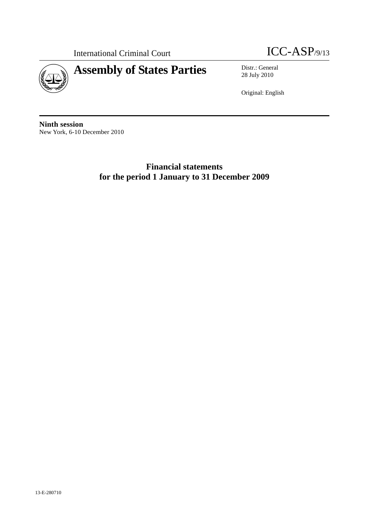

International Criminal Court **ICC-ASP**/9/13

28 July 2010

Original: English

**Ninth session**  New York, 6-10 December 2010

> **Financial statements for the period 1 January to 31 December 2009**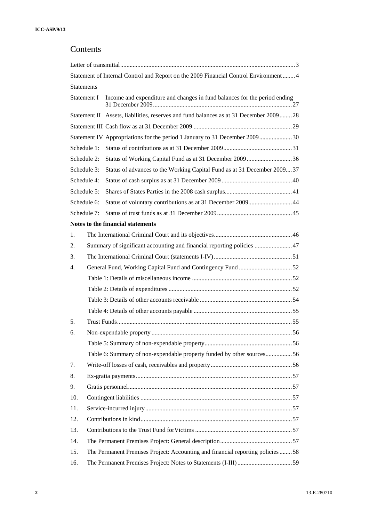# Contents

|                   | Statement of Internal Control and Report on the 2009 Financial Control Environment 4   |  |
|-------------------|----------------------------------------------------------------------------------------|--|
| <b>Statements</b> |                                                                                        |  |
| Statement I       | Income and expenditure and changes in fund balances for the period ending              |  |
|                   | Statement II Assets, liabilities, reserves and fund balances as at 31 December 2009 28 |  |
|                   |                                                                                        |  |
|                   | Statement IV Appropriations for the period 1 January to 31 December 200930             |  |
| Schedule 1:       |                                                                                        |  |
| Schedule 2:       | Status of Working Capital Fund as at 31 December 2009 36                               |  |
| Schedule 3:       | Status of advances to the Working Capital Fund as at 31 December 200937                |  |
| Schedule 4:       |                                                                                        |  |
| Schedule 5:       |                                                                                        |  |
| Schedule 6:       | Status of voluntary contributions as at 31 December 2009 44                            |  |
| Schedule 7:       |                                                                                        |  |
|                   | Notes to the financial statements                                                      |  |
| 1.                |                                                                                        |  |
| 2.                | Summary of significant accounting and financial reporting policies  47                 |  |
| 3.                |                                                                                        |  |
| 4.                | General Fund, Working Capital Fund and Contingency Fund 52                             |  |
|                   |                                                                                        |  |
|                   |                                                                                        |  |
|                   |                                                                                        |  |
|                   |                                                                                        |  |
| 5.                |                                                                                        |  |
| 6.                |                                                                                        |  |
|                   |                                                                                        |  |
|                   | Table 6: Summary of non-expendable property funded by other sources56                  |  |
| 7.                |                                                                                        |  |
| 8.                |                                                                                        |  |
| 9.                |                                                                                        |  |
| 10.               |                                                                                        |  |
| 11.               |                                                                                        |  |
| 12.               |                                                                                        |  |
| 13.               |                                                                                        |  |
| 14.               |                                                                                        |  |
| 15.               | The Permanent Premises Project: Accounting and financial reporting policies 58         |  |
| 16.               |                                                                                        |  |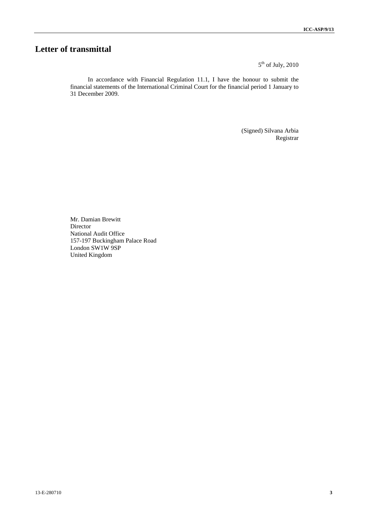# **Letter of transmittal**

 $5<sup>th</sup>$  of July, 2010

In accordance with Financial Regulation 11.1, I have the honour to submit the financial statements of the International Criminal Court for the financial period 1 January to 31 December 2009.

> (Signed) Silvana Arbia Registrar

Mr. Damian Brewitt Director National Audit Office 157-197 Buckingham Palace Road London SW1W 9SP United Kingdom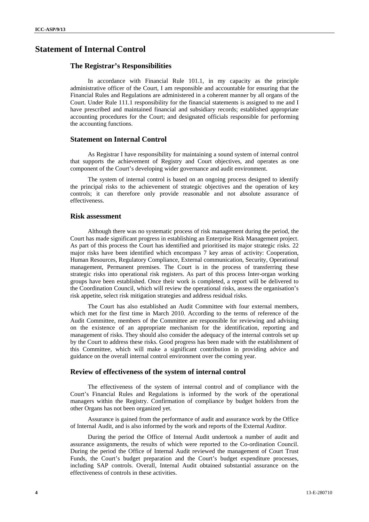# **Statement of Internal Control**

#### **The Registrar's Responsibilities**

In accordance with Financial Rule 101.1, in my capacity as the principle administrative officer of the Court, I am responsible and accountable for ensuring that the Financial Rules and Regulations are administered in a coherent manner by all organs of the Court. Under Rule 111.1 responsibility for the financial statements is assigned to me and I have prescribed and maintained financial and subsidiary records; established appropriate accounting procedures for the Court; and designated officials responsible for performing the accounting functions.

#### **Statement on Internal Control**

As Registrar I have responsibility for maintaining a sound system of internal control that supports the achievement of Registry and Court objectives, and operates as one component of the Court's developing wider governance and audit environment.

The system of internal control is based on an ongoing process designed to identify the principal risks to the achievement of strategic objectives and the operation of key controls; it can therefore only provide reasonable and not absolute assurance of effectiveness.

#### **Risk assessment**

Although there was no systematic process of risk management during the period, the Court has made significant progress in establishing an Enterprise Risk Management project. As part of this process the Court has identified and prioritised its major strategic risks. 22 major risks have been identified which encompass 7 key areas of activity: Cooperation, Human Resources, Regulatory Compliance, External communication, Security, Operational management, Permanent premises. The Court is in the process of transferring these strategic risks into operational risk registers. As part of this process Inter-organ working groups have been established. Once their work is completed, a report will be delivered to the Coordination Council, which will review the operational risks, assess the organisation's risk appetite, select risk mitigation strategies and address residual risks.

The Court has also established an Audit Committee with four external members, which met for the first time in March 2010. According to the terms of reference of the Audit Committee, members of the Committee are responsible for reviewing and advising on the existence of an appropriate mechanism for the identification, reporting and management of risks. They should also consider the adequacy of the internal controls set up by the Court to address these risks. Good progress has been made with the establishment of this Committee, which will make a significant contribution in providing advice and guidance on the overall internal control environment over the coming year.

#### **Review of effectiveness of the system of internal control**

The effectiveness of the system of internal control and of compliance with the Court's Financial Rules and Regulations is informed by the work of the operational managers within the Registry. Confirmation of compliance by budget holders from the other Organs has not been organized yet.

Assurance is gained from the performance of audit and assurance work by the Office of Internal Audit, and is also informed by the work and reports of the External Auditor.

During the period the Office of Internal Audit undertook a number of audit and assurance assignments, the results of which were reported to the Co-ordination Council. During the period the Office of Internal Audit reviewed the management of Court Trust Funds, the Court's budget preparation and the Court's budget expenditure processes, including SAP controls. Overall, Internal Audit obtained substantial assurance on the effectiveness of controls in these activities.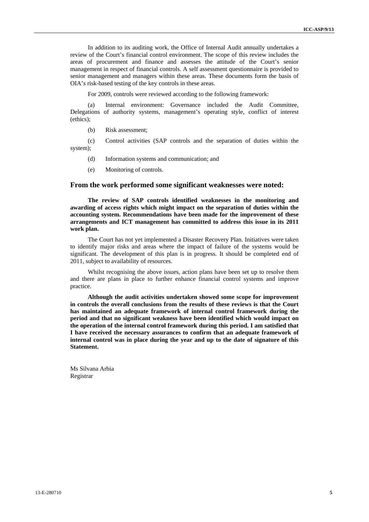In addition to its auditing work, the Office of Internal Audit annually undertakes a review of the Court's financial control environment. The scope of this review includes the areas of procurement and finance and assesses the attitude of the Court's senior management in respect of financial controls. A self assessment questionnaire is provided to senior management and managers within these areas. These documents form the basis of OIA's risk-based testing of the key controls in these areas.

For 2009, controls were reviewed according to the following framework:

(a) Internal environment: Governance included the Audit Committee, Delegations of authority systems, management's operating style, conflict of interest (ethics);

(b) Risk assessment;

(c) Control activities (SAP controls and the separation of duties within the system);

- (d) Information systems and communication; and
- (e) Monitoring of controls.

#### **From the work performed some significant weaknesses were noted:**

**The review of SAP controls identified weaknesses in the monitoring and awarding of access rights which might impact on the separation of duties within the accounting system. Recommendations have been made for the improvement of these arrangements and ICT management has committed to address this issue in its 2011 work plan.** 

The Court has not yet implemented a Disaster Recovery Plan. Initiatives were taken to identify major risks and areas where the impact of failure of the systems would be significant. The development of this plan is in progress. It should be completed end of 2011, subject to availability of resources.

Whilst recognising the above issues, action plans have been set up to resolve them and there are plans in place to further enhance financial control systems and improve practice.

**Although the audit activities undertaken showed some scope for improvement in controls the overall conclusions from the results of these reviews is that the Court has maintained an adequate framework of internal control framework during the period and that no significant weakness have been identified which would impact on the operation of the internal control framework during this period. I am satisfied that I have received the necessary assurances to confirm that an adequate framework of internal control was in place during the year and up to the date of signature of this Statement.** 

Ms Silvana Arbia Registrar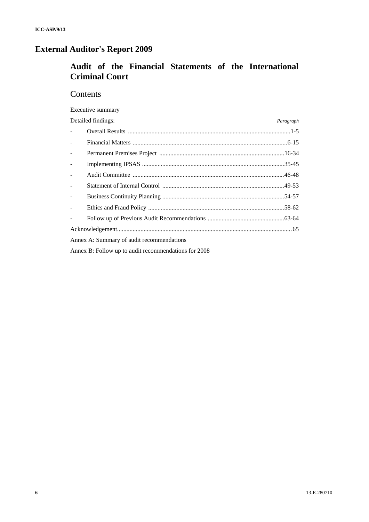# **External Auditor's Report 2009**

# **Audit of the Financial Statements of the International Criminal Court**

# **Contents**

Executive summary

|                           | Detailed findings:                        | Paragraph |
|---------------------------|-------------------------------------------|-----------|
| $\mathbf{L}^{\text{max}}$ |                                           |           |
| $\overline{a}$            |                                           |           |
| $\overline{a}$            |                                           |           |
| $\frac{1}{2}$             |                                           |           |
| $\overline{a}$            |                                           |           |
| $\overline{a}$            |                                           |           |
| $\overline{a}$            |                                           |           |
| $\overline{a}$            |                                           |           |
|                           |                                           |           |
|                           |                                           |           |
|                           | Annex A: Summary of audit recommendations |           |

Annex B: Follow up to audit recommendations for 2008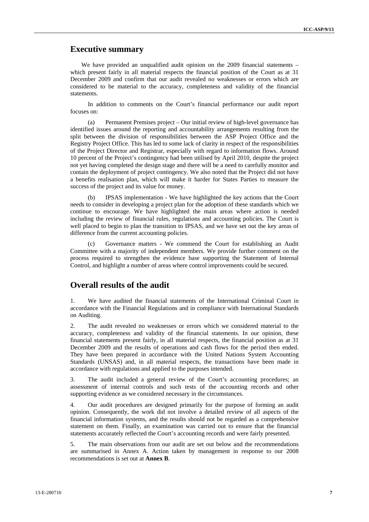## **Executive summary**

We have provided an unqualified audit opinion on the 2009 financial statements – which present fairly in all material respects the financial position of the Court as at 31 December 2009 and confirm that our audit revealed no weaknesses or errors which are considered to be material to the accuracy, completeness and validity of the financial statements.

In addition to comments on the Court's financial performance our audit report focuses on:

(a) Permanent Premises project – Our initial review of high-level governance has identified issues around the reporting and accountability arrangements resulting from the split between the division of responsibilities between the ASP Project Office and the Registry Project Office. This has led to some lack of clarity in respect of the responsibilities of the Project Director and Registrar, especially with regard to information flows. Around 10 percent of the Project's contingency had been utilised by April 2010, despite the project not yet having completed the design stage and there will be a need to carefully monitor and contain the deployment of project contingency. We also noted that the Project did not have a benefits realisation plan, which will make it harder for States Parties to measure the success of the project and its value for money.

(b) IPSAS implementation - We have highlighted the key actions that the Court needs to consider in developing a project plan for the adoption of these standards which we continue to encourage. We have highlighted the main areas where action is needed including the review of financial rules, regulations and accounting policies. The Court is well placed to begin to plan the transition to IPSAS, and we have set out the key areas of difference from the current accounting policies.

(c) Governance matters - We commend the Court for establishing an Audit Committee with a majority of independent members. We provide further comment on the process required to strengthen the evidence base supporting the Statement of Internal Control, and highlight a number of areas where control improvements could be secured.

# **Overall results of the audit**

1. We have audited the financial statements of the International Criminal Court in accordance with the Financial Regulations and in compliance with International Standards on Auditing.

2. The audit revealed no weaknesses or errors which we considered material to the accuracy, completeness and validity of the financial statements. In our opinion, these financial statements present fairly, in all material respects, the financial position as at 31 December 2009 and the results of operations and cash flows for the period then ended. They have been prepared in accordance with the United Nations System Accounting Standards (UNSAS) and, in all material respects, the transactions have been made in accordance with regulations and applied to the purposes intended.

3. The audit included a general review of the Court's accounting procedures; an assessment of internal controls and such tests of the accounting records and other supporting evidence as we considered necessary in the circumstances.

4. Our audit procedures are designed primarily for the purpose of forming an audit opinion. Consequently, the work did not involve a detailed review of all aspects of the financial information systems, and the results should not be regarded as a comprehensive statement on them. Finally, an examination was carried out to ensure that the financial statements accurately reflected the Court's accounting records and were fairly presented.

5. The main observations from our audit are set out below and the recommendations are summarised in Annex A. Action taken by management in response to our 2008 recommendations is set out at **Annex B**.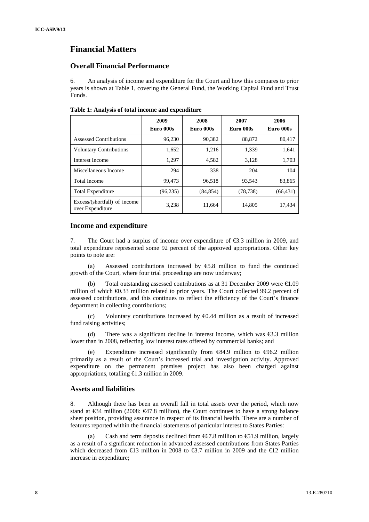# **Financial Matters**

#### **Overall Financial Performance**

6. An analysis of income and expenditure for the Court and how this compares to prior years is shown at Table 1, covering the General Fund, the Working Capital Fund and Trust Funds.

|  |  |  |  | Table 1: Analysis of total income and expenditure |
|--|--|--|--|---------------------------------------------------|
|--|--|--|--|---------------------------------------------------|

|                                                  | 2009<br>Euro 000s | 2008<br>Euro 000s | 2007<br>Euro 000s | 2006<br>Euro 000s |
|--------------------------------------------------|-------------------|-------------------|-------------------|-------------------|
| Assessed Contributions                           | 96,230            | 90,382            | 88,872            | 80.417            |
| <b>Voluntary Contributions</b>                   | 1,652             | 1,216             | 1,339             | 1,641             |
| Interest Income                                  | 1,297             | 4,582             | 3,128             | 1,703             |
| Miscellaneous Income                             | 294               | 338               | 204               | 104               |
| <b>Total Income</b>                              | 99,473            | 96,518            | 93,543            | 83,865            |
| <b>Total Expenditure</b>                         | (96, 235)         | (84, 854)         | (78, 738)         | (66, 431)         |
| Excess/(shortfall) of income<br>over Expenditure | 3,238             | 11.664            | 14.805            | 17,434            |

#### **Income and expenditure**

7. The Court had a surplus of income over expenditure of €3.3 million in 2009, and total expenditure represented some 92 percent of the approved appropriations. Other key points to note are:

(a) Assessed contributions increased by  $\epsilon$ 5.8 million to fund the continued growth of the Court, where four trial proceedings are now underway;

Total outstanding assessed contributions as at 31 December 2009 were  $\epsilon 1.09$ million of which €0.33 million related to prior years. The Court collected 99.2 percent of assessed contributions, and this continues to reflect the efficiency of the Court's finance department in collecting contributions;

(c) Voluntary contributions increased by  $\Theta$ .44 million as a result of increased fund raising activities;

(d) There was a significant decline in interest income, which was  $\epsilon$ 3.3 million lower than in 2008, reflecting low interest rates offered by commercial banks; and

(e) Expenditure increased significantly from  $\epsilon$ 84.9 million to  $\epsilon$ 96.2 million primarily as a result of the Court's increased trial and investigation activity. Approved expenditure on the permanent premises project has also been charged against appropriations, totalling  $\bigoplus$ .3 million in 2009.

#### **Assets and liabilities**

8. Although there has been an overall fall in total assets over the period, which now stand at  $\epsilon$ 34 million (2008:  $\epsilon$ 47.8 million), the Court continues to have a strong balance sheet position, providing assurance in respect of its financial health. There are a number of features reported within the financial statements of particular interest to States Parties:

Cash and term deposits declined from  $67.8$  million to  $61.9$  million, largely as a result of a significant reduction in advanced assessed contributions from States Parties which decreased from  $\text{\textsterling}3$  million in 2008 to  $\text{\textsterling}3.7$  million in 2009 and the  $\text{\textsterling}2$  million increase in expenditure;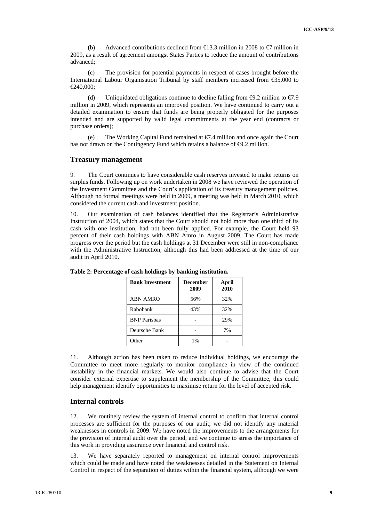(b) Advanced contributions declined from  $\epsilon$ 13.3 million in 2008 to  $\epsilon$ 7 million in 2009, as a result of agreement amongst States Parties to reduce the amount of contributions advanced;

(c) The provision for potential payments in respect of cases brought before the International Labour Organisation Tribunal by staff members increased from €35,000 to €240,000;

(d) Unliquidated obligations continue to decline falling from  $\Theta$ .2 million to  $\epsilon$ .9 million in 2009, which represents an improved position. We have continued to carry out a detailed examination to ensure that funds are being properly obligated for the purposes intended and are supported by valid legal commitments at the year end (contracts or purchase orders);

(e) The Working Capital Fund remained at  $\epsilon$ . 4 million and once again the Court has not drawn on the Contingency Fund which retains a balance of  $\Theta$ . 2 million.

#### **Treasury management**

9. The Court continues to have considerable cash reserves invested to make returns on surplus funds. Following up on work undertaken in 2008 we have reviewed the operation of the Investment Committee and the Court's application of its treasury management policies. Although no formal meetings were held in 2009, a meeting was held in March 2010, which considered the current cash and investment position.

10. Our examination of cash balances identified that the Registrar's Administrative Instruction of 2004, which states that the Court should not hold more than one third of its cash with one institution, had not been fully applied. For example, the Court held 93 percent of their cash holdings with ABN Amro in August 2009. The Court has made progress over the period but the cash holdings at 31 December were still in non-compliance with the Administrative Instruction, although this had been addressed at the time of our audit in April 2010.

| <b>Bank Investment</b> | <b>December</b><br>2009 | April<br>2010 |  |  |
|------------------------|-------------------------|---------------|--|--|
| <b>ABN AMRO</b>        | 56%                     | 32%           |  |  |
| Rabobank               | 43%                     | 32%           |  |  |
| <b>BNP</b> Parisbas    |                         | 29%           |  |  |
| Deutsche Bank          |                         | 7%            |  |  |
| Other                  | $1\%$                   |               |  |  |

**Table 2: Percentage of cash holdings by banking institution.** 

11. Although action has been taken to reduce individual holdings, we encourage the Committee to meet more regularly to monitor compliance in view of the continued instability in the financial markets. We would also continue to advise that the Court consider external expertise to supplement the membership of the Committee, this could help management identify opportunities to maximise return for the level of accepted risk.

#### **Internal controls**

12. We routinely review the system of internal control to confirm that internal control processes are sufficient for the purposes of our audit; we did not identify any material weaknesses in controls in 2009. We have noted the improvements to the arrangements for the provision of internal audit over the period, and we continue to stress the importance of this work in providing assurance over financial and control risk.

13. We have separately reported to management on internal control improvements which could be made and have noted the weaknesses detailed in the Statement on Internal Control in respect of the separation of duties within the financial system, although we were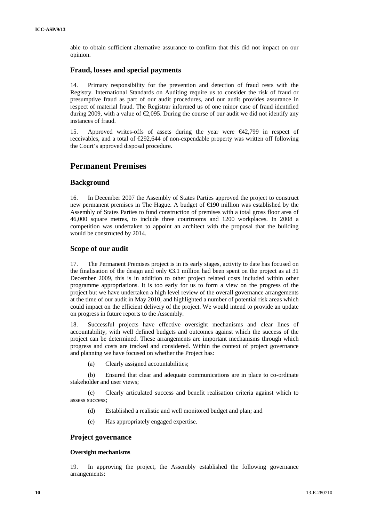able to obtain sufficient alternative assurance to confirm that this did not impact on our opinion.

#### **Fraud, losses and special payments**

14. Primary responsibility for the prevention and detection of fraud rests with the Registry. International Standards on Auditing require us to consider the risk of fraud or presumptive fraud as part of our audit procedures, and our audit provides assurance in respect of material fraud. The Registrar informed us of one minor case of fraud identified during 2009, with a value of  $\epsilon$ , 2009. During the course of our audit we did not identify any instances of fraud.

15. Approved writes-offs of assets during the year were €42,799 in respect of receivables, and a total of €292,644 of non-expendable property was written off following the Court's approved disposal procedure.

# **Permanent Premises**

#### **Background**

16. In December 2007 the Assembly of States Parties approved the project to construct new permanent premises in The Hague. A budget of €190 million was established by the Assembly of States Parties to fund construction of premises with a total gross floor area of 46,000 square metres, to include three courtrooms and 1200 workplaces. In 2008 a competition was undertaken to appoint an architect with the proposal that the building would be constructed by 2014.

#### **Scope of our audit**

17. The Permanent Premises project is in its early stages, activity to date has focused on the finalisation of the design and only  $\epsilon$ 3.1 million had been spent on the project as at 31 December 2009, this is in addition to other project related costs included within other programme appropriations. It is too early for us to form a view on the progress of the project but we have undertaken a high level review of the overall governance arrangements at the time of our audit in May 2010, and highlighted a number of potential risk areas which could impact on the efficient delivery of the project. We would intend to provide an update on progress in future reports to the Assembly.

18. Successful projects have effective oversight mechanisms and clear lines of accountability, with well defined budgets and outcomes against which the success of the project can be determined. These arrangements are important mechanisms through which progress and costs are tracked and considered. Within the context of project governance and planning we have focused on whether the Project has:

(a) Clearly assigned accountabilities;

(b) Ensured that clear and adequate communications are in place to co-ordinate stakeholder and user views;

(c) Clearly articulated success and benefit realisation criteria against which to assess success;

- (d) Established a realistic and well monitored budget and plan; and
- (e) Has appropriately engaged expertise.

#### **Project governance**

#### **Oversight mechanisms**

19. In approving the project, the Assembly established the following governance arrangements: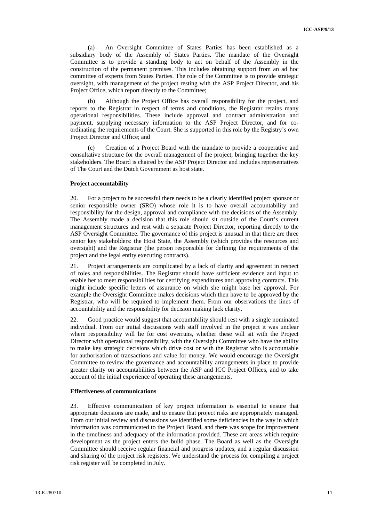(a) An Oversight Committee of States Parties has been established as a subsidiary body of the Assembly of States Parties. The mandate of the Oversight Committee is to provide a standing body to act on behalf of the Assembly in the construction of the permanent premises. This includes obtaining support from an ad hoc committee of experts from States Parties. The role of the Committee is to provide strategic oversight, with management of the project resting with the ASP Project Director, and his Project Office, which report directly to the Committee;

(b) Although the Project Office has overall responsibility for the project, and reports to the Registrar in respect of terms and conditions, the Registrar retains many operational responsibilities. These include approval and contract administration and payment, supplying necessary information to the ASP Project Director, and for coordinating the requirements of the Court. She is supported in this role by the Registry's own Project Director and Office; and

(c) Creation of a Project Board with the mandate to provide a cooperative and consultative structure for the overall management of the project, bringing together the key stakeholders. The Board is chaired by the ASP Project Director and includes representatives of The Court and the Dutch Government as host state.

#### **Project accountability**

20. For a project to be successful there needs to be a clearly identified project sponsor or senior responsible owner (SRO) whose role it is to have overall accountability and responsibility for the design, approval and compliance with the decisions of the Assembly. The Assembly made a decision that this role should sit outside of the Court's current management structures and rest with a separate Project Director, reporting directly to the ASP Oversight Committee. The governance of this project is unusual in that there are three senior key stakeholders: the Host State, the Assembly (which provides the resources and oversight) and the Registrar (the person responsible for defining the requirements of the project and the legal entity executing contracts).

21. Project arrangements are complicated by a lack of clarity and agreement in respect of roles and responsibilities. The Registrar should have sufficient evidence and input to enable her to meet responsibilities for certifying expenditures and approving contracts. This might include specific letters of assurance on which she might base her approval. For example the Oversight Committee makes decisions which then have to be approved by the Registrar, who will be required to implement them. From our observations the lines of accountability and the responsibility for decision making lack clarity.

22. Good practice would suggest that accountability should rest with a single nominated individual. From our initial discussions with staff involved in the project it was unclear where responsibility will lie for cost overruns, whether these will sit with the Project Director with operational responsibility, with the Oversight Committee who have the ability to make key strategic decisions which drive cost or with the Registrar who is accountable for authorisation of transactions and value for money. We would encourage the Oversight Committee to review the governance and accountability arrangements in place to provide greater clarity on accountabilities between the ASP and ICC Project Offices, and to take account of the initial experience of operating these arrangements.

#### **Effectiveness of communications**

23. Effective communication of key project information is essential to ensure that appropriate decisions are made, and to ensure that project risks are appropriately managed. From our initial review and discussions we identified some deficiencies in the way in which information was communicated to the Project Board, and there was scope for improvement in the timeliness and adequacy of the information provided. These are areas which require development as the project enters the build phase. The Board as well as the Oversight Committee should receive regular financial and progress updates, and a regular discussion and sharing of the project risk registers. We understand the process for compiling a project risk register will be completed in July.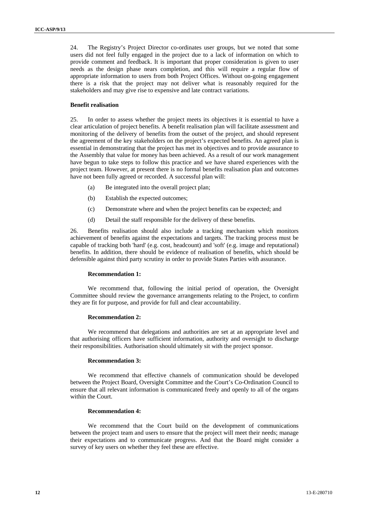24. The Registry's Project Director co-ordinates user groups, but we noted that some users did not feel fully engaged in the project due to a lack of information on which to provide comment and feedback. It is important that proper consideration is given to user needs as the design phase nears completion, and this will require a regular flow of appropriate information to users from both Project Offices. Without on-going engagement there is a risk that the project may not deliver what is reasonably required for the stakeholders and may give rise to expensive and late contract variations.

#### **Benefit realisation**

25. In order to assess whether the project meets its objectives it is essential to have a clear articulation of project benefits. A benefit realisation plan will facilitate assessment and monitoring of the delivery of benefits from the outset of the project, and should represent the agreement of the key stakeholders on the project's expected benefits. An agreed plan is essential in demonstrating that the project has met its objectives and to provide assurance to the Assembly that value for money has been achieved. As a result of our work management have begun to take steps to follow this practice and we have shared experiences with the project team. However, at present there is no formal benefits realisation plan and outcomes have not been fully agreed or recorded. A successful plan will:

- (a) Be integrated into the overall project plan;
- (b) Establish the expected outcomes;
- (c) Demonstrate where and when the project benefits can be expected; and
- (d) Detail the staff responsible for the delivery of these benefits.

26. Benefits realisation should also include a tracking mechanism which monitors achievement of benefits against the expectations and targets. The tracking process must be capable of tracking both 'hard' (e.g. cost, headcount) and 'soft' (e.g. image and reputational) benefits. In addition, there should be evidence of realisation of benefits, which should be defensible against third party scrutiny in order to provide States Parties with assurance.

#### **Recommendation 1:**

We recommend that, following the initial period of operation, the Oversight Committee should review the governance arrangements relating to the Project, to confirm they are fit for purpose, and provide for full and clear accountability.

#### **Recommendation 2:**

We recommend that delegations and authorities are set at an appropriate level and that authorising officers have sufficient information, authority and oversight to discharge their responsibilities. Authorisation should ultimately sit with the project sponsor.

#### **Recommendation 3:**

We recommend that effective channels of communication should be developed between the Project Board, Oversight Committee and the Court's Co-Ordination Council to ensure that all relevant information is communicated freely and openly to all of the organs within the Court.

#### **Recommendation 4:**

We recommend that the Court build on the development of communications between the project team and users to ensure that the project will meet their needs; manage their expectations and to communicate progress. And that the Board might consider a survey of key users on whether they feel these are effective.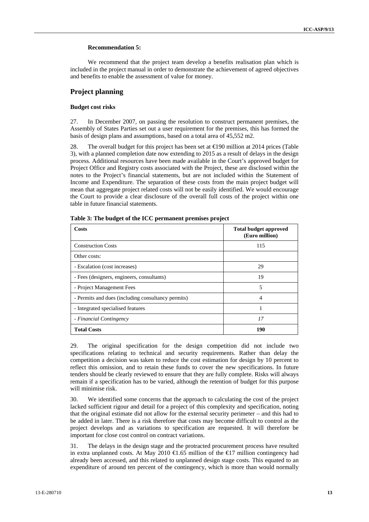#### **Recommendation 5:**

We recommend that the project team develop a benefits realisation plan which is included in the project manual in order to demonstrate the achievement of agreed objectives and benefits to enable the assessment of value for money.

#### **Project planning**

#### **Budget cost risks**

27. In December 2007, on passing the resolution to construct permanent premises, the Assembly of States Parties set out a user requirement for the premises, this has formed the basis of design plans and assumptions, based on a total area of 45,552 m2.

28. The overall budget for this project has been set at €190 million at 2014 prices (Table 3), with a planned completion date now extending to 2015 as a result of delays in the design process. Additional resources have been made available in the Court's approved budget for Project Office and Registry costs associated with the Project, these are disclosed within the notes to the Project's financial statements, but are not included within the Statement of Income and Expenditure. The separation of these costs from the main project budget will mean that aggregate project related costs will not be easily identified. We would encourage the Court to provide a clear disclosure of the overall full costs of the project within one table in future financial statements.

| Costs                                              | <b>Total budget approved</b><br>(Euro million) |
|----------------------------------------------------|------------------------------------------------|
| <b>Construction Costs</b>                          | 115                                            |
| Other costs:                                       |                                                |
| - Escalation (cost increases)                      | 29                                             |
| - Fees (designers, engineers, consultants)         | 19                                             |
| - Project Management Fees                          | 5                                              |
| - Permits and dues (including consultancy permits) | 4                                              |
| - Integrated specialised features                  |                                                |
| - Financial Contingency                            | 17                                             |
| <b>Total Costs</b>                                 | 190                                            |

**Table 3: The budget of the ICC permanent premises project** 

29. The original specification for the design competition did not include two specifications relating to technical and security requirements. Rather than delay the competition a decision was taken to reduce the cost estimation for design by 10 percent to reflect this omission, and to retain these funds to cover the new specifications. In future tenders should be clearly reviewed to ensure that they are fully complete. Risks will always remain if a specification has to be varied, although the retention of budget for this purpose will minimise risk.

30. We identified some concerns that the approach to calculating the cost of the project lacked sufficient rigour and detail for a project of this complexity and specification, noting that the original estimate did not allow for the external security perimeter – and this had to be added in later. There is a risk therefore that costs may become difficult to control as the project develops and as variations to specification are requested. It will therefore be important for close cost control on contract variations.

31. The delays in the design stage and the protracted procurement process have resulted in extra unplanned costs. At May 2010  $\bigoplus$  6.65 million of the  $\bigoplus$ 7 million contingency had already been accessed, and this related to unplanned design stage costs. This equated to an expenditure of around ten percent of the contingency, which is more than would normally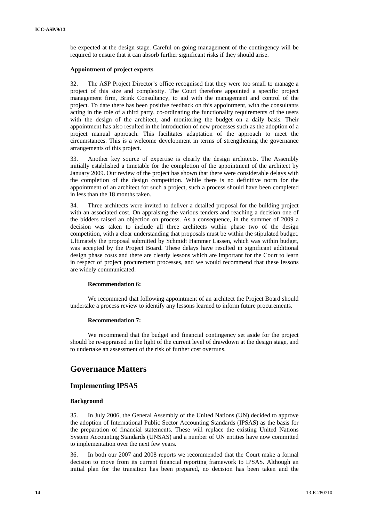be expected at the design stage. Careful on-going management of the contingency will be required to ensure that it can absorb further significant risks if they should arise.

#### **Appointment of project experts**

32. The ASP Project Director's office recognised that they were too small to manage a project of this size and complexity. The Court therefore appointed a specific project management firm, Brink Consultancy, to aid with the management and control of the project. To date there has been positive feedback on this appointment, with the consultants acting in the role of a third party, co-ordinating the functionality requirements of the users with the design of the architect, and monitoring the budget on a daily basis. Their appointment has also resulted in the introduction of new processes such as the adoption of a project manual approach. This facilitates adaptation of the approach to meet the circumstances. This is a welcome development in terms of strengthening the governance arrangements of this project.

33. Another key source of expertise is clearly the design architects. The Assembly initially established a timetable for the completion of the appointment of the architect by January 2009. Our review of the project has shown that there were considerable delays with the completion of the design competition. While there is no definitive norm for the appointment of an architect for such a project, such a process should have been completed in less than the 18 months taken.

34. Three architects were invited to deliver a detailed proposal for the building project with an associated cost. On appraising the various tenders and reaching a decision one of the bidders raised an objection on process. As a consequence, in the summer of 2009 a decision was taken to include all three architects within phase two of the design competition, with a clear understanding that proposals must be within the stipulated budget. Ultimately the proposal submitted by Schmidt Hammer Lassen, which was within budget, was accepted by the Project Board. These delays have resulted in significant additional design phase costs and there are clearly lessons which are important for the Court to learn in respect of project procurement processes, and we would recommend that these lessons are widely communicated.

#### **Recommendation 6:**

We recommend that following appointment of an architect the Project Board should undertake a process review to identify any lessons learned to inform future procurements.

#### **Recommendation 7:**

We recommend that the budget and financial contingency set aside for the project should be re-appraised in the light of the current level of drawdown at the design stage, and to undertake an assessment of the risk of further cost overruns.

# **Governance Matters**

#### **Implementing IPSAS**

#### **Background**

35. In July 2006, the General Assembly of the United Nations (UN) decided to approve the adoption of International Public Sector Accounting Standards (IPSAS) as the basis for the preparation of financial statements. These will replace the existing United Nations System Accounting Standards (UNSAS) and a number of UN entities have now committed to implementation over the next few years.

36. In both our 2007 and 2008 reports we recommended that the Court make a formal decision to move from its current financial reporting framework to IPSAS. Although an initial plan for the transition has been prepared, no decision has been taken and the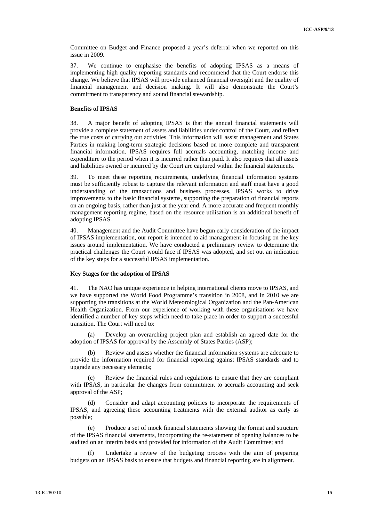Committee on Budget and Finance proposed a year's deferral when we reported on this issue in 2009.

37. We continue to emphasise the benefits of adopting IPSAS as a means of implementing high quality reporting standards and recommend that the Court endorse this change. We believe that IPSAS will provide enhanced financial oversight and the quality of financial management and decision making. It will also demonstrate the Court's commitment to transparency and sound financial stewardship.

#### **Benefits of IPSAS**

38. A major benefit of adopting IPSAS is that the annual financial statements will provide a complete statement of assets and liabilities under control of the Court, and reflect the true costs of carrying out activities. This information will assist management and States Parties in making long-term strategic decisions based on more complete and transparent financial information. IPSAS requires full accruals accounting, matching income and expenditure to the period when it is incurred rather than paid. It also requires that all assets and liabilities owned or incurred by the Court are captured within the financial statements.

39. To meet these reporting requirements, underlying financial information systems must be sufficiently robust to capture the relevant information and staff must have a good understanding of the transactions and business processes. IPSAS works to drive improvements to the basic financial systems, supporting the preparation of financial reports on an ongoing basis, rather than just at the year end. A more accurate and frequent monthly management reporting regime, based on the resource utilisation is an additional benefit of adopting IPSAS.

40. Management and the Audit Committee have begun early consideration of the impact of IPSAS implementation, our report is intended to aid management in focusing on the key issues around implementation. We have conducted a preliminary review to determine the practical challenges the Court would face if IPSAS was adopted, and set out an indication of the key steps for a successful IPSAS implementation.

#### **Key Stages for the adoption of IPSAS**

41. The NAO has unique experience in helping international clients move to IPSAS, and we have supported the World Food Programme's transition in 2008, and in 2010 we are supporting the transitions at the World Meteorological Organization and the Pan-American Health Organization. From our experience of working with these organisations we have identified a number of key steps which need to take place in order to support a successful transition. The Court will need to:

(a) Develop an overarching project plan and establish an agreed date for the adoption of IPSAS for approval by the Assembly of States Parties (ASP);

(b) Review and assess whether the financial information systems are adequate to provide the information required for financial reporting against IPSAS standards and to upgrade any necessary elements;

(c) Review the financial rules and regulations to ensure that they are compliant with IPSAS, in particular the changes from commitment to accruals accounting and seek approval of the ASP;

Consider and adapt accounting policies to incorporate the requirements of IPSAS, and agreeing these accounting treatments with the external auditor as early as possible;

(e) Produce a set of mock financial statements showing the format and structure of the IPSAS financial statements, incorporating the re-statement of opening balances to be audited on an interim basis and provided for information of the Audit Committee; and

(f) Undertake a review of the budgeting process with the aim of preparing budgets on an IPSAS basis to ensure that budgets and financial reporting are in alignment.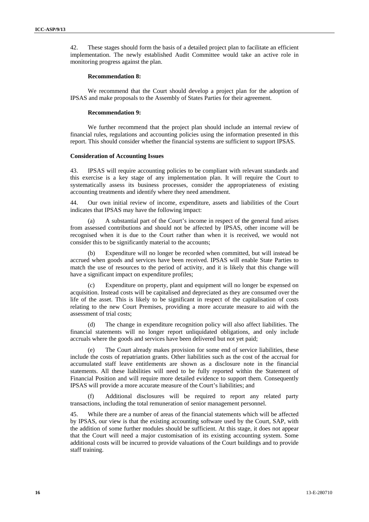42. These stages should form the basis of a detailed project plan to facilitate an efficient implementation. The newly established Audit Committee would take an active role in monitoring progress against the plan.

#### **Recommendation 8:**

We recommend that the Court should develop a project plan for the adoption of IPSAS and make proposals to the Assembly of States Parties for their agreement.

#### **Recommendation 9:**

We further recommend that the project plan should include an internal review of financial rules, regulations and accounting policies using the information presented in this report. This should consider whether the financial systems are sufficient to support IPSAS.

#### **Consideration of Accounting Issues**

43. IPSAS will require accounting policies to be compliant with relevant standards and this exercise is a key stage of any implementation plan. It will require the Court to systematically assess its business processes, consider the appropriateness of existing accounting treatments and identify where they need amendment.

44. Our own initial review of income, expenditure, assets and liabilities of the Court indicates that IPSAS may have the following impact:

A substantial part of the Court's income in respect of the general fund arises from assessed contributions and should not be affected by IPSAS, other income will be recognised when it is due to the Court rather than when it is received, we would not consider this to be significantly material to the accounts;

(b) Expenditure will no longer be recorded when committed, but will instead be accrued when goods and services have been received. IPSAS will enable State Parties to match the use of resources to the period of activity, and it is likely that this change will have a significant impact on expenditure profiles;

(c) Expenditure on property, plant and equipment will no longer be expensed on acquisition. Instead costs will be capitalised and depreciated as they are consumed over the life of the asset. This is likely to be significant in respect of the capitalisation of costs relating to the new Court Premises, providing a more accurate measure to aid with the assessment of trial costs;

(d) The change in expenditure recognition policy will also affect liabilities. The financial statements will no longer report unliquidated obligations, and only include accruals where the goods and services have been delivered but not yet paid;

(e) The Court already makes provision for some end of service liabilities, these include the costs of repatriation grants. Other liabilities such as the cost of the accrual for accumulated staff leave entitlements are shown as a disclosure note in the financial statements. All these liabilities will need to be fully reported within the Statement of Financial Position and will require more detailed evidence to support them. Consequently IPSAS will provide a more accurate measure of the Court's liabilities; and

Additional disclosures will be required to report any related party transactions, including the total remuneration of senior management personnel.

45. While there are a number of areas of the financial statements which will be affected by IPSAS, our view is that the existing accounting software used by the Court, SAP, with the addition of some further modules should be sufficient. At this stage, it does not appear that the Court will need a major customisation of its existing accounting system. Some additional costs will be incurred to provide valuations of the Court buildings and to provide staff training.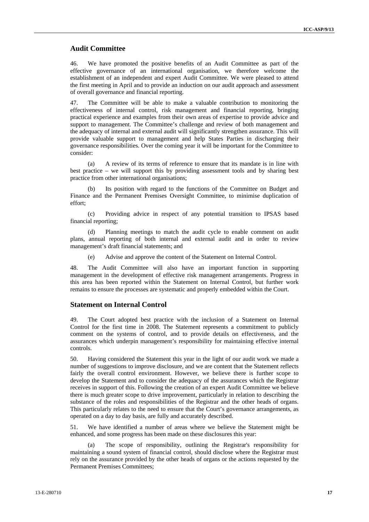#### **Audit Committee**

46. We have promoted the positive benefits of an Audit Committee as part of the effective governance of an international organisation, we therefore welcome the establishment of an independent and expert Audit Committee. We were pleased to attend the first meeting in April and to provide an induction on our audit approach and assessment of overall governance and financial reporting.

47. The Committee will be able to make a valuable contribution to monitoring the effectiveness of internal control, risk management and financial reporting, bringing practical experience and examples from their own areas of expertise to provide advice and support to management. The Committee's challenge and review of both management and the adequacy of internal and external audit will significantly strengthen assurance. This will provide valuable support to management and help States Parties in discharging their governance responsibilities. Over the coming year it will be important for the Committee to consider:

(a) A review of its terms of reference to ensure that its mandate is in line with best practice – we will support this by providing assessment tools and by sharing best practice from other international organisations;

(b) Its position with regard to the functions of the Committee on Budget and Finance and the Permanent Premises Oversight Committee, to minimise duplication of effort;

(c) Providing advice in respect of any potential transition to IPSAS based financial reporting;

(d) Planning meetings to match the audit cycle to enable comment on audit plans, annual reporting of both internal and external audit and in order to review management's draft financial statements; and

(e) Advise and approve the content of the Statement on Internal Control.

48. The Audit Committee will also have an important function in supporting management in the development of effective risk management arrangements. Progress in this area has been reported within the Statement on Internal Control, but further work remains to ensure the processes are systematic and properly embedded within the Court.

#### **Statement on Internal Control**

49. The Court adopted best practice with the inclusion of a Statement on Internal Control for the first time in 2008. The Statement represents a commitment to publicly comment on the systems of control, and to provide details on effectiveness, and the assurances which underpin management's responsibility for maintaining effective internal controls.

50. Having considered the Statement this year in the light of our audit work we made a number of suggestions to improve disclosure, and we are content that the Statement reflects fairly the overall control environment. However, we believe there is further scope to develop the Statement and to consider the adequacy of the assurances which the Registrar receives in support of this. Following the creation of an expert Audit Committee we believe there is much greater scope to drive improvement, particularly in relation to describing the substance of the roles and responsibilities of the Registrar and the other heads of organs. This particularly relates to the need to ensure that the Court's governance arrangements, as operated on a day to day basis, are fully and accurately described.

51. We have identified a number of areas where we believe the Statement might be enhanced, and some progress has been made on these disclosures this year:

(a) The scope of responsibility, outlining the Registrar's responsibility for maintaining a sound system of financial control, should disclose where the Registrar must rely on the assurance provided by the other heads of organs or the actions requested by the Permanent Premises Committees;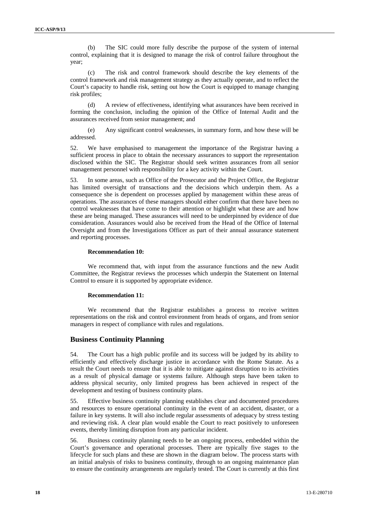(b) The SIC could more fully describe the purpose of the system of internal control, explaining that it is designed to manage the risk of control failure throughout the year;

(c) The risk and control framework should describe the key elements of the control framework and risk management strategy as they actually operate, and to reflect the Court's capacity to handle risk, setting out how the Court is equipped to manage changing risk profiles;

(d) A review of effectiveness, identifying what assurances have been received in forming the conclusion, including the opinion of the Office of Internal Audit and the assurances received from senior management; and

(e) Any significant control weaknesses, in summary form, and how these will be addressed.

52. We have emphasised to management the importance of the Registrar having a sufficient process in place to obtain the necessary assurances to support the representation disclosed within the SIC. The Registrar should seek written assurances from all senior management personnel with responsibility for a key activity within the Court.

53. In some areas, such as Office of the Prosecutor and the Project Office, the Registrar has limited oversight of transactions and the decisions which underpin them. As a consequence she is dependent on processes applied by management within these areas of operations. The assurances of these managers should either confirm that there have been no control weaknesses that have come to their attention or highlight what these are and how these are being managed. These assurances will need to be underpinned by evidence of due consideration. Assurances would also be received from the Head of the Office of Internal Oversight and from the Investigations Officer as part of their annual assurance statement and reporting processes.

#### **Recommendation 10:**

We recommend that, with input from the assurance functions and the new Audit Committee, the Registrar reviews the processes which underpin the Statement on Internal Control to ensure it is supported by appropriate evidence.

#### **Recommendation 11:**

We recommend that the Registrar establishes a process to receive written representations on the risk and control environment from heads of organs, and from senior managers in respect of compliance with rules and regulations.

#### **Business Continuity Planning**

54. The Court has a high public profile and its success will be judged by its ability to efficiently and effectively discharge justice in accordance with the Rome Statute. As a result the Court needs to ensure that it is able to mitigate against disruption to its activities as a result of physical damage or systems failure. Although steps have been taken to address physical security, only limited progress has been achieved in respect of the development and testing of business continuity plans.

55. Effective business continuity planning establishes clear and documented procedures and resources to ensure operational continuity in the event of an accident, disaster, or a failure in key systems. It will also include regular assessments of adequacy by stress testing and reviewing risk. A clear plan would enable the Court to react positively to unforeseen events, thereby limiting disruption from any particular incident.

56. Business continuity planning needs to be an ongoing process, embedded within the Court's governance and operational processes. There are typically five stages to the lifecycle for such plans and these are shown in the diagram below. The process starts with an initial analysis of risks to business continuity, through to an ongoing maintenance plan to ensure the continuity arrangements are regularly tested. The Court is currently at this first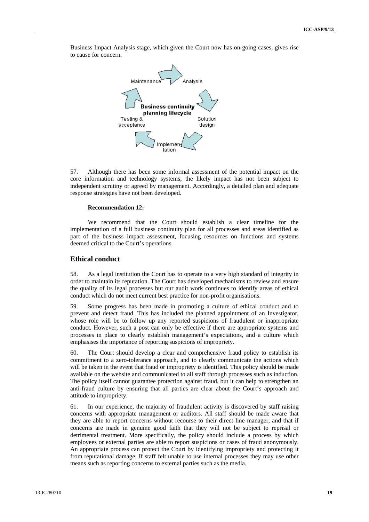Business Impact Analysis stage, which given the Court now has on-going cases, gives rise to cause for concern.



57. Although there has been some informal assessment of the potential impact on the core information and technology systems, the likely impact has not been subject to independent scrutiny or agreed by management. Accordingly, a detailed plan and adequate response strategies have not been developed.

#### **Recommendation 12:**

We recommend that the Court should establish a clear timeline for the implementation of a full business continuity plan for all processes and areas identified as part of the business impact assessment, focusing resources on functions and systems deemed critical to the Court's operations.

#### **Ethical conduct**

58. As a legal institution the Court has to operate to a very high standard of integrity in order to maintain its reputation. The Court has developed mechanisms to review and ensure the quality of its legal processes but our audit work continues to identify areas of ethical conduct which do not meet current best practice for non-profit organisations.

59. Some progress has been made in promoting a culture of ethical conduct and to prevent and detect fraud. This has included the planned appointment of an Investigator, whose role will be to follow up any reported suspicions of fraudulent or inappropriate conduct. However, such a post can only be effective if there are appropriate systems and processes in place to clearly establish management's expectations, and a culture which emphasises the importance of reporting suspicions of impropriety.

60. The Court should develop a clear and comprehensive fraud policy to establish its commitment to a zero-tolerance approach, and to clearly communicate the actions which will be taken in the event that fraud or impropriety is identified. This policy should be made available on the website and communicated to all staff through processes such as induction. The policy itself cannot guarantee protection against fraud, but it can help to strengthen an anti-fraud culture by ensuring that all parties are clear about the Court's approach and attitude to impropriety.

61. In our experience, the majority of fraudulent activity is discovered by staff raising concerns with appropriate management or auditors. All staff should be made aware that they are able to report concerns without recourse to their direct line manager, and that if concerns are made in genuine good faith that they will not be subject to reprisal or detrimental treatment. More specifically, the policy should include a process by which employees or external parties are able to report suspicions or cases of fraud anonymously. An appropriate process can protect the Court by identifying impropriety and protecting it from reputational damage. If staff felt unable to use internal processes they may use other means such as reporting concerns to external parties such as the media.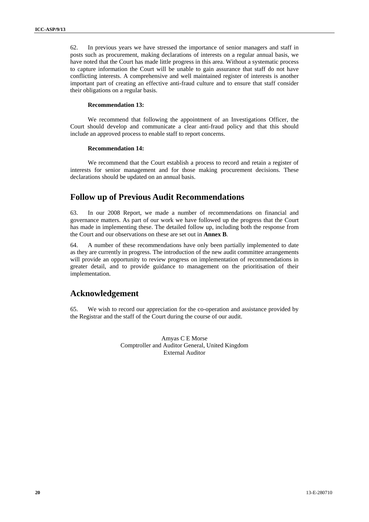62. In previous years we have stressed the importance of senior managers and staff in posts such as procurement, making declarations of interests on a regular annual basis, we have noted that the Court has made little progress in this area. Without a systematic process to capture information the Court will be unable to gain assurance that staff do not have conflicting interests. A comprehensive and well maintained register of interests is another important part of creating an effective anti-fraud culture and to ensure that staff consider their obligations on a regular basis.

#### **Recommendation 13:**

We recommend that following the appointment of an Investigations Officer, the Court should develop and communicate a clear anti-fraud policy and that this should include an approved process to enable staff to report concerns.

#### **Recommendation 14:**

We recommend that the Court establish a process to record and retain a register of interests for senior management and for those making procurement decisions. These declarations should be updated on an annual basis.

# **Follow up of Previous Audit Recommendations**

63. In our 2008 Report, we made a number of recommendations on financial and governance matters. As part of our work we have followed up the progress that the Court has made in implementing these. The detailed follow up, including both the response from the Court and our observations on these are set out in **Annex B**.

64. A number of these recommendations have only been partially implemented to date as they are currently in progress. The introduction of the new audit committee arrangements will provide an opportunity to review progress on implementation of recommendations in greater detail, and to provide guidance to management on the prioritisation of their implementation.

# **Acknowledgement**

65. We wish to record our appreciation for the co-operation and assistance provided by the Registrar and the staff of the Court during the course of our audit.

> Amyas C E Morse Comptroller and Auditor General, United Kingdom External Auditor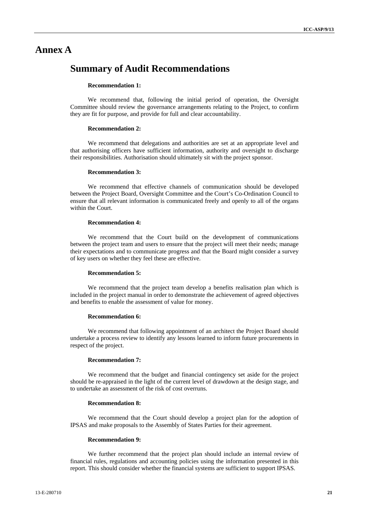# **Annex A**

# **Summary of Audit Recommendations**

#### **Recommendation 1:**

We recommend that, following the initial period of operation, the Oversight Committee should review the governance arrangements relating to the Project, to confirm they are fit for purpose, and provide for full and clear accountability.

#### **Recommendation 2:**

We recommend that delegations and authorities are set at an appropriate level and that authorising officers have sufficient information, authority and oversight to discharge their responsibilities. Authorisation should ultimately sit with the project sponsor.

#### **Recommendation 3:**

We recommend that effective channels of communication should be developed between the Project Board, Oversight Committee and the Court's Co-Ordination Council to ensure that all relevant information is communicated freely and openly to all of the organs within the Court.

#### **Recommendation 4:**

We recommend that the Court build on the development of communications between the project team and users to ensure that the project will meet their needs; manage their expectations and to communicate progress and that the Board might consider a survey of key users on whether they feel these are effective.

#### **Recommendation 5:**

We recommend that the project team develop a benefits realisation plan which is included in the project manual in order to demonstrate the achievement of agreed objectives and benefits to enable the assessment of value for money.

#### **Recommendation 6:**

We recommend that following appointment of an architect the Project Board should undertake a process review to identify any lessons learned to inform future procurements in respect of the project.

#### **Recommendation 7:**

We recommend that the budget and financial contingency set aside for the project should be re-appraised in the light of the current level of drawdown at the design stage, and to undertake an assessment of the risk of cost overruns.

#### **Recommendation 8:**

We recommend that the Court should develop a project plan for the adoption of IPSAS and make proposals to the Assembly of States Parties for their agreement.

#### **Recommendation 9:**

We further recommend that the project plan should include an internal review of financial rules, regulations and accounting policies using the information presented in this report. This should consider whether the financial systems are sufficient to support IPSAS.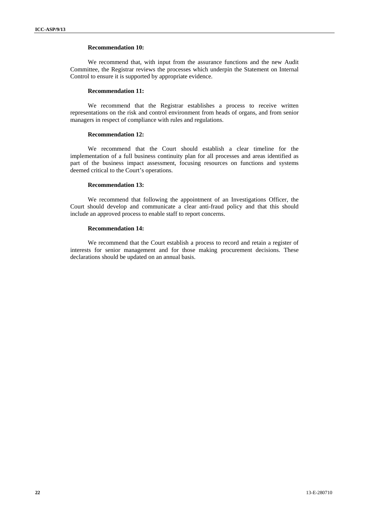#### **Recommendation 10:**

We recommend that, with input from the assurance functions and the new Audit Committee, the Registrar reviews the processes which underpin the Statement on Internal Control to ensure it is supported by appropriate evidence.

#### **Recommendation 11:**

We recommend that the Registrar establishes a process to receive written representations on the risk and control environment from heads of organs, and from senior managers in respect of compliance with rules and regulations.

#### **Recommendation 12:**

We recommend that the Court should establish a clear timeline for the implementation of a full business continuity plan for all processes and areas identified as part of the business impact assessment, focusing resources on functions and systems deemed critical to the Court's operations.

#### **Recommendation 13:**

We recommend that following the appointment of an Investigations Officer, the Court should develop and communicate a clear anti-fraud policy and that this should include an approved process to enable staff to report concerns.

#### **Recommendation 14:**

We recommend that the Court establish a process to record and retain a register of interests for senior management and for those making procurement decisions. These declarations should be updated on an annual basis.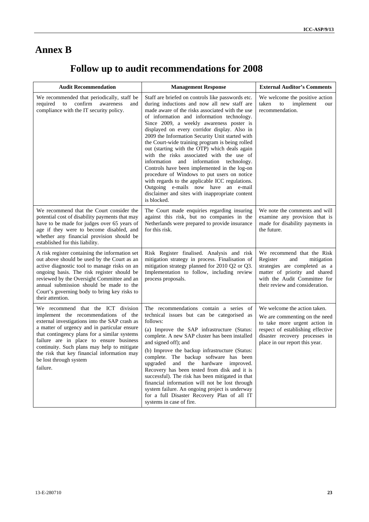# **Annex B**

# **Follow up to audit recommendations for 2008**

| <b>Audit Recommendation</b>                                                                                                                                                                                                                                                                                                                                                                                | <b>Management Response</b>                                                                                                                                                                                                                                                                                                                                                                                                                                                                                                                                                                                                                                                                                                                                                                              | <b>External Auditor's Comments</b>                                                                                                                                                                      |  |  |
|------------------------------------------------------------------------------------------------------------------------------------------------------------------------------------------------------------------------------------------------------------------------------------------------------------------------------------------------------------------------------------------------------------|---------------------------------------------------------------------------------------------------------------------------------------------------------------------------------------------------------------------------------------------------------------------------------------------------------------------------------------------------------------------------------------------------------------------------------------------------------------------------------------------------------------------------------------------------------------------------------------------------------------------------------------------------------------------------------------------------------------------------------------------------------------------------------------------------------|---------------------------------------------------------------------------------------------------------------------------------------------------------------------------------------------------------|--|--|
| We recommended that periodically, staff be<br>required<br>confirm<br>to<br>awareness<br>and<br>compliance with the IT security policy.                                                                                                                                                                                                                                                                     | Staff are briefed on controls like passwords etc.<br>during inductions and now all new staff are<br>made aware of the risks associated with the use<br>of information and information technology.<br>Since 2009, a weekly awareness poster is<br>displayed on every corridor display. Also in<br>2009 the Information Security Unit started with<br>the Court-wide training program is being rolled<br>out (starting with the OTP) which deals again<br>with the risks associated with the use of<br>information and information technology.<br>Controls have been implemented in the log-on<br>procedure of Windows to put users on notice<br>with regards to the applicable ICC regulations.<br>Outgoing e-mails now have an e-mail<br>disclaimer and sites with inappropriate content<br>is blocked. | We welcome the positive action<br>taken<br>$\,$ to $\,$<br>implement<br>our<br>recommendation.                                                                                                          |  |  |
| We recommend that the Court consider the<br>potential cost of disability payments that may<br>have to be made for judges over 65 years of<br>age if they were to become disabled, and<br>whether any financial provision should be<br>established for this liability.                                                                                                                                      | The Court made enquiries regarding insuring<br>against this risk, but no companies in the<br>Netherlands were prepared to provide insurance<br>for this risk.                                                                                                                                                                                                                                                                                                                                                                                                                                                                                                                                                                                                                                           | We note the comments and will<br>examine any provision that is<br>made for disability payments in<br>the future.                                                                                        |  |  |
| A risk register containing the information set<br>out above should be used by the Court as an<br>active diagnostic tool to manage risks on an<br>ongoing basis. The risk register should be<br>reviewed by the Oversight Committee and an<br>annual submission should be made to the<br>Court's governing body to bring key risks to<br>their attention.                                                   | Risk Register finalised. Analysis and risk<br>mitigation strategy in process. Finalisation of<br>mitigation strategy planned for 2010 Q2 or Q3.<br>Implementation to follow, including review<br>process proposals.                                                                                                                                                                                                                                                                                                                                                                                                                                                                                                                                                                                     | We recommend that the Risk<br>Register<br>mitigation<br>and<br>strategies are completed as a<br>matter of priority and shared<br>with the Audit Committee for<br>their review and consideration.        |  |  |
| We recommend that the ICT division<br>implement the recommendations of the<br>external investigations into the SAP crash as<br>a matter of urgency and in particular ensure<br>that contingency plans for a similar systems<br>failure are in place to ensure business<br>continuity. Such plans may help to mitigate<br>the risk that key financial information may<br>be lost through system<br>failure. | The recommendations contain a series of<br>technical issues but can be categorised as<br>follows:<br>(a) Improve the SAP infrastructure (Status:<br>complete. A new SAP cluster has been installed<br>and signed off); and<br>(b) Improve the backup infrastructure (Status:<br>complete. The backup software has been<br>upgraded<br>and the hardware<br>improved.<br>Recovery has been tested from disk and it is<br>successful). The risk has been mitigated in that<br>financial information will not be lost through<br>system failure. An ongoing project is underway<br>for a full Disaster Recovery Plan of all IT<br>systems in case of fire.                                                                                                                                                  | We welcome the action taken.<br>We are commenting on the need<br>to take more urgent action in<br>respect of establishing effective<br>disaster recovery processes in<br>place in our report this year. |  |  |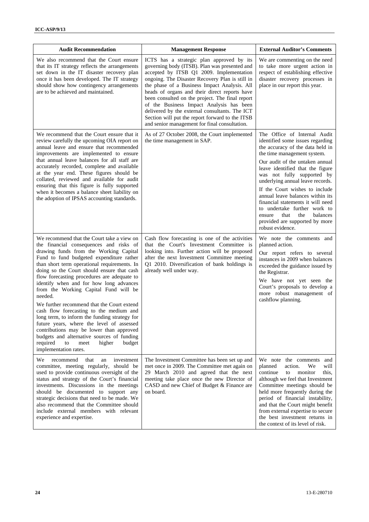| <b>Audit Recommendation</b>                                                                                                                                                                                                                                                                                                                                                                                                                                                                                                                                                                                                                                                                                                                                                     | <b>Management Response</b>                                                                                                                                                                                                                                                                                                                                                                                                                                                                                                                      | <b>External Auditor's Comments</b>                                                                                                                                                                                                                                                                                                                                                                                                                                                                                 |
|---------------------------------------------------------------------------------------------------------------------------------------------------------------------------------------------------------------------------------------------------------------------------------------------------------------------------------------------------------------------------------------------------------------------------------------------------------------------------------------------------------------------------------------------------------------------------------------------------------------------------------------------------------------------------------------------------------------------------------------------------------------------------------|-------------------------------------------------------------------------------------------------------------------------------------------------------------------------------------------------------------------------------------------------------------------------------------------------------------------------------------------------------------------------------------------------------------------------------------------------------------------------------------------------------------------------------------------------|--------------------------------------------------------------------------------------------------------------------------------------------------------------------------------------------------------------------------------------------------------------------------------------------------------------------------------------------------------------------------------------------------------------------------------------------------------------------------------------------------------------------|
| We also recommend that the Court ensure<br>that its IT strategy reflects the arrangements<br>set down in the IT disaster recovery plan<br>once it has been developed. The IT strategy<br>should show how contingency arrangements<br>are to be achieved and maintained.                                                                                                                                                                                                                                                                                                                                                                                                                                                                                                         | ICTS has a strategic plan approved by its<br>governing body (ITSB). Plan was presented and<br>accepted by ITSB Q1 2009. Implementation<br>ongoing. The Disaster Recovery Plan is still in<br>the phase of a Business Impact Analysis. All<br>heads of organs and their direct reports have<br>been consulted on the project. The final report<br>of the Business Impact Analysis has been<br>delivered by the external consultants. The ICT<br>Section will put the report forward to the ITSB<br>and senior management for final consultation. | We are commenting on the need<br>to take more urgent action in<br>respect of establishing effective<br>disaster recovery processes in<br>place in our report this year.                                                                                                                                                                                                                                                                                                                                            |
| We recommend that the Court ensure that it<br>review carefully the upcoming OIA report on<br>annual leave and ensure that recommended<br>improvements are implemented to ensure<br>that annual leave balances for all staff are<br>accurately recorded, complete and available<br>at the year end. These figures should be<br>collated, reviewed and available for audit<br>ensuring that this figure is fully supported<br>when it becomes a balance sheet liability on<br>the adoption of IPSAS accounting standards.                                                                                                                                                                                                                                                         | As of 27 October 2008, the Court implemented<br>the time management in SAP.                                                                                                                                                                                                                                                                                                                                                                                                                                                                     | The Office of Internal Audit<br>identified some issues regarding<br>the accuracy of the data held in<br>the time management system.<br>Our audit of the untaken annual<br>leave identified that the figure<br>was not fully supported by<br>underlying annual leave records.<br>If the Court wishes to include<br>annual leave balances within its<br>financial statements it will need<br>to undertake further work to<br>that<br>the<br>balances<br>ensure<br>provided are supported by more<br>robust evidence. |
| We recommend that the Court take a view on<br>the financial consequences and risks of<br>drawing funds from the Working Capital<br>Fund to fund budgeted expenditure rather<br>than short term operational requirements. In<br>doing so the Court should ensure that cash<br>flow forecasting procedures are adequate to<br>identify when and for how long advances<br>from the Working Capital Fund will be<br>needed.<br>We further recommend that the Court extend<br>cash flow forecasting to the medium and<br>long term, to inform the funding strategy for<br>future years, where the level of assessed<br>contributions may be lower than approved<br>budgets and alternative sources of funding<br>required<br>meet<br>higher<br>budget<br>to<br>implementation rates. | Cash flow forecasting is one of the activities<br>that the Court's Investment Committee is<br>looking into. Further action will be proposed<br>after the next Investment Committee meeting<br>Q1 2010. Diversification of bank holdings is<br>already well under way.                                                                                                                                                                                                                                                                           | We note the comments and<br>planned action.<br>Our report refers to several<br>instances in 2009 when balances<br>exceeded the guidance issued by<br>the Registrar.<br>We have not yet seen the<br>Court's proposals to develop a<br>more robust management of<br>cashflow planning.                                                                                                                                                                                                                               |
| We<br>recommend<br>that<br>investment<br>an<br>committee, meeting regularly, should be<br>used to provide continuous oversight of the<br>status and strategy of the Court's financial<br>investments. Discussions in the meetings<br>should be documented to support any<br>strategic decisions that need to be made. We<br>also recommend that the Committee should<br>include external members with relevant<br>experience and expertise.                                                                                                                                                                                                                                                                                                                                     | The Investment Committee has been set up and<br>met once in 2009. The Committee met again on<br>29 March 2010 and agreed that the next<br>meeting take place once the new Director of<br>CASD and new Chief of Budget & Finance are<br>on board.                                                                                                                                                                                                                                                                                                | We note the comments and<br>planned<br>action.<br>We<br>will<br>continue<br>to<br>monitor<br>this.<br>although we feel that Investment<br>Committee meetings should be<br>held more frequently during the<br>period of financial instability,<br>and that the Court might benefit<br>from external expertise to secure<br>the best investment returns in<br>the context of its level of risk.                                                                                                                      |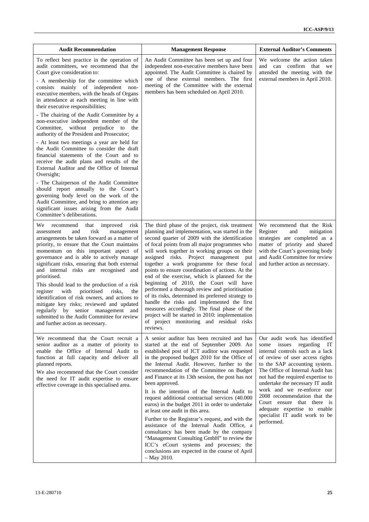| <b>Audit Recommendation</b>                                                                                                                                                                                                                                                                                                                                                                                                                                                                                                                                                                                                                                                                                                                                                                                                                                                                                                                                                                                                                    | <b>Management Response</b>                                                                                                                                                                                                                                                                                                                                                                                                                                                                                                                                                                                                                                                                                                                                                                                                                                        | <b>External Auditor's Comments</b>                                                                                                                                                                                                                                                                                                                                                                                                                                  |  |  |
|------------------------------------------------------------------------------------------------------------------------------------------------------------------------------------------------------------------------------------------------------------------------------------------------------------------------------------------------------------------------------------------------------------------------------------------------------------------------------------------------------------------------------------------------------------------------------------------------------------------------------------------------------------------------------------------------------------------------------------------------------------------------------------------------------------------------------------------------------------------------------------------------------------------------------------------------------------------------------------------------------------------------------------------------|-------------------------------------------------------------------------------------------------------------------------------------------------------------------------------------------------------------------------------------------------------------------------------------------------------------------------------------------------------------------------------------------------------------------------------------------------------------------------------------------------------------------------------------------------------------------------------------------------------------------------------------------------------------------------------------------------------------------------------------------------------------------------------------------------------------------------------------------------------------------|---------------------------------------------------------------------------------------------------------------------------------------------------------------------------------------------------------------------------------------------------------------------------------------------------------------------------------------------------------------------------------------------------------------------------------------------------------------------|--|--|
| To reflect best practice in the operation of<br>audit committees, we recommend that the<br>Court give consideration to:<br>- A membership for the committee which<br>mainly of independent<br>consists<br>non-<br>executive members, with the heads of Organs<br>in attendance at each meeting in line with<br>their executive responsibilities;<br>- The chairing of the Audit Committee by a<br>non-executive independent member of the<br>Committee, without prejudice to<br>the<br>authority of the President and Prosecutor;<br>- At least two meetings a year are held for<br>the Audit Committee to consider the draft<br>financial statements of the Court and to<br>receive the audit plans and results of the<br>External Auditor and the Office of Internal<br>Oversight;<br>- The Chairperson of the Audit Committee<br>should report annually to the Court's<br>governing body level on the work of the<br>Audit Committee, and bring to attention any<br>significant issues arising from the Audit<br>Committee's deliberations. | An Audit Committee has been set up and four<br>independent non-executive members have been<br>appointed. The Audit Committee is chaired by<br>one of these external members. The first<br>meeting of the Committee with the external<br>members has been scheduled on April 2010.                                                                                                                                                                                                                                                                                                                                                                                                                                                                                                                                                                                 | We welcome the action taken<br>and can confirm that we<br>attended the meeting with the<br>external members in April 2010.                                                                                                                                                                                                                                                                                                                                          |  |  |
| improved<br>risk<br>We-<br>recommend<br>that<br>risk<br>and<br>management<br>assessment<br>arrangements be taken forward as a matter of<br>priority, to ensure that the Court maintains<br>momentum on this important aspect of<br>governance and is able to actively manage<br>significant risks, ensuring that both external<br>and internal risks are recognised and<br>prioritised.<br>This should lead to the production of a risk<br>with<br>prioritised<br>register<br>risks.<br>the<br>identification of risk owners, and actions to<br>mitigate key risks; reviewed and updated<br>regularly by senior management and<br>submitted to the Audit Committee for review<br>and further action as necessary.                                                                                                                                                                                                                                                                                                                              | The third phase of the project, risk treatment<br>planning and implementation, was started in the<br>second quarter of 2009 with the identification<br>of focal points from all major programmes who<br>will work together in working groups on their<br>assigned risks. Project management<br>put<br>together a work programme for these focal<br>points to ensure coordination of actions. At the<br>end of the exercise, which is planned for the<br>beginning of 2010, the Court will have<br>performed a thorough review and prioritisation<br>of its risks, determined its preferred strategy to<br>handle the risks and implemented the first<br>measures accordingly. The final phase of the<br>project will be started in 2010: implementation<br>of project monitoring and residual risks<br>reviews.                                                   | We recommend that the Risk<br>Register<br>mitigation<br>and<br>strategies are completed as a<br>matter of priority and shared<br>with the Court's governing body<br>and Audit Committee for review<br>and further action as necessary.                                                                                                                                                                                                                              |  |  |
| We recommend that the Court recruit a<br>senior auditor as a matter of priority to<br>enable the Office of Internal Audit to<br>function at full capacity and deliver all<br>planned reports.<br>We also recommend that the Court consider<br>the need for IT audit expertise to ensure<br>effective coverage in this specialised area.                                                                                                                                                                                                                                                                                                                                                                                                                                                                                                                                                                                                                                                                                                        | A senior auditor has been recruited and has<br>started at the end of September 2009. An<br>established post of ICT auditor was requested<br>in the proposed budget 2010 for the Office of<br>the Internal Audit. However, further to the<br>recommendation of the Committee on Budget<br>and Finance at its 13th session, the post has not<br>been approved.<br>It is the intention of the Internal Audit to<br>request additional contractual services (40.000<br>euros) in the budget 2011 in order to undertake<br>at least one audit in this area.<br>Further to the Registrar's request, and with the<br>assistance of the Internal Audit Office, a<br>consultancy has been made by the company<br>"Management Consulting GmbH" to review the<br>ICC's eCourt systems and processes; the<br>conclusions are expected in the course of April<br>$-$ May 2010. | Our audit work has identified<br>issues<br>regarding<br>some<br>IT<br>internal controls such as a lack<br>of review of user access rights<br>to the SAP accounting system.<br>The Office of Internal Audit has<br>not had the required expertise to<br>undertake the necessary IT audit<br>work and we re-enforce our<br>2008 recommendation that the<br>Court ensure that there is<br>adequate expertise to enable<br>specialist IT audit work to be<br>performed. |  |  |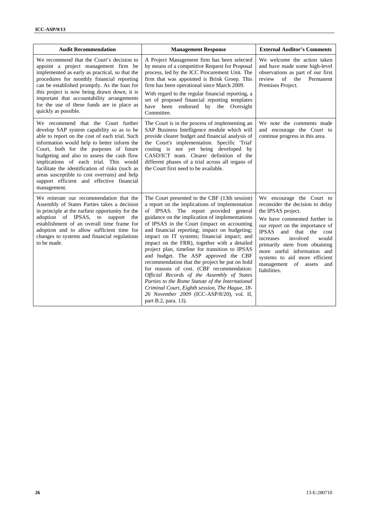| <b>Audit Recommendation</b>                                                                                                                                                                                                                                                                                                                                                                                                                                                        | <b>Management Response</b>                                                                                                                                                                                                                                                                                                                                                                                                                                                                                                                                                                                                                                                                                                                                                                                  | <b>External Auditor's Comments</b>                                                                                                                                                                                                                                                                                                                                                     |
|------------------------------------------------------------------------------------------------------------------------------------------------------------------------------------------------------------------------------------------------------------------------------------------------------------------------------------------------------------------------------------------------------------------------------------------------------------------------------------|-------------------------------------------------------------------------------------------------------------------------------------------------------------------------------------------------------------------------------------------------------------------------------------------------------------------------------------------------------------------------------------------------------------------------------------------------------------------------------------------------------------------------------------------------------------------------------------------------------------------------------------------------------------------------------------------------------------------------------------------------------------------------------------------------------------|----------------------------------------------------------------------------------------------------------------------------------------------------------------------------------------------------------------------------------------------------------------------------------------------------------------------------------------------------------------------------------------|
| We recommend that the Court's decision to<br>appoint a project management firm be<br>implemented as early as practical, so that the<br>procedures for monthly financial reporting<br>can be established promptly. As the loan for<br>this project is now being drawn down, it is<br>important that accountability arrangements<br>for the use of these funds are in place as<br>quickly as possible.                                                                               | A Project Management firm has been selected<br>by means of a competitive Request for Proposal<br>process, led by the ICC Procurement Unit. The<br>firm that was appointed is Brink Groep. This<br>firm has been operational since March 2009.<br>With regard to the regular financial reporting, a<br>set of proposed financial reporting templates<br>have been endorsed by the Oversight<br>Committee.                                                                                                                                                                                                                                                                                                                                                                                                    | We welcome the action taken<br>and have made some high-level<br>observations as part of our first<br>review<br>$\sigma$ f<br>the<br>Permanent<br>Premises Project.                                                                                                                                                                                                                     |
| We recommend that the Court further<br>develop SAP system capability so as to be<br>able to report on the cost of each trial. Such<br>information would help to better inform the<br>Court, both for the purposes of future<br>budgeting and also to assess the cash flow<br>implications of each trial. This would<br>facilitate the identification of risks (such as<br>areas susceptible to cost overruns) and help<br>support efficient and effective financial<br>management. | The Court is in the process of implementing an<br>SAP Business Intelligence module which will<br>provide clearer budget and financial analysis of<br>the Court's implementation. Specific 'Trial'<br>costing is not yet being developed by<br>CASD/ICT team. Clearer definition of the<br>different phases of a trial across all organs of<br>the Court first need to be available.                                                                                                                                                                                                                                                                                                                                                                                                                         | We note the comments made<br>and encourage the Court to<br>continue progress in this area.                                                                                                                                                                                                                                                                                             |
| We reiterate our recommendation that the<br>Assembly of States Parties takes a decision<br>in principle at the earliest opportunity for the<br>adoption of IPSAS, to<br>support<br>the<br>establishment of an overall time frame for<br>adoption and to allow sufficient time for<br>changes to systems and financial regulations<br>to be made.                                                                                                                                   | The Court presented to the CBF (13th session)<br>a report on the implications of implementation<br>of IPSAS. The report provided general<br>guidance on the implication of implementations<br>of IPSAS in the Court (impact on accounting<br>and financial reporting; impact on budgeting;<br>impact on IT systems; financial impact; and<br>impact on the FRR), together with a detailed<br>project plan, timeline for transition to IPSAS<br>and budget. The ASP approved the CBF<br>recommendation that the project be put on hold<br>for reasons of cost. (CBF recommendation:<br>Official Records of the Assembly of States<br>Parties to the Rome Statute of the International<br>Criminal Court, Eighth session, The Hague, 18-<br>26 November 2009 (ICC-ASP/8/20), vol. II,<br>part B.2, para. 13). | We encourage the Court to<br>reconsider the decision to delay<br>the IPSAS project.<br>We have commented further in<br>our report on the importance of<br><b>IPSAS</b><br>and<br>that<br>the<br>cost<br>increases<br>involved<br>would<br>primarily stem from obtaining<br>more useful information and<br>systems to aid more efficient<br>management of assets<br>and<br>liabilities. |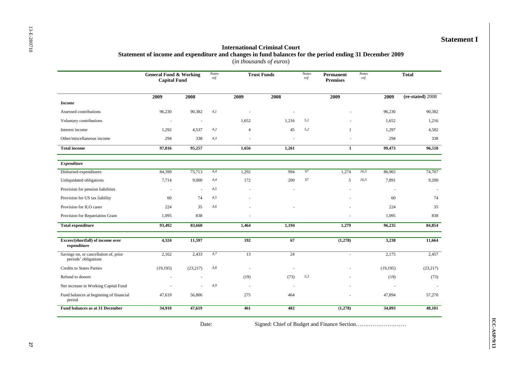#### **Statement I**

#### **International Criminal Court Statement of income and expenditure and changes in fund balances for the period ending 31 December 2009**  (*in thousands of euros*)

|                                                               | <b>General Fund &amp; Working</b><br><b>Capital Fund</b> |                | <b>Notes</b><br><b>Trust Funds</b><br>ref.<br>ref. |                |                          | <b>Notes</b>   | Permanent<br><b>Premises</b> | <b>Notes</b><br>ref. |           | <b>Total</b>     |
|---------------------------------------------------------------|----------------------------------------------------------|----------------|----------------------------------------------------|----------------|--------------------------|----------------|------------------------------|----------------------|-----------|------------------|
|                                                               | 2009                                                     | 2008           |                                                    | 2009           | 2008                     |                | 2009                         |                      | 2009      | (re-stated) 2008 |
| <b>Income</b>                                                 |                                                          |                |                                                    |                |                          |                |                              |                      |           |                  |
| Assessed contributions                                        | 96,230                                                   | 90,382         | 4,1                                                |                |                          |                |                              |                      | 96,230    | 90,382           |
| Voluntary contributions                                       |                                                          | ÷              |                                                    | 1,652          | 1,216                    | 5,1            |                              |                      | 1,652     | 1,216            |
| Interest income                                               | 1,292                                                    | 4,537          | 4,2                                                | $\overline{4}$ | 45                       | 5,2            | 1                            |                      | 1,297     | 4,582            |
| Other/miscellaneous income                                    | 294                                                      | 338            | 4,3                                                | $\sim$         |                          |                |                              |                      | 294       | 338              |
| <b>Total income</b>                                           | 97,816                                                   | 95,257         |                                                    | 1,656          | 1,261                    |                | $\mathbf{1}$                 |                      | 99,473    | 96,518           |
| Expenditure                                                   |                                                          |                |                                                    |                |                          |                |                              |                      |           |                  |
| Disbursed expenditures                                        | 84,399                                                   | 73,713         | 4,4                                                | 1,292          | 994                      | S <sub>7</sub> | 1,274                        | 16,5                 | 86,965    | 74,707           |
| Unliquidated obligations                                      | 7,714                                                    | 9,000          | 4,4                                                | 172            | 200                      | S7             | 5                            | 16,5                 | 7,891     | 9,200            |
| Provision for pension liabilities                             |                                                          | $\overline{a}$ | 4,5                                                |                |                          |                |                              |                      | $\sim$    |                  |
| Provision for US tax liability                                | 60                                                       | 74             | 4,5                                                |                |                          |                |                              |                      | 60        | 74               |
| Provision for ILO cases                                       | 224                                                      | 35             | 4,6                                                |                |                          |                |                              |                      | 224       | 35               |
| Provision for Repatriation Grant                              | 1,095                                                    | 838            |                                                    |                |                          |                |                              |                      | 1,095     | 838              |
| <b>Total expenditure</b>                                      | 93,492                                                   | 83,660         |                                                    | 1,464          | 1,194                    |                | 1,279                        |                      | 96,235    | 84,854           |
| Excess/(shortfall) of income over<br>expenditure              | 4,324                                                    | 11,597         |                                                    | 192            | 67                       |                | (1,278)                      |                      | 3,238     | 11,664           |
| Savings on, or cancellation of, prior<br>periods' obligations | 2,162                                                    | 2,433          | 4,7                                                | 13             | $\overline{24}$          |                | $\sim$                       |                      | 2,175     | 2,457            |
| <b>Credits to States Parties</b>                              | (19,195)                                                 | (23, 217)      | 4,8                                                | $\sim$         |                          |                |                              |                      | (19, 195) | (23,217)         |
| Refund to donors                                              |                                                          |                |                                                    | (19)           | (73)                     | 5,3            |                              |                      | (19)      | (73)             |
| Net increase in Working Capital Fund                          |                                                          |                | 4,9                                                | $\sim$         | $\overline{\phantom{a}}$ |                |                              |                      |           |                  |
| Fund balances at beginning of financial<br>period             | 47,619                                                   | 56,806         |                                                    | 275            | 464                      |                |                              |                      | 47,894    | 57,270           |
| Fund balances as at 31 December                               | 34,910                                                   | 47,619         |                                                    | 461            | 482                      |                | (1,278)                      |                      | 34,093    | 48,101           |

Date: Signed: Chief of Budget and Finance Section……………………………………………………………………………………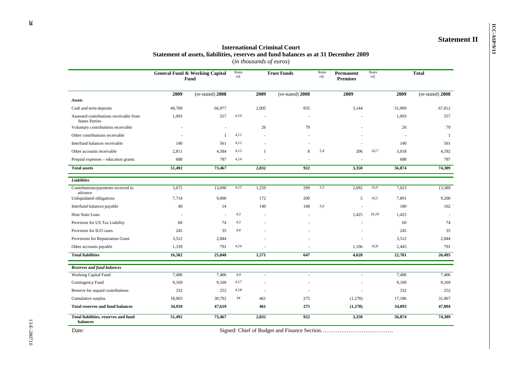# **ICC-ASP/9/13 International Criminal Court**<br> **ICC-ASP/9/13 International Criminal Court** Statement II Statement II Statement II Statement of assets, liabilities, reserves and fund balances as at 31 December 2009 (*in thousands of euros*)

|                                                                 | <b>General Fund &amp; Working Capital</b><br>Fund |                  | <b>Notes</b><br>ref. |              |                  | <b>Notes</b><br><b>Trust Funds</b><br>ref. |         | Permanent<br><b>Premises</b> | <b>Notes</b><br>ref. |                  | <b>Total</b> |  |
|-----------------------------------------------------------------|---------------------------------------------------|------------------|----------------------|--------------|------------------|--------------------------------------------|---------|------------------------------|----------------------|------------------|--------------|--|
|                                                                 | 2009                                              | (re-stated) 2008 |                      | 2009         | (re-stated) 2008 |                                            | 2009    |                              | 2009                 | (re-stated) 2008 |              |  |
| <b>Assets</b>                                                   |                                                   |                  |                      |              |                  |                                            |         |                              |                      |                  |              |  |
| Cash and term deposits                                          | 46,760                                            | 66,977           |                      | 2,005        | 835              |                                            | 3,144   |                              | 51,909               | 67.812           |              |  |
| Assessed contributions receivable from<br><b>States Parties</b> | 1,093                                             | 557              | 4,10                 |              |                  |                                            |         |                              | 1,093                | 557              |              |  |
| Voluntary contributions receivable                              |                                                   | $\overline{a}$   |                      | 26           | 79               |                                            |         |                              | 26                   | 79               |              |  |
| Other contributions receivable                                  |                                                   | $\mathbf{1}$     | 4,11                 |              |                  |                                            |         |                              |                      | 1                |              |  |
| Interfund balances receivable                                   | 140                                               | 561              | 4,12                 |              |                  |                                            |         |                              | 140                  | 561              |              |  |
| Other accounts receivable                                       | 2,811                                             | 4,584            | 4,13                 | $\mathbf{1}$ | 8                | 5,4                                        | 206     | 16,7                         | 3,018                | 4,592            |              |  |
| Prepaid expenses - education grants                             | 688                                               | 787              | 4,14                 |              |                  |                                            |         |                              | 688                  | 787              |              |  |
| <b>Total assets</b>                                             | 51,492                                            | 73,467           |                      | 2,032        | 922              |                                            | 3,350   |                              | 56,874               | 74,389           |              |  |
| Liabilities                                                     |                                                   |                  |                      |              |                  |                                            |         |                              |                      |                  |              |  |
| Contributions/payments received in<br>advance                   | 3,672                                             | 13,090           | 4,15                 | 1,259        | 299              | 5.5                                        | 2.092   | 16,9                         | 7,023                | 13,389           |              |  |
| Unliquidated obligations                                        | 7.714                                             | 9,000            |                      | 172          | 200              |                                            | 5       | 16,5                         | 7.891                | 9,200            |              |  |
| Interfund balances payable                                      | 40                                                | 14               |                      | 140          | 148              | 5,6                                        |         |                              | 180                  | 162              |              |  |
| Host State Loan                                                 |                                                   | $\overline{a}$   | 4,5                  |              |                  |                                            | 1,425   | 16,10                        | 1,425                |                  |              |  |
| Provision for US Tax Liability                                  | 60                                                | 74               | 4,5                  |              |                  |                                            |         |                              | 60                   | 74               |              |  |
| Provision for ILO cases                                         | 245                                               | 35               | 4,6                  |              |                  |                                            |         |                              | 245                  | 35               |              |  |
| Provisions for Repatriation Grant                               | 3,512                                             | 2,844            |                      |              |                  |                                            |         |                              | 3,512                | 2,844            |              |  |
| Other accounts payable                                          | 1,339                                             | 791              | 4,16                 |              |                  |                                            | 1,106   | 16,8                         | 2,445                | 791              |              |  |
| <b>Total liabilities</b>                                        | 16,582                                            | 25,848           |                      | 1,571        | 647              |                                            | 4,628   |                              | 22,781               | 26,495           |              |  |
| <b>Reserves and fund balances</b>                               |                                                   |                  |                      |              |                  |                                            |         |                              |                      |                  |              |  |
| Working Capital Fund                                            | 7,406                                             | 7,406            | 4,9                  | $\sim$       | $\sim$           |                                            |         |                              | 7,406                | 7,406            |              |  |
| Contingency Fund                                                | 9,169                                             | 9.169            | 4,17                 |              |                  |                                            |         |                              | 9,169                | 9,169            |              |  |
| Reserve for unpaid contributions                                | 332                                               | 252              | 4,18                 |              |                  |                                            |         |                              | 332                  | 252              |              |  |
| Cumulative surplus                                              | 18,003                                            | 30,792           | S4                   | 461          | 275              |                                            | (1,278) |                              | 17,186               | 31,067           |              |  |
| <b>Total reserves and fund balances</b>                         | 34,910                                            | 47,619           |                      | 461          | 275              |                                            | (1,278) |                              | 34,093               | 47,894           |              |  |
| Total liabilities, reserves and fund<br>balances                | 51,492                                            | 73,467           |                      | 2,032        | 922              |                                            | 3,350   |                              | 56,874               | 74,389           |              |  |

Date: Signed: Chief of Budget and Finance Section……………………………………………………………………………………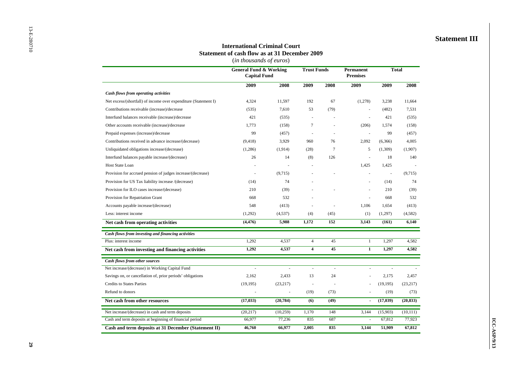#### **Statement III**

#### **International Criminal Court Statement of cash flow as at 31 December 2009**

(*in thousands of euros*)

|                                                                 | <b>General Fund &amp; Working</b><br><b>Capital Fund</b> |           | <b>Trust Funds</b>       |                | <b>Permanent</b><br><b>Premises</b> | <b>Total</b> |           |
|-----------------------------------------------------------------|----------------------------------------------------------|-----------|--------------------------|----------------|-------------------------------------|--------------|-----------|
|                                                                 | 2009                                                     | 2008      | 2009                     | 2008           | 2009                                | 2009         | 2008      |
| Cash flows from operating activities                            |                                                          |           |                          |                |                                     |              |           |
| Net excess/(shortfall) of income over expenditure (Statement I) | 4,324                                                    | 11,597    | 192                      | 67             | (1,278)                             | 3,238        | 11,664    |
| Contributions receivable (increase)/decrease                    | (535)                                                    | 7,610     | 53                       | (79)           |                                     | (482)        | 7,531     |
| Interfund balances receivable (increase)/decrease               | 421                                                      | (535)     | ÷,                       |                |                                     | 421          | (535)     |
| Other accounts receivable (increase)/decrease                   | 1,773                                                    | (158)     | $\tau$                   |                | (206)                               | 1,574        | (158)     |
| Prepaid expenses (increase)/decrease                            | 99                                                       | (457)     | ä,                       |                |                                     | 99           | (457)     |
| Contributions received in advance increase/(decrease)           | (9, 418)                                                 | 3,929     | 960                      | 76             | 2,092                               | (6,366)      | 4,005     |
| Unliquidated obligations increase/(decrease)                    | (1,286)                                                  | (1,914)   | (28)                     | $\overline{7}$ | 5                                   | (1,309)      | (1,907)   |
| Interfund balances payable increase/(decrease)                  | 26                                                       | 14        | (8)                      | 126            |                                     | 18           | 140       |
| <b>Host State Loan</b>                                          |                                                          |           | ä,                       |                | 1,425                               | 1,425        |           |
| Provision for accrued pension of judges increase/(decrease)     | $\overline{\phantom{a}}$                                 | (9,715)   |                          |                |                                     | ÷,           | (9,715)   |
| Provision for US Tax liability increase /(decrease)             | (14)                                                     | 74        |                          |                |                                     | (14)         | 74        |
| Provision for ILO cases increase/(decrease)                     | 210                                                      | (39)      |                          |                |                                     | 210          | (39)      |
| Provision for Repatriation Grant                                | 668                                                      | 532       |                          |                |                                     | 668          | 532       |
| Accounts payable increase/(decrease)                            | 548                                                      | (413)     |                          |                | 1,106                               | 1,654        | (413)     |
| Less: interest income                                           | (1,292)                                                  | (4,537)   | (4)                      | (45)           | (1)                                 | (1,297)      | (4,582)   |
| Net cash from operating activities                              | (4, 476)                                                 | 5,988     | 1,172                    | 152            | 3,143                               | (161)        | 6,140     |
| Cash flows from investing and financing activities              |                                                          |           |                          |                |                                     |              |           |
| Plus: interest income                                           | 1,292                                                    | 4,537     | $\overline{\mathbf{4}}$  | 45             | $\mathbf{1}$                        | 1,297        | 4,582     |
| Net cash from investing and financing activities                | 1,292                                                    | 4,537     | $\overline{\mathbf{4}}$  | 45             | $\mathbf{1}$                        | 1,297        | 4,582     |
| <b>Cash flows from other sources</b>                            |                                                          |           |                          |                |                                     |              |           |
| Net increase/(decrease) in Working Capital Fund                 | ÷.                                                       | J.        | $\sim$                   | $\sim$         | ÷.                                  | ÷.           |           |
| Savings on, or cancellation of, prior periods' obligations      | 2,162                                                    | 2,433     | 13                       | 24             |                                     | 2,175        | 2,457     |
| <b>Credits to States Parties</b>                                | (19, 195)                                                | (23, 217) | $\overline{\phantom{a}}$ |                |                                     | (19, 195)    | (23, 217) |
| Refund to donors                                                |                                                          |           | (19)                     | (73)           |                                     | (19)         | (73)      |
| Net cash from other resources                                   | (17, 033)                                                | (20, 784) | (6)                      | (49)           | ä,                                  | (17, 039)    | (20, 833) |
| Net increase/(decrease) in cash and term deposits               | (20, 217)                                                | (10,259)  | 1,170                    | 148            | 3,144                               | (15,903)     | (10, 111) |
| Cash and term deposits at beginning of financial period         | 66,977                                                   | 77,236    | 835                      | 687            | ä,                                  | 67,812       | 77,923    |
| Cash and term deposits at 31 December (Statement II)            | 46,760                                                   | 66,977    | 2,005                    | 835            | 3,144                               | 51,909       | 67,812    |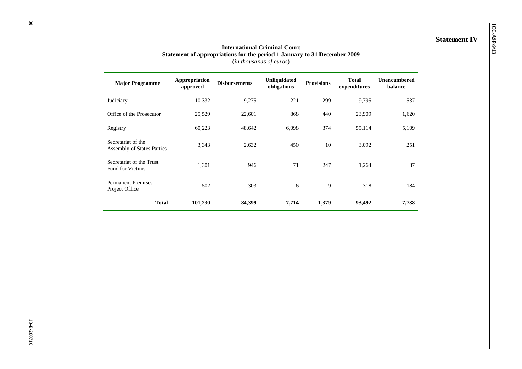# **INTERFORM INTERFORM IN INTERFORMATA CONTRACT AT A STATE IN STATEMENT IV**<br> **INSTERNATION** Statement of appropriations for the period 1 January to 31 December 2009 (*in thousands of euros*)

| <b>Major Programme</b>                                  | Appropriation<br>approved | <b>Disbursements</b> | <b>Unliquidated</b><br>obligations | <b>Provisions</b> | <b>Total</b><br>expenditures | <b>Unencumbered</b><br>balance |
|---------------------------------------------------------|---------------------------|----------------------|------------------------------------|-------------------|------------------------------|--------------------------------|
| Judiciary                                               | 10,332                    | 9,275                | 221                                | 299               | 9,795                        | 537                            |
| Office of the Prosecutor                                | 25,529                    | 22,601               | 868                                | 440               | 23,909                       | 1,620                          |
| Registry                                                | 60,223                    | 48,642               | 6,098                              | 374               | 55,114                       | 5,109                          |
| Secretariat of the<br><b>Assembly of States Parties</b> | 3,343                     | 2,632                | 450                                | 10                | 3,092                        | 251                            |
| Secretariat of the Trust<br><b>Fund for Victims</b>     | 1,301                     | 946                  | 71                                 | 247               | 1,264                        | 37                             |
| <b>Permanent Premises</b><br>Project Office             | 502                       | 303                  | 6                                  | 9                 | 318                          | 184                            |
| <b>Total</b>                                            | 101,230                   | 84,399               | 7,714                              | 1,379             | 93,492                       | 7,738                          |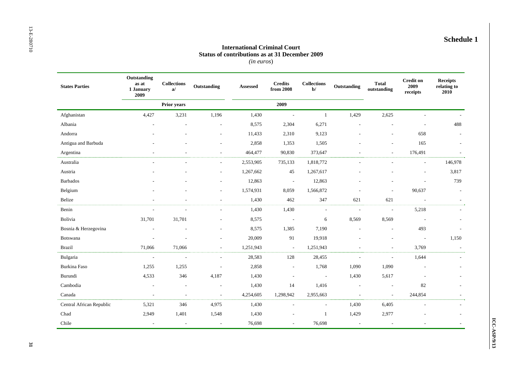#### **International Criminal Court Status of contributions as at 31 December 2009**  *(in euros*)

| <b>States Parties</b>    | Outstanding<br>as at<br>1 January<br>2009 | <b>Collections</b><br>a/ | Outstanding              | Assessed  | <b>Credits</b><br>from 2008 | $\label{thm:1} \textbf{Collections}$<br>$b$ | Outstanding              | <b>Total</b><br>outstanding | <b>Credit on</b><br>2009<br>receipts | <b>Receipts</b><br>relating to<br>2010 |
|--------------------------|-------------------------------------------|--------------------------|--------------------------|-----------|-----------------------------|---------------------------------------------|--------------------------|-----------------------------|--------------------------------------|----------------------------------------|
|                          |                                           | <b>Prior years</b>       |                          |           | 2009                        |                                             |                          |                             |                                      |                                        |
| Afghanistan              | 4,427                                     | 3,231                    | 1,196                    | 1,430     | $\sim$                      | $\mathbf{1}$                                | 1,429                    | 2,625                       |                                      |                                        |
| Albania                  |                                           |                          |                          | 8,575     | 2,304                       | 6,271                                       |                          |                             |                                      | 488                                    |
| Andorra                  |                                           |                          | $\overline{\phantom{a}}$ | 11,433    | 2,310                       | 9,123                                       |                          | $\overline{a}$              | 658                                  | $\overline{a}$                         |
| Antigua and Barbuda      |                                           |                          |                          | 2,858     | 1,353                       | 1,505                                       |                          |                             | 165                                  |                                        |
| Argentina                |                                           |                          | $\sim$                   | 464,477   | 90,830                      | 373,647                                     | ÷,                       | $\overline{a}$              | 176,491                              |                                        |
| Australia                |                                           |                          | $\sim$                   | 2,553,905 | 735,133                     | 1,818,772                                   | ÷,                       | $\overline{\phantom{a}}$    | $\sim$                               | 146,978                                |
| Austria                  |                                           |                          |                          | 1,267,662 | 45                          | 1,267,617                                   |                          |                             | ä,                                   | 3,817                                  |
| <b>Barbados</b>          |                                           |                          |                          | 12,863    | $\overline{\phantom{a}}$    | 12,863                                      |                          |                             |                                      | 739                                    |
| Belgium                  |                                           |                          | $\sim$                   | 1,574,931 | 8,059                       | 1,566,872                                   |                          | $\overline{\phantom{a}}$    | 90,637                               | $\overline{\phantom{a}}$               |
| Belize                   | $\overline{a}$                            |                          | $\sim$                   | 1,430     | 462                         | 347                                         | 621                      | 621                         | $\overline{\phantom{a}}$             |                                        |
| Benin                    | ÷,                                        |                          |                          | 1,430     | 1,430                       | $\overline{\phantom{a}}$                    | $\overline{\phantom{a}}$ | $\overline{\phantom{a}}$    | 5,218                                |                                        |
| Bolivia                  | 31,701                                    | 31,701                   |                          | 8,575     | $\blacksquare$              | 6                                           | 8,569                    | 8,569                       | $\overline{\phantom{a}}$             |                                        |
| Bosnia & Herzegovina     |                                           |                          |                          | 8,575     | 1,385                       | 7,190                                       | L,                       | $\overline{a}$              | 493                                  |                                        |
| Botswana                 | $\overline{a}$                            | $\overline{\phantom{a}}$ |                          | 20,009    | 91                          | 19,918                                      |                          | $\overline{a}$              | $\overline{\phantom{a}}$             | 1,150                                  |
| <b>Brazil</b>            | 71,066                                    | 71,066                   | $\overline{\phantom{a}}$ | 1,251,943 | $\mathbf{L}$                | 1,251,943                                   | $\overline{a}$           | $\overline{a}$              | 3,769                                | $\overline{\phantom{a}}$               |
| Bulgaria                 | $\overline{\phantom{a}}$                  | $\overline{\phantom{a}}$ | $\overline{\phantom{a}}$ | 28,583    | 128                         | 28,455                                      | ÷,                       | ÷,                          | 1,644                                |                                        |
| Burkina Faso             | 1,255                                     | 1,255                    | $\overline{\phantom{a}}$ | 2,858     | $\blacksquare$              | 1,768                                       | 1,090                    | 1,090                       | $\overline{\phantom{a}}$             |                                        |
| Burundi                  | 4,533                                     | 346                      | 4,187                    | 1,430     | $\overline{\phantom{a}}$    | $\overline{\phantom{a}}$                    | 1,430                    | 5,617                       |                                      |                                        |
| Cambodia                 | $\overline{a}$                            | $\sim$                   | $\overline{\phantom{a}}$ | 1,430     | 14                          | 1,416                                       | $\overline{\phantom{a}}$ | $\overline{\phantom{a}}$    | 82                                   |                                        |
| Canada                   | L,                                        | $\overline{\phantom{a}}$ | $\overline{\phantom{a}}$ | 4,254,605 | 1,298,942                   | 2,955,663                                   | L,                       | $\sim$                      | 244,854                              |                                        |
| Central African Republic | 5,321                                     | 346                      | 4,975                    | 1,430     | $\sim$                      | $\sim$                                      | 1,430                    | 6,405                       | $\overline{\phantom{a}}$             |                                        |
| Chad                     | 2,949                                     | 1,401                    | 1,548                    | 1,430     |                             | $\mathbf{1}$                                | 1,429                    | 2,977                       |                                      |                                        |
| Chile                    | $\sim$                                    | $\overline{\phantom{a}}$ | $\overline{\phantom{a}}$ | 76,698    | $\sim$                      | 76,698                                      | $\overline{\phantom{a}}$ | $\overline{\phantom{a}}$    |                                      |                                        |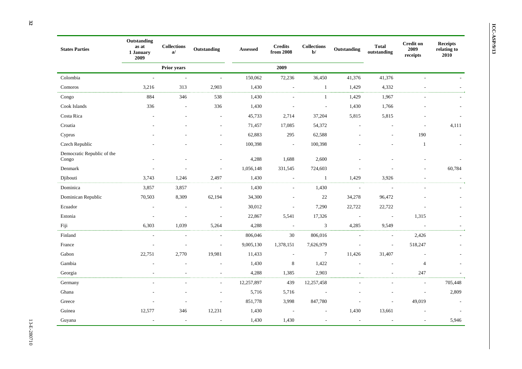| <b>States Parties</b>               | Outstanding<br>as at<br>1 January<br>2009 | $\bf Collections$<br>a   | Outstanding              | <b>Assessed</b> | <b>Credits</b><br>from 2008 | <b>Collections</b><br>$b$ | Outstanding              | <b>Total</b><br>outstanding | <b>Credit on</b><br>2009<br>receipts | <b>Receipts</b><br>relating to<br>2010 |
|-------------------------------------|-------------------------------------------|--------------------------|--------------------------|-----------------|-----------------------------|---------------------------|--------------------------|-----------------------------|--------------------------------------|----------------------------------------|
|                                     |                                           | Prior years              |                          |                 | 2009                        |                           |                          |                             |                                      |                                        |
| Colombia                            | $\sim$                                    | $\overline{\phantom{a}}$ | $\sim$                   | 150,062         | 72,236                      | 36,450                    | 41,376                   | 41,376                      | $\overline{a}$                       |                                        |
| Comoros                             | 3,216                                     | 313                      | 2,903                    | 1,430           | $\overline{\phantom{a}}$    | $\mathbf{1}$              | 1,429                    | 4,332                       | $\overline{\phantom{a}}$             |                                        |
| Congo                               | 884                                       | 346                      | 538                      | 1,430           | $\overline{a}$              | $\mathbf{1}$              | 1,429                    | 1,967                       |                                      |                                        |
| Cook Islands                        | 336                                       | $\overline{\phantom{a}}$ | 336                      | 1,430           |                             | $\overline{\phantom{a}}$  | 1,430                    | 1,766                       |                                      | ٠                                      |
| Costa Rica                          | ٠                                         |                          | ÷,                       | 45,733          | 2,714                       | 37,204                    | 5,815                    | 5,815                       |                                      |                                        |
| Croatia                             |                                           |                          | ÷,                       | 71,457          | 17,085                      | 54,372                    |                          |                             |                                      | 4,111                                  |
| Cyprus                              |                                           |                          |                          | 62,883          | 295                         | 62,588                    |                          |                             | 190                                  |                                        |
| Czech Republic                      |                                           |                          |                          | 100,398         | $\overline{\phantom{a}}$    | 100,398                   |                          |                             | $\mathbf{1}$                         | $\overline{\phantom{a}}$               |
| Democratic Republic of the<br>Congo |                                           |                          |                          | 4,288           | 1,688                       | 2,600                     |                          |                             |                                      |                                        |
| Denmark                             |                                           |                          | $\overline{a}$           | 1,056,148       | 331,545                     | 724,603                   |                          |                             | $\overline{\phantom{a}}$             | 60,784                                 |
| Djibouti                            | 3,743                                     | 1,246                    | 2,497                    | 1,430           | $\blacksquare$              | $\mathbf{1}$              | 1,429                    | 3,926                       |                                      |                                        |
| Dominica                            | 3,857                                     | 3,857                    | $\sim$                   | 1,430           | $\overline{\phantom{a}}$    | 1,430                     | $\sim$                   | $\sim$                      | $\overline{\phantom{a}}$             |                                        |
| Dominican Republic                  | 70,503                                    | 8,309                    | 62,194                   | 34,300          |                             | $22\,$                    | 34,278                   | 96,472                      |                                      |                                        |
| Ecuador                             |                                           |                          | ÷,                       | 30,012          | $\overline{\phantom{a}}$    | 7,290                     | 22,722                   | 22,722                      |                                      |                                        |
| Estonia                             | $\overline{a}$                            | $\overline{\phantom{a}}$ | $\overline{\phantom{a}}$ | 22,867          | 5,541                       | 17,326                    | $\overline{\phantom{a}}$ | $\overline{\phantom{a}}$    | 1,315                                |                                        |
| Fiji                                | 6,303                                     | 1,039                    | 5,264                    | 4,288           | $\overline{\phantom{a}}$    | $\mathfrak{Z}$            | 4,285                    | 9,549                       | $\overline{a}$                       |                                        |
| Finland                             | ÷,                                        | $\overline{\phantom{a}}$ | $\overline{\phantom{a}}$ | 806,046         | 30                          | 806,016                   | $\sim$                   | $\overline{\phantom{a}}$    | 2,426                                |                                        |
| France                              | $\overline{\phantom{a}}$                  | $\overline{\phantom{a}}$ | $\sim$                   | 9,005,130       | 1,378,151                   | 7,626,979                 | $\overline{\phantom{a}}$ | $\overline{\phantom{a}}$    | 518,247                              |                                        |
| Gabon                               | 22,751                                    | 2,770                    | 19,981                   | 11,433          | $\overline{\phantom{a}}$    | $\tau$                    | 11,426                   | 31,407                      | $\overline{\phantom{a}}$             |                                        |
| Gambia                              |                                           |                          | ٠                        | 1,430           | $\bf 8$                     | 1,422                     |                          | $\sim$                      | $\overline{4}$                       |                                        |
| Georgia                             |                                           | $\overline{\phantom{a}}$ | ٠                        | 4,288           | 1,385                       | 2,903                     | $\overline{\phantom{a}}$ | $\overline{\phantom{a}}$    | 247                                  | $\sim$                                 |
| Germany                             |                                           |                          | $\overline{\phantom{a}}$ | 12,257,897      | 439                         | 12,257,458                |                          | $\overline{\phantom{a}}$    | $\overline{\phantom{a}}$             | 705,448                                |
| Ghana                               |                                           |                          | ٠                        | 5,716           | 5,716                       | $\overline{\phantom{a}}$  |                          |                             | $\overline{\phantom{a}}$             | 2,809                                  |
| Greece                              |                                           |                          | ÷,                       | 851,778         | 3,998                       | 847,780                   |                          | $\sim$                      | 49,019                               | $\overline{\phantom{a}}$               |
| Guinea                              | 12,577                                    | 346                      | 12,231                   | 1,430           | $\overline{\phantom{a}}$    | $\overline{\phantom{a}}$  | 1,430                    | 13,661                      |                                      | $\overline{a}$                         |
| Guyana                              | $\overline{\phantom{a}}$                  | $\sim$                   | $\blacksquare$           | 1,430           | 1,430                       | $\sim$                    | $\overline{\phantom{a}}$ | $\overline{\phantom{a}}$    | $\overline{\phantom{a}}$             | 5,946                                  |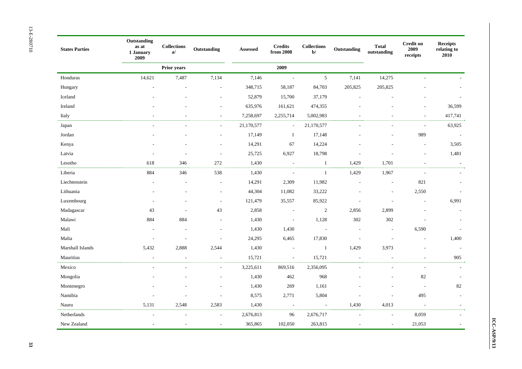| <b>States Parties</b> | Outstanding<br>as at<br>1 January<br>2009 | <b>Collections</b><br>a/ | Outstanding              | Assessed   | <b>Credits</b><br>from 2008 | <b>Collections</b><br>$\mathbf{b}^{\prime}$ | Outstanding              | <b>Total</b><br>outstanding | <b>Credit on</b><br>2009<br>receipts | <b>Receipts</b><br>relating to<br>2010 |
|-----------------------|-------------------------------------------|--------------------------|--------------------------|------------|-----------------------------|---------------------------------------------|--------------------------|-----------------------------|--------------------------------------|----------------------------------------|
|                       |                                           | <b>Prior years</b>       |                          |            | 2009                        |                                             |                          |                             |                                      |                                        |
| Honduras              | 14,621                                    | 7,487                    | 7,134                    | 7,146      | $\sim$                      | 5                                           | 7,141                    | 14,275                      |                                      |                                        |
| Hungary               |                                           |                          | $\overline{\phantom{a}}$ | 348,715    | 58,187                      | 84,703                                      | 205,825                  | 205,825                     |                                      |                                        |
| Iceland               |                                           |                          | $\overline{\phantom{a}}$ | 52,879     | 15,700                      | 37,179                                      | $\overline{\phantom{a}}$ |                             |                                      |                                        |
| Ireland               |                                           |                          | $\overline{\phantom{a}}$ | 635,976    | 161,621                     | 474,355                                     |                          |                             | ÷,                                   | 36,599                                 |
| Italy                 |                                           |                          | $\overline{\phantom{a}}$ | 7,258,697  | 2,255,714                   | 5,002,983                                   |                          |                             | $\overline{\phantom{a}}$             | 417,741                                |
| Japan                 |                                           |                          | $\sim$                   | 21,170,577 | $\overline{\phantom{a}}$    | 21,170,577                                  |                          |                             | $\overline{a}$                       | 63,925                                 |
| Jordan                |                                           |                          |                          | 17,149     | $\mathbf{1}$                | 17,148                                      |                          |                             | 989                                  | $\sim$                                 |
| Kenya                 |                                           |                          |                          | 14,291     | 67                          | 14,224                                      |                          |                             | $\overline{\phantom{a}}$             | 3,505                                  |
| Latvia                |                                           |                          | $\overline{a}$           | 25,725     | 6,927                       | 18,798                                      |                          |                             | $\overline{\phantom{a}}$             | 1,481                                  |
| Lesotho               | 618                                       | 346                      | 272                      | 1,430      | $\overline{\phantom{a}}$    | $\mathbf{1}$                                | 1,429                    | 1,701                       | $\overline{\phantom{a}}$             | $\overline{\phantom{a}}$               |
| Liberia               | 884                                       | 346                      | 538                      | 1,430      | $\overline{\phantom{a}}$    | $\mathbf{1}$                                | 1,429                    | 1,967                       | $\sim$                               |                                        |
| Liechtenstein         |                                           |                          |                          | 14,291     | 2,309                       | 11,982                                      | Ĭ.                       | $\overline{\phantom{a}}$    | 821                                  | $\overline{\phantom{a}}$               |
| Lithuania             |                                           |                          | $\overline{\phantom{a}}$ | 44,304     | 11,082                      | 33,222                                      | L,                       | $\overline{\phantom{a}}$    | 2,550                                | $\overline{\phantom{a}}$               |
| Luxembourg            |                                           |                          | $\overline{\phantom{a}}$ | 121,479    | 35,557                      | 85,922                                      |                          | $\overline{\phantom{a}}$    | $\overline{\phantom{a}}$             | 6,991                                  |
| Madagascar            | 43                                        |                          | 43                       | 2,858      | $\overline{\phantom{a}}$    | $\sqrt{2}$                                  | 2,856                    | 2,899                       |                                      | $\overline{\phantom{a}}$               |
| Malawi                | 884                                       | 884                      | $\overline{\phantom{a}}$ | 1,430      | $\overline{\phantom{a}}$    | 1,128                                       | 302                      | 302                         |                                      | $\sim$                                 |
| Mali                  |                                           |                          |                          | 1,430      | 1,430                       | $\overline{\phantom{a}}$                    |                          | $\overline{a}$              | 6,590                                | $\overline{a}$                         |
| Malta                 | $\overline{\phantom{a}}$                  |                          | $\overline{\phantom{a}}$ | 24,295     | 6,465                       | 17,830                                      | $\overline{\phantom{a}}$ | $\overline{\phantom{a}}$    | $\overline{\phantom{a}}$             | 1,400                                  |
| Marshall Islands      | 5,432                                     | 2,888                    | 2,544                    | 1,430      | $\overline{\phantom{a}}$    | $\mathbf{1}$                                | 1,429                    | 3,973                       |                                      | $\sim$                                 |
| Mauritius             | $\overline{a}$                            | $\overline{a}$           | $\overline{\phantom{a}}$ | 15,721     | $\overline{\phantom{a}}$    | 15,721                                      | $\sim$                   | $\overline{a}$              | $\sim$                               | 905                                    |
| Mexico                |                                           |                          | $\overline{\phantom{a}}$ | 3,225,611  | 869,516                     | 2,356,095                                   | $\overline{a}$           |                             | $\overline{a}$                       | $\overline{\phantom{a}}$               |
| Mongolia              |                                           |                          |                          | 1,430      | 462                         | 968                                         |                          |                             | 82                                   | $\overline{\phantom{a}}$               |
| Montenegro            |                                           |                          |                          | 1,430      | 269                         | 1,161                                       |                          |                             | $\overline{\phantom{a}}$             | $82\,$                                 |
| Namibia               |                                           |                          |                          | 8,575      | 2,771                       | 5,804                                       |                          | $\overline{a}$              | 495                                  | $\overline{a}$                         |
| Nauru                 | 5,131                                     | 2,548                    | 2,583                    | 1,430      | $\overline{\phantom{a}}$    | $\overline{\phantom{a}}$                    | 1,430                    | 4,013                       | $\sim$                               | $\sim$                                 |
| Netherlands           |                                           | $\overline{a}$           | $\sim$                   | 2,676,813  | 96                          | 2,676,717                                   | $\overline{\phantom{a}}$ | $\overline{\phantom{a}}$    | 8,059                                |                                        |
| New Zealand           |                                           |                          |                          | 365,865    | 102,050                     | 263,815                                     |                          | ÷,                          | 21,053                               |                                        |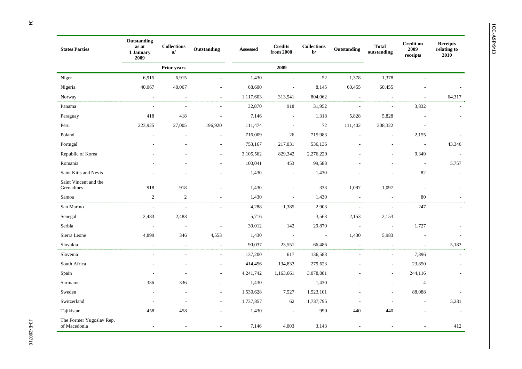| <b>States Parties</b>                    | Outstanding<br>as at<br>1 January<br>2009 | <b>Collections</b><br>a/ | Outstanding              | <b>Assessed</b> | <b>Credits</b><br>from 2008 | <b>Collections</b><br>$b$ | Outstanding              | <b>Total</b><br>outstanding | <b>Credit on</b><br>2009<br>receipts | <b>Receipts</b><br>relating to<br>2010 |
|------------------------------------------|-------------------------------------------|--------------------------|--------------------------|-----------------|-----------------------------|---------------------------|--------------------------|-----------------------------|--------------------------------------|----------------------------------------|
|                                          |                                           | Prior years              |                          |                 | 2009                        |                           |                          |                             |                                      |                                        |
| Niger                                    | 6,915                                     | 6,915                    |                          | 1,430           | $\sim$                      | 52                        | 1,378                    | 1,378                       |                                      |                                        |
| Nigeria                                  | 40,067                                    | 40,067                   |                          | 68,600          | $\sim$                      | 8,145                     | 60,455                   | 60,455                      |                                      |                                        |
| Norway                                   | $\blacksquare$                            | $\sim$                   | $\sim$                   | 1,117,603       | 313,541                     | 804,062                   | $\sim$                   | $\overline{\phantom{a}}$    | $\overline{\phantom{a}}$             | 64,317                                 |
| Panama                                   | $\overline{\phantom{a}}$                  | $\overline{\phantom{a}}$ | $\overline{\phantom{a}}$ | 32,870          | 918                         | 31,952                    | $\sim$                   | $\overline{\phantom{a}}$    | 3,832                                |                                        |
| Paraguay                                 | 418                                       | 418                      | $\overline{\phantom{a}}$ | 7,146           | $\overline{\phantom{a}}$    | 1,318                     | 5,828                    | 5,828                       |                                      |                                        |
| Peru                                     | 223,925                                   | 27,005                   | 196,920                  | 111,474         | $\overline{\phantom{a}}$    | 72                        | 111,402                  | 308,322                     | $\overline{\phantom{a}}$             |                                        |
| Poland                                   | $\overline{\phantom{a}}$                  |                          | $\overline{\phantom{a}}$ | 716,009         | 26                          | 715,983                   | $\overline{a}$           | $\sim$                      | 2,155                                | $\overline{\phantom{a}}$               |
| Portugal                                 | $\overline{\phantom{a}}$                  |                          | $\overline{\phantom{a}}$ | 753,167         | 217,031                     | 536,136                   | $\overline{\phantom{a}}$ | $\overline{\phantom{a}}$    | $\overline{\phantom{a}}$             | 43,346                                 |
| Republic of Korea                        |                                           |                          | $\sim$                   | 3,105,562       | 829,342                     | 2,276,220                 | $\sim$                   | $\sim$                      | 9,349                                | $\sim$                                 |
| Romania                                  |                                           |                          | $\overline{\phantom{a}}$ | 100,041         | 453                         | 99,588                    |                          | $\overline{\phantom{a}}$    | $\sim$                               | 5,757                                  |
| Saint Kitts and Nevis                    |                                           |                          | $\overline{\phantom{a}}$ | 1,430           | $\overline{\phantom{a}}$    | 1,430                     |                          | $\overline{a}$              | 82                                   | $\overline{\phantom{a}}$               |
| Saint Vincent and the<br>Grenadines      | 918                                       | 918                      |                          | 1,430           | $\overline{\phantom{a}}$    | 333                       | 1,097                    | 1,097                       | $\overline{\phantom{a}}$             |                                        |
| Samoa                                    | 2                                         | $\overline{c}$           | $\overline{\phantom{a}}$ | 1,430           | $\sim$                      | 1,430                     | $\overline{\phantom{a}}$ | $\overline{\phantom{a}}$    | 80                                   |                                        |
| San Marino                               | $\overline{\phantom{a}}$                  | $\overline{\phantom{a}}$ | $\sim$                   | 4,288           | 1,385                       | 2,903                     | $\sim$                   | $\overline{\phantom{a}}$    | 247                                  |                                        |
| Senegal                                  | 2,483                                     | 2,483                    |                          | 5,716           | $\overline{\phantom{a}}$    | 3,563                     | 2,153                    | 2,153                       | $\overline{\phantom{a}}$             |                                        |
| Serbia                                   |                                           | $\overline{\phantom{a}}$ | $\sim$                   | 30,012          | 142                         | 29,870                    | $\overline{\phantom{a}}$ | $\overline{\phantom{a}}$    | 1,727                                |                                        |
| Sierra Leone                             | 4,899                                     | 346                      | 4,553                    | 1,430           | $\overline{\phantom{a}}$    | $\overline{\phantom{a}}$  | 1,430                    | 5,983                       |                                      | $\overline{a}$                         |
| Slovakia                                 | $\sim$                                    | $\sim$                   | $\overline{\phantom{a}}$ | 90,037          | 23,551                      | 66,486                    | $\overline{\phantom{a}}$ | $\overline{\phantom{a}}$    | $\overline{\phantom{a}}$             | 5,183                                  |
| Slovenia                                 | $\overline{\phantom{a}}$                  |                          | $\overline{\phantom{a}}$ | 137,200         | 617                         | 136,583                   | $\sim$                   | $\overline{\phantom{a}}$    | 7,896                                |                                        |
| South Africa                             |                                           |                          |                          | 414,456         | 134,833                     | 279,623                   |                          | $\blacksquare$              | 23,850                               |                                        |
| Spain                                    |                                           |                          | $\sim$                   | 4,241,742       | 1,163,661                   | 3,078,081                 |                          | $\blacksquare$              | 244,116                              |                                        |
| Suriname                                 | 336                                       | 336                      |                          | 1,430           | $\overline{\phantom{a}}$    | 1,430                     |                          |                             | $\overline{4}$                       |                                        |
| Sweden                                   |                                           |                          | $\sim$                   | 1,530,628       | 7,527                       | 1,523,101                 |                          | $\overline{\phantom{a}}$    | 88,088                               |                                        |
| Switzerland                              | $\overline{\phantom{a}}$                  |                          | $\overline{\phantom{a}}$ | 1,737,857       | 62                          | 1,737,795                 | $\overline{\phantom{a}}$ | $\overline{\phantom{a}}$    | $\overline{a}$                       | 5,231                                  |
| Tajikistan                               | 458                                       | 458                      |                          | 1,430           |                             | 990                       | 440                      | 440                         |                                      | $\overline{\phantom{a}}$               |
| The Former Yugoslav Rep,<br>of Macedonia | $\overline{\phantom{a}}$                  | $\overline{\phantom{a}}$ |                          | 7,146           | 4,003                       | 3,143                     | $\overline{\phantom{a}}$ |                             | ä,                                   | 412                                    |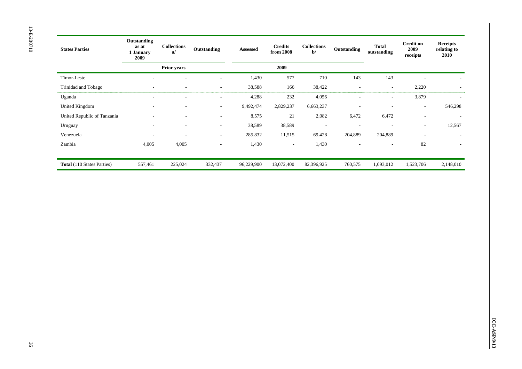| <b>States Parties</b>             | Outstanding<br>as at<br>1 January<br>2009 | <b>Collections</b><br>a  | Outstanding              | Assessed   | <b>Credits</b><br>from 2008 | <b>Collections</b><br>$b$ | Outstanding              | <b>Total</b><br>outstanding | <b>Credit on</b><br>2009<br>receipts | <b>Receipts</b><br>relating to<br>2010 |
|-----------------------------------|-------------------------------------------|--------------------------|--------------------------|------------|-----------------------------|---------------------------|--------------------------|-----------------------------|--------------------------------------|----------------------------------------|
|                                   |                                           | Prior years              |                          |            | 2009                        |                           |                          |                             |                                      |                                        |
| Timor-Leste                       | ۰                                         |                          | $\overline{a}$           | 1,430      | 577                         | 710                       | 143                      | 143                         | ٠                                    | ٠                                      |
| Trinidad and Tobago               | Ξ.                                        | $\overline{\phantom{a}}$ | $\overline{\phantom{a}}$ | 38,588     | 166                         | 38,422                    | $\overline{\phantom{a}}$ | $\overline{\phantom{a}}$    | 2,220                                | $\overline{\phantom{a}}$               |
| Uganda                            | ۰                                         |                          | ۰                        | 4,288      | 232                         | 4,056                     | $\overline{\phantom{a}}$ | ٠                           | 3,879                                | $\overline{\phantom{a}}$               |
| United Kingdom                    | ٠                                         |                          | $\overline{\phantom{a}}$ | 9,492,474  | 2,829,237                   | 6,663,237                 | $\overline{\phantom{a}}$ | ۰                           | ٠                                    | 546,298                                |
| United Republic of Tanzania       |                                           |                          | ۰                        | 8,575      | 21                          | 2,082                     | 6,472                    | 6,472                       | ٠                                    |                                        |
| Uruguay                           | $\overline{\phantom{a}}$                  | $\sim$                   | $\overline{\phantom{a}}$ | 38,589     | 38,589                      | $\overline{\phantom{a}}$  | $\sim$                   | $\overline{\phantom{a}}$    | $\overline{\phantom{a}}$             | 12,567                                 |
| Venezuela                         | ۰                                         |                          | $\overline{\phantom{a}}$ | 285,832    | 11,515                      | 69,428                    | 204,889                  | 204,889                     | $\overline{\phantom{a}}$             | ٠                                      |
| Zambia                            | 4,005                                     | 4,005                    | $\overline{\phantom{a}}$ | 1,430      | $\sim$                      | 1,430                     | $\sim$                   | $\overline{\phantom{a}}$    | 82                                   | $\overline{\phantom{a}}$               |
|                                   |                                           |                          |                          |            |                             |                           |                          |                             |                                      |                                        |
| <b>Total</b> (110 States Parties) | 557,461                                   | 225,024                  | 332,437                  | 96,229,900 | 13,072,400                  | 82,396,925                | 760,575                  | 1,093,012                   | 1,523,706                            | 2,148,010                              |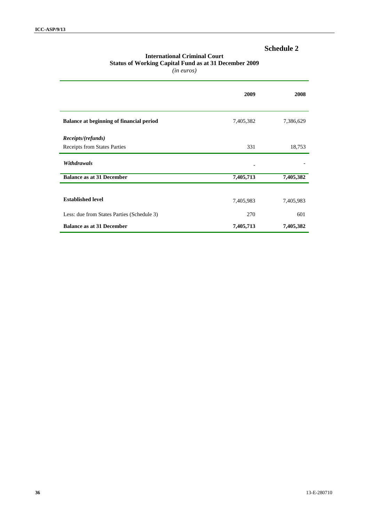### **International Criminal Court Status of Working Capital Fund as at 31 December 2009**

|                                                 | 2009      | 2008      |
|-------------------------------------------------|-----------|-----------|
| <b>Balance at beginning of financial period</b> | 7,405,382 | 7,386,629 |
| <i>Receipts/(refunds)</i>                       |           |           |
| Receipts from States Parties                    | 331       | 18,753    |
| <b>Withdrawals</b>                              |           |           |
| <b>Balance as at 31 December</b>                | 7,405,713 | 7,405,382 |
|                                                 |           |           |
| <b>Established level</b>                        | 7,405,983 | 7,405,983 |
| Less: due from States Parties (Schedule 3)      | 270       | 601       |
| <b>Balance as at 31 December</b>                | 7,405,713 | 7,405,382 |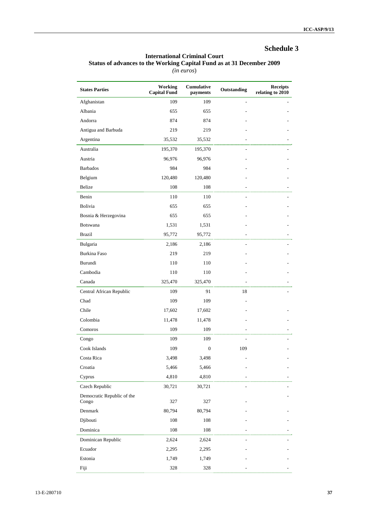#### **International Criminal Court Status of advances to the Working Capital Fund as at 31 December 2009**

|                                     | Working             | Cumulative       |             | <b>Receipts</b>  |
|-------------------------------------|---------------------|------------------|-------------|------------------|
| <b>States Parties</b>               | <b>Capital Fund</b> | payments         | Outstanding | relating to 2010 |
| Afghanistan                         | 109                 | 109              |             |                  |
| Albania                             | 655                 | 655              |             |                  |
| Andorra                             | 874                 | 874              |             |                  |
| Antigua and Barbuda                 | 219                 | 219              |             |                  |
| Argentina                           | 35,532              | 35,532           |             |                  |
| Australia                           | 195,370             | 195,370          |             |                  |
| Austria                             | 96,976              | 96,976           |             |                  |
| <b>Barbados</b>                     | 984                 | 984              |             |                  |
| Belgium                             | 120,480             | 120,480          |             |                  |
| <b>Belize</b>                       | 108                 | 108              |             |                  |
| Benin                               | 110                 | 110              |             |                  |
| Bolivia                             | 655                 | 655              |             |                  |
| Bosnia & Herzegovina                | 655                 | 655              |             |                  |
| <b>Botswana</b>                     | 1,531               | 1,531            |             |                  |
| <b>Brazil</b>                       | 95,772              | 95,772           |             |                  |
| Bulgaria                            | 2,186               | 2,186            |             |                  |
| Burkina Faso                        | 219                 | 219              |             |                  |
| Burundi                             | 110                 | 110              |             |                  |
| Cambodia                            | 110                 | 110              |             |                  |
| Canada                              | 325,470             | 325,470          |             |                  |
| Central African Republic            | 109                 | 91               | 18          |                  |
| Chad                                | 109                 | 109              |             |                  |
| Chile                               | 17,602              | 17,602           |             |                  |
| Colombia                            | 11,478              | 11,478           |             |                  |
| Comoros                             | 109                 | 109              |             |                  |
| Congo                               | 109                 | 109              |             |                  |
| Cook Islands                        | 109                 | $\boldsymbol{0}$ | 109         |                  |
| Costa Rica                          | 3,498               | 3,498            |             |                  |
| Croatia                             | 5,466               | 5,466            |             |                  |
| Cyprus                              | 4,810               | 4,810            |             |                  |
| Czech Republic                      | 30,721              | 30,721           |             |                  |
| Democratic Republic of the<br>Congo | 327                 | 327              |             |                  |
| Denmark                             | 80,794              | 80,794           |             |                  |
| Djibouti                            | 108                 | 108              |             |                  |
| Dominica                            | 108                 | 108              |             |                  |
| Dominican Republic                  | 2,624               | 2,624            |             |                  |
| Ecuador                             | 2,295               | 2,295            |             |                  |
| Estonia                             | 1,749               | 1,749            |             |                  |
| Fiji                                | 328                 | 328              |             |                  |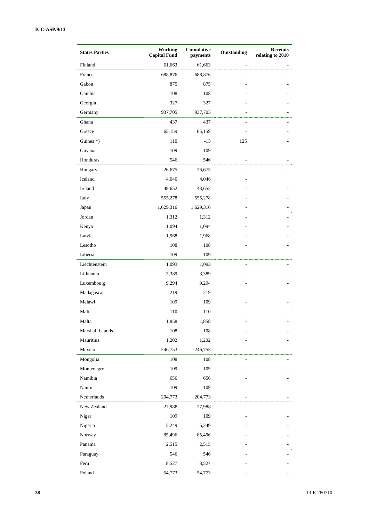| <b>States Parties</b> | Working<br><b>Capital Fund</b> | <b>Cumulative</b><br>payments | Outstanding   | <b>Receipts</b><br>relating to 2010 |
|-----------------------|--------------------------------|-------------------------------|---------------|-------------------------------------|
| Finland               | 61,663                         | 61,663                        | $\frac{1}{2}$ |                                     |
| France                | 688,876                        | 688,876                       |               |                                     |
| Gabon                 | 875                            | 875                           |               |                                     |
| Gambia                | 108                            | 108                           |               |                                     |
| Georgia               | 327                            | 327                           |               |                                     |
| Germany               | 937,705                        | 937,705                       |               |                                     |
| Ghana                 | 437                            | 437                           |               |                                     |
| Greece                | 65,159                         | 65,159                        |               |                                     |
| Guinea *)             | 110                            | $-15$                         | 125           |                                     |
| Guyana                | 109                            | 109                           |               |                                     |
| Honduras              | 546                            | 546                           |               |                                     |
| Hungary               | 26,675                         | 26,675                        | ٠             |                                     |
| Iceland               | 4,046                          | 4,046                         |               |                                     |
| Ireland               | 48,652                         | 48,652                        |               |                                     |
| Italy                 | 555,278                        | 555,278                       |               |                                     |
| Japan                 | 1,629,316                      | 1,629,316                     |               |                                     |
| Jordan                | 1,312                          | 1,312                         |               |                                     |
| Kenya                 | 1,094                          | 1,094                         |               |                                     |
| Latvia                | 1,968                          | 1,968                         |               |                                     |
| Lesotho               | 108                            | 108                           |               |                                     |
| Liberia               | 109                            | 109                           |               |                                     |
| Liechtenstein         | 1,093                          | 1,093                         |               |                                     |
| Lithuania             | 3,389                          | 3,389                         |               |                                     |
| Luxembourg            | 9,294                          | 9,294                         |               |                                     |
| Madagascar            | 219                            | 219                           |               |                                     |
| Malawi                | 109                            | 109                           |               |                                     |
| Mali                  | 110                            | 110                           |               |                                     |
| Malta                 | 1,858                          | 1,858                         |               |                                     |
| Marshall Islands      | 108                            | 108                           |               |                                     |
| Mauritius             | 1,202                          | 1,202                         |               |                                     |
| Mexico                | 246,753                        | 246,753                       |               |                                     |
| Mongolia              | 108                            | 108                           |               |                                     |
| Montenegro            | 109                            | 109                           |               |                                     |
| Namibia               | 656                            | 656                           |               |                                     |
| Nauru                 | 109                            | 109                           |               |                                     |
| Netherlands           | 204,773                        | 204,773                       |               |                                     |
| New Zealand           | 27,988                         | 27,988                        |               |                                     |
| Niger                 | 109                            | 109                           |               |                                     |
| Nigeria               | 5,249                          | 5,249                         |               |                                     |
| Norway                | 85,496                         | 85,496                        |               |                                     |
| Panama                | 2,515                          | 2,515                         |               |                                     |
| Paraguay              | 546                            | 546                           |               |                                     |
| Peru                  | 8,527                          | 8,527                         |               |                                     |
| Poland                | 54,773                         | 54,773                        |               |                                     |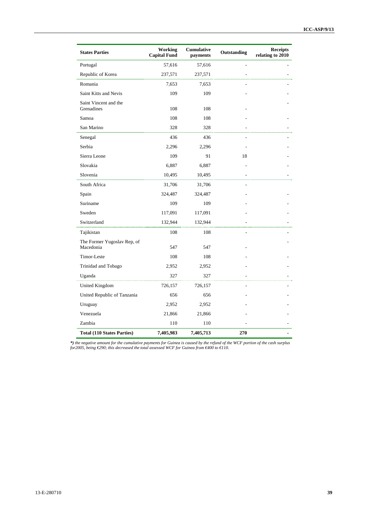| <b>States Parties</b>                    | Working<br><b>Capital Fund</b> | <b>Cumulative</b><br>payments | Outstanding | <b>Receipts</b><br>relating to 2010 |
|------------------------------------------|--------------------------------|-------------------------------|-------------|-------------------------------------|
| Portugal                                 | 57,616                         | 57,616                        |             |                                     |
| Republic of Korea                        | 237,571                        | 237,571                       |             |                                     |
| Romania                                  | 7,653                          | 7,653                         |             |                                     |
| Saint Kitts and Nevis                    | 109                            | 109                           |             |                                     |
| Saint Vincent and the<br>Grenadines      | 108                            | 108                           |             |                                     |
| Samoa                                    | 108                            | 108                           |             |                                     |
| San Marino                               | 328                            | 328                           |             |                                     |
| Senegal                                  | 436                            | 436                           |             |                                     |
| Serbia                                   | 2,296                          | 2,296                         |             |                                     |
| Sierra Leone                             | 109                            | 91                            | 18          |                                     |
| Slovakia                                 | 6,887                          | 6,887                         |             |                                     |
| Slovenia                                 | 10,495                         | 10,495                        |             |                                     |
| South Africa                             | 31,706                         | 31,706                        |             |                                     |
| Spain                                    | 324,487                        | 324,487                       |             |                                     |
| Suriname                                 | 109                            | 109                           |             |                                     |
| Sweden                                   | 117,091                        | 117,091                       |             |                                     |
| Switzerland                              | 132,944                        | 132,944                       |             |                                     |
| Tajikistan                               | 108                            | 108                           |             |                                     |
| The Former Yugoslav Rep, of<br>Macedonia | 547                            | 547                           |             |                                     |
| Timor-Leste                              | 108                            | 108                           |             |                                     |
| Trinidad and Tobago                      | 2,952                          | 2,952                         |             |                                     |
| Uganda                                   | 327                            | 327                           |             |                                     |
| <b>United Kingdom</b>                    | 726,157                        | 726,157                       |             |                                     |
| United Republic of Tanzania              | 656                            | 656                           |             |                                     |
| Uruguay                                  | 2,952                          | 2,952                         |             |                                     |
| Venezuela                                | 21,866                         | 21,866                        |             |                                     |
| Zambia                                   | 110                            | 110                           |             |                                     |
| <b>Total (110 States Parties)</b>        | 7,405,983                      | 7,405,713                     | 270         |                                     |

*\*) the negative amount for the cumulative payments for Guinea is caused by the refund of the WCF portion of the cash surplus for2005, being €290; this decreased the total assessed WCF for Guinea from €400 to €110.*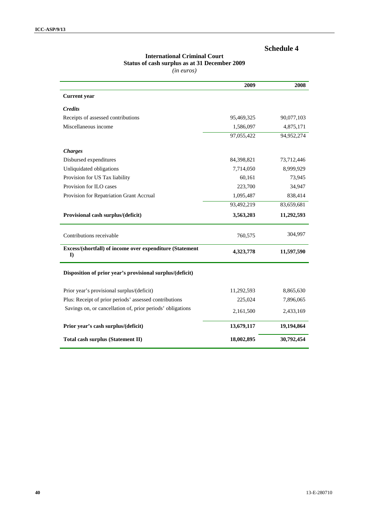# **International Criminal Court Status of cash surplus as at 31 December 2009**

|                                                                      | 2009       | 2008       |
|----------------------------------------------------------------------|------------|------------|
| <b>Current</b> year                                                  |            |            |
| <b>Credits</b>                                                       |            |            |
| Receipts of assessed contributions                                   | 95,469,325 | 90,077,103 |
| Miscellaneous income                                                 | 1,586,097  | 4,875,171  |
|                                                                      | 97,055,422 | 94,952,274 |
| <b>Charges</b>                                                       |            |            |
| Disbursed expenditures                                               | 84,398,821 | 73,712,446 |
| Unliquidated obligations                                             | 7,714,050  | 8,999,929  |
| Provision for US Tax liability                                       | 60,161     | 73,945     |
| Provision for ILO cases                                              | 223,700    | 34,947     |
| Provision for Repatriation Grant Accrual                             | 1,095,487  | 838,414    |
|                                                                      | 93,492,219 | 83,659,681 |
| Provisional cash surplus/(deficit)                                   | 3,563,203  | 11,292,593 |
| Contributions receivable                                             | 760,575    | 304,997    |
| Excess/(shortfall) of income over expenditure (Statement<br>$\bf{D}$ | 4,323,778  | 11,597,590 |
| Disposition of prior year's provisional surplus/(deficit)            |            |            |
| Prior year's provisional surplus/(deficit)                           | 11,292,593 | 8,865,630  |
| Plus: Receipt of prior periods' assessed contributions               | 225,024    | 7,896,065  |
| Savings on, or cancellation of, prior periods' obligations           | 2,161,500  | 2,433,169  |
| Prior year's cash surplus/(deficit)                                  | 13,679,117 | 19,194,864 |
| Total cash surplus (Statement II)                                    | 18,002,895 | 30,792,454 |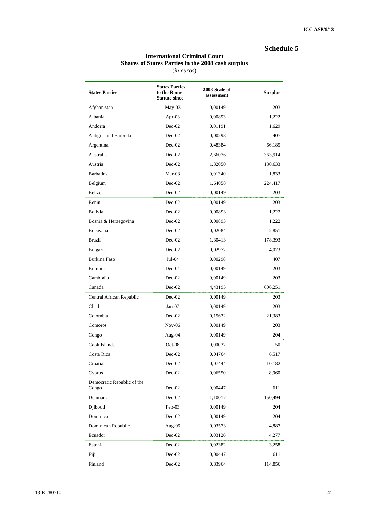# **International Criminal Court Shares of States Parties in the 2008 cash surplus**

| <b>States Parties</b>               | <b>States Parties</b><br>to the Rome<br><b>Statute since</b> | 2008 Scale of<br>assessment | <b>Surplus</b> |
|-------------------------------------|--------------------------------------------------------------|-----------------------------|----------------|
| Afghanistan                         | May-03                                                       | 0,00149                     | 203            |
| Albania                             | Apr-03                                                       | 0,00893                     | 1,222          |
| Andorra                             | $Dec-02$                                                     | 0,01191                     | 1,629          |
| Antigua and Barbuda                 | $Dec-02$                                                     | 0,00298                     | 407            |
| Argentina                           | $Dec-02$                                                     | 0,48384                     | 66,185         |
| Australia                           | $Dec-02$                                                     | 2,66036                     | 363,914        |
| Austria                             | $Dec-02$                                                     | 1,32050                     | 180,633        |
| <b>Barbados</b>                     | Mar-03                                                       | 0,01340                     | 1,833          |
| Belgium                             | $Dec-02$                                                     | 1,64058                     | 224,417        |
| <b>Belize</b>                       | $Dec-02$                                                     | 0,00149                     | 203            |
| Benin                               | $Dec-02$                                                     | 0,00149                     | 203            |
| Bolivia                             | $Dec-02$                                                     | 0,00893                     | 1,222          |
| Bosnia & Herzegovina                | $Dec-02$                                                     | 0,00893                     | 1,222          |
| Botswana                            | $Dec-02$                                                     | 0,02084                     | 2,851          |
| <b>Brazil</b>                       | Dec-02                                                       | 1,30413                     | 178,393        |
| Bulgaria                            | $Dec-02$                                                     | 0,02977                     | 4,073          |
| Burkina Faso                        | $Jul-04$                                                     | 0,00298                     | 407            |
| Burundi                             | $Dec-04$                                                     | 0,00149                     | 203            |
| Cambodia                            | $Dec-02$                                                     | 0,00149                     | 203            |
| Canada                              | $Dec-02$                                                     | 4,43195                     | 606,251        |
| Central African Republic            | $Dec-02$                                                     | 0,00149                     | 203            |
| Chad                                | $Jan-07$                                                     | 0,00149                     | 203            |
| Colombia                            | $Dec-02$                                                     | 0,15632                     | 21,383         |
| Comoros                             | $Nov-06$                                                     | 0,00149                     | 203            |
| Congo                               | Aug-04                                                       | 0,00149                     | 204            |
| Cook Islands                        | $Oct-08$                                                     | 0,00037                     | 50             |
| Costa Rica                          | $Dec-02$                                                     | 0,04764                     | 6,517          |
| Croatia                             | $Dec-02$                                                     | 0,07444                     | 10,182         |
| Cyprus                              | $Dec-02$                                                     | 0,06550                     | 8,960          |
| Democratic Republic of the<br>Congo | $Dec-02$                                                     | 0,00447                     | 611            |
| Denmark                             | $Dec-02$                                                     | 1,10017                     | 150,494        |
| Djibouti                            | Feb-03                                                       | 0,00149                     | 204            |
| Dominica                            | $Dec-02$                                                     | 0,00149                     | 204            |
| Dominican Republic                  | Aug- $05$                                                    | 0,03573                     | 4,887          |
| Ecuador                             | $Dec-02$                                                     | 0,03126                     | 4,277          |
| Estonia                             | $Dec-02$                                                     | 0,02382                     | 3,258          |
| Fiji                                | $Dec-02$                                                     | 0,00447                     | 611            |
| Finland                             | $Dec-02$                                                     | 0,83964                     | 114,856        |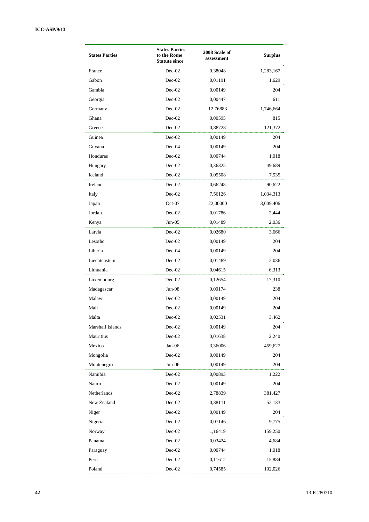| <b>Statute since</b><br>$Dec-02$<br>France<br>1,283,167<br>9,38048<br>Gabon<br>$Dec-02$<br>0,01191<br>1,629<br>Gambia<br>$Dec-02$<br>0,00149<br>204<br>Georgia<br>$Dec-02$<br>0,00447<br>611<br>Germany<br>$Dec-02$<br>1,746,664<br>12,76883<br>Ghana<br>$Dec-02$<br>0,00595<br>815<br>Greece<br>$Dec-02$<br>0,88728<br>121,372<br>Guinea<br>$Dec-02$<br>0,00149<br>204<br>$Dec-04$<br>0,00149<br>204<br>Guyana<br>Honduras<br>$Dec-02$<br>0,00744<br>1,018<br>Hungary<br>$Dec-02$<br>0,36325<br>49,689<br>Iceland<br>$Dec-02$<br>0,05508<br>7,535<br>Ireland<br>$Dec-02$<br>0,66248<br>90,622<br>Italy<br>$Dec-02$<br>7,56126<br>1,034,313<br>Japan<br>$Oct-07$<br>22,00000<br>3,009,406<br>Jordan<br>$Dec-02$<br>0,01786<br>2,444<br>$Jun-05$<br>0,01489<br>Kenya<br>2,036<br>Latvia<br>$Dec-02$<br>0,02680<br>3,666<br>$Dec-02$<br>Lesotho<br>0,00149<br>204<br>Liberia<br>204<br>$Dec-04$<br>0,00149<br>Liechtenstein<br>$Dec-02$<br>0,01489<br>2,036<br>Lithuania<br>$Dec-02$<br>0,04615<br>6,313<br>$Dec-02$<br>Luxembourg<br>0,12654<br>17,310<br>$Jun-08$<br>Madagascar<br>0,00174<br>238<br>Malawi<br>$Dec-02$<br>0,00149<br>204<br>Mali<br>$Dec-02$<br>0,00149<br>204<br>$Dec-02$<br>0,02531<br>3,462<br>Malta<br>Marshall Islands<br>$Dec-02$<br>0,00149<br>204<br>Mauritius<br>$Dec-02$<br>0,01638<br>2,240<br>Mexico<br>$Jan-06$<br>3,36006<br>459,627<br>Mongolia<br>Dec-02<br>0,00149<br>204<br>Montenegro<br>Jun-06<br>0,00149<br>204<br>Namibia<br>Dec-02<br>0,00893<br>1,222<br>Nauru<br>$Dec-02$<br>0,00149<br>204<br>Netherlands<br>$Dec-02$<br>2,78839<br>381,427<br>New Zealand<br>$Dec-02$<br>0,38111<br>52,133<br>$Dec-02$<br>0,00149<br>Niger<br>204<br>$Dec-02$<br>Nigeria<br>0,07146<br>9,775<br>$Dec-02$<br>Norway<br>1,16419<br>159,250<br>Dec-02<br>Panama<br>0,03424<br>4,684<br>$Dec-02$<br>0,00744<br>1,018<br>Paraguay<br>Dec-02<br>Peru<br>0,11612<br>15,884 | <b>States Parties</b> | <b>States Parties</b><br>to the Rome | 2008 Scale of<br>assessment | <b>Surplus</b> |
|-------------------------------------------------------------------------------------------------------------------------------------------------------------------------------------------------------------------------------------------------------------------------------------------------------------------------------------------------------------------------------------------------------------------------------------------------------------------------------------------------------------------------------------------------------------------------------------------------------------------------------------------------------------------------------------------------------------------------------------------------------------------------------------------------------------------------------------------------------------------------------------------------------------------------------------------------------------------------------------------------------------------------------------------------------------------------------------------------------------------------------------------------------------------------------------------------------------------------------------------------------------------------------------------------------------------------------------------------------------------------------------------------------------------------------------------------------------------------------------------------------------------------------------------------------------------------------------------------------------------------------------------------------------------------------------------------------------------------------------------------------------------------------------------------------------------------------------------------------------------------------------------------|-----------------------|--------------------------------------|-----------------------------|----------------|
|                                                                                                                                                                                                                                                                                                                                                                                                                                                                                                                                                                                                                                                                                                                                                                                                                                                                                                                                                                                                                                                                                                                                                                                                                                                                                                                                                                                                                                                                                                                                                                                                                                                                                                                                                                                                                                                                                                 |                       |                                      |                             |                |
|                                                                                                                                                                                                                                                                                                                                                                                                                                                                                                                                                                                                                                                                                                                                                                                                                                                                                                                                                                                                                                                                                                                                                                                                                                                                                                                                                                                                                                                                                                                                                                                                                                                                                                                                                                                                                                                                                                 |                       |                                      |                             |                |
|                                                                                                                                                                                                                                                                                                                                                                                                                                                                                                                                                                                                                                                                                                                                                                                                                                                                                                                                                                                                                                                                                                                                                                                                                                                                                                                                                                                                                                                                                                                                                                                                                                                                                                                                                                                                                                                                                                 |                       |                                      |                             |                |
|                                                                                                                                                                                                                                                                                                                                                                                                                                                                                                                                                                                                                                                                                                                                                                                                                                                                                                                                                                                                                                                                                                                                                                                                                                                                                                                                                                                                                                                                                                                                                                                                                                                                                                                                                                                                                                                                                                 |                       |                                      |                             |                |
|                                                                                                                                                                                                                                                                                                                                                                                                                                                                                                                                                                                                                                                                                                                                                                                                                                                                                                                                                                                                                                                                                                                                                                                                                                                                                                                                                                                                                                                                                                                                                                                                                                                                                                                                                                                                                                                                                                 |                       |                                      |                             |                |
|                                                                                                                                                                                                                                                                                                                                                                                                                                                                                                                                                                                                                                                                                                                                                                                                                                                                                                                                                                                                                                                                                                                                                                                                                                                                                                                                                                                                                                                                                                                                                                                                                                                                                                                                                                                                                                                                                                 |                       |                                      |                             |                |
|                                                                                                                                                                                                                                                                                                                                                                                                                                                                                                                                                                                                                                                                                                                                                                                                                                                                                                                                                                                                                                                                                                                                                                                                                                                                                                                                                                                                                                                                                                                                                                                                                                                                                                                                                                                                                                                                                                 |                       |                                      |                             |                |
|                                                                                                                                                                                                                                                                                                                                                                                                                                                                                                                                                                                                                                                                                                                                                                                                                                                                                                                                                                                                                                                                                                                                                                                                                                                                                                                                                                                                                                                                                                                                                                                                                                                                                                                                                                                                                                                                                                 |                       |                                      |                             |                |
|                                                                                                                                                                                                                                                                                                                                                                                                                                                                                                                                                                                                                                                                                                                                                                                                                                                                                                                                                                                                                                                                                                                                                                                                                                                                                                                                                                                                                                                                                                                                                                                                                                                                                                                                                                                                                                                                                                 |                       |                                      |                             |                |
|                                                                                                                                                                                                                                                                                                                                                                                                                                                                                                                                                                                                                                                                                                                                                                                                                                                                                                                                                                                                                                                                                                                                                                                                                                                                                                                                                                                                                                                                                                                                                                                                                                                                                                                                                                                                                                                                                                 |                       |                                      |                             |                |
|                                                                                                                                                                                                                                                                                                                                                                                                                                                                                                                                                                                                                                                                                                                                                                                                                                                                                                                                                                                                                                                                                                                                                                                                                                                                                                                                                                                                                                                                                                                                                                                                                                                                                                                                                                                                                                                                                                 |                       |                                      |                             |                |
|                                                                                                                                                                                                                                                                                                                                                                                                                                                                                                                                                                                                                                                                                                                                                                                                                                                                                                                                                                                                                                                                                                                                                                                                                                                                                                                                                                                                                                                                                                                                                                                                                                                                                                                                                                                                                                                                                                 |                       |                                      |                             |                |
|                                                                                                                                                                                                                                                                                                                                                                                                                                                                                                                                                                                                                                                                                                                                                                                                                                                                                                                                                                                                                                                                                                                                                                                                                                                                                                                                                                                                                                                                                                                                                                                                                                                                                                                                                                                                                                                                                                 |                       |                                      |                             |                |
|                                                                                                                                                                                                                                                                                                                                                                                                                                                                                                                                                                                                                                                                                                                                                                                                                                                                                                                                                                                                                                                                                                                                                                                                                                                                                                                                                                                                                                                                                                                                                                                                                                                                                                                                                                                                                                                                                                 |                       |                                      |                             |                |
|                                                                                                                                                                                                                                                                                                                                                                                                                                                                                                                                                                                                                                                                                                                                                                                                                                                                                                                                                                                                                                                                                                                                                                                                                                                                                                                                                                                                                                                                                                                                                                                                                                                                                                                                                                                                                                                                                                 |                       |                                      |                             |                |
|                                                                                                                                                                                                                                                                                                                                                                                                                                                                                                                                                                                                                                                                                                                                                                                                                                                                                                                                                                                                                                                                                                                                                                                                                                                                                                                                                                                                                                                                                                                                                                                                                                                                                                                                                                                                                                                                                                 |                       |                                      |                             |                |
|                                                                                                                                                                                                                                                                                                                                                                                                                                                                                                                                                                                                                                                                                                                                                                                                                                                                                                                                                                                                                                                                                                                                                                                                                                                                                                                                                                                                                                                                                                                                                                                                                                                                                                                                                                                                                                                                                                 |                       |                                      |                             |                |
|                                                                                                                                                                                                                                                                                                                                                                                                                                                                                                                                                                                                                                                                                                                                                                                                                                                                                                                                                                                                                                                                                                                                                                                                                                                                                                                                                                                                                                                                                                                                                                                                                                                                                                                                                                                                                                                                                                 |                       |                                      |                             |                |
|                                                                                                                                                                                                                                                                                                                                                                                                                                                                                                                                                                                                                                                                                                                                                                                                                                                                                                                                                                                                                                                                                                                                                                                                                                                                                                                                                                                                                                                                                                                                                                                                                                                                                                                                                                                                                                                                                                 |                       |                                      |                             |                |
|                                                                                                                                                                                                                                                                                                                                                                                                                                                                                                                                                                                                                                                                                                                                                                                                                                                                                                                                                                                                                                                                                                                                                                                                                                                                                                                                                                                                                                                                                                                                                                                                                                                                                                                                                                                                                                                                                                 |                       |                                      |                             |                |
|                                                                                                                                                                                                                                                                                                                                                                                                                                                                                                                                                                                                                                                                                                                                                                                                                                                                                                                                                                                                                                                                                                                                                                                                                                                                                                                                                                                                                                                                                                                                                                                                                                                                                                                                                                                                                                                                                                 |                       |                                      |                             |                |
|                                                                                                                                                                                                                                                                                                                                                                                                                                                                                                                                                                                                                                                                                                                                                                                                                                                                                                                                                                                                                                                                                                                                                                                                                                                                                                                                                                                                                                                                                                                                                                                                                                                                                                                                                                                                                                                                                                 |                       |                                      |                             |                |
|                                                                                                                                                                                                                                                                                                                                                                                                                                                                                                                                                                                                                                                                                                                                                                                                                                                                                                                                                                                                                                                                                                                                                                                                                                                                                                                                                                                                                                                                                                                                                                                                                                                                                                                                                                                                                                                                                                 |                       |                                      |                             |                |
|                                                                                                                                                                                                                                                                                                                                                                                                                                                                                                                                                                                                                                                                                                                                                                                                                                                                                                                                                                                                                                                                                                                                                                                                                                                                                                                                                                                                                                                                                                                                                                                                                                                                                                                                                                                                                                                                                                 |                       |                                      |                             |                |
|                                                                                                                                                                                                                                                                                                                                                                                                                                                                                                                                                                                                                                                                                                                                                                                                                                                                                                                                                                                                                                                                                                                                                                                                                                                                                                                                                                                                                                                                                                                                                                                                                                                                                                                                                                                                                                                                                                 |                       |                                      |                             |                |
|                                                                                                                                                                                                                                                                                                                                                                                                                                                                                                                                                                                                                                                                                                                                                                                                                                                                                                                                                                                                                                                                                                                                                                                                                                                                                                                                                                                                                                                                                                                                                                                                                                                                                                                                                                                                                                                                                                 |                       |                                      |                             |                |
|                                                                                                                                                                                                                                                                                                                                                                                                                                                                                                                                                                                                                                                                                                                                                                                                                                                                                                                                                                                                                                                                                                                                                                                                                                                                                                                                                                                                                                                                                                                                                                                                                                                                                                                                                                                                                                                                                                 |                       |                                      |                             |                |
|                                                                                                                                                                                                                                                                                                                                                                                                                                                                                                                                                                                                                                                                                                                                                                                                                                                                                                                                                                                                                                                                                                                                                                                                                                                                                                                                                                                                                                                                                                                                                                                                                                                                                                                                                                                                                                                                                                 |                       |                                      |                             |                |
|                                                                                                                                                                                                                                                                                                                                                                                                                                                                                                                                                                                                                                                                                                                                                                                                                                                                                                                                                                                                                                                                                                                                                                                                                                                                                                                                                                                                                                                                                                                                                                                                                                                                                                                                                                                                                                                                                                 |                       |                                      |                             |                |
|                                                                                                                                                                                                                                                                                                                                                                                                                                                                                                                                                                                                                                                                                                                                                                                                                                                                                                                                                                                                                                                                                                                                                                                                                                                                                                                                                                                                                                                                                                                                                                                                                                                                                                                                                                                                                                                                                                 |                       |                                      |                             |                |
|                                                                                                                                                                                                                                                                                                                                                                                                                                                                                                                                                                                                                                                                                                                                                                                                                                                                                                                                                                                                                                                                                                                                                                                                                                                                                                                                                                                                                                                                                                                                                                                                                                                                                                                                                                                                                                                                                                 |                       |                                      |                             |                |
|                                                                                                                                                                                                                                                                                                                                                                                                                                                                                                                                                                                                                                                                                                                                                                                                                                                                                                                                                                                                                                                                                                                                                                                                                                                                                                                                                                                                                                                                                                                                                                                                                                                                                                                                                                                                                                                                                                 |                       |                                      |                             |                |
|                                                                                                                                                                                                                                                                                                                                                                                                                                                                                                                                                                                                                                                                                                                                                                                                                                                                                                                                                                                                                                                                                                                                                                                                                                                                                                                                                                                                                                                                                                                                                                                                                                                                                                                                                                                                                                                                                                 |                       |                                      |                             |                |
|                                                                                                                                                                                                                                                                                                                                                                                                                                                                                                                                                                                                                                                                                                                                                                                                                                                                                                                                                                                                                                                                                                                                                                                                                                                                                                                                                                                                                                                                                                                                                                                                                                                                                                                                                                                                                                                                                                 |                       |                                      |                             |                |
|                                                                                                                                                                                                                                                                                                                                                                                                                                                                                                                                                                                                                                                                                                                                                                                                                                                                                                                                                                                                                                                                                                                                                                                                                                                                                                                                                                                                                                                                                                                                                                                                                                                                                                                                                                                                                                                                                                 |                       |                                      |                             |                |
|                                                                                                                                                                                                                                                                                                                                                                                                                                                                                                                                                                                                                                                                                                                                                                                                                                                                                                                                                                                                                                                                                                                                                                                                                                                                                                                                                                                                                                                                                                                                                                                                                                                                                                                                                                                                                                                                                                 |                       |                                      |                             |                |
|                                                                                                                                                                                                                                                                                                                                                                                                                                                                                                                                                                                                                                                                                                                                                                                                                                                                                                                                                                                                                                                                                                                                                                                                                                                                                                                                                                                                                                                                                                                                                                                                                                                                                                                                                                                                                                                                                                 |                       |                                      |                             |                |
|                                                                                                                                                                                                                                                                                                                                                                                                                                                                                                                                                                                                                                                                                                                                                                                                                                                                                                                                                                                                                                                                                                                                                                                                                                                                                                                                                                                                                                                                                                                                                                                                                                                                                                                                                                                                                                                                                                 |                       |                                      |                             |                |
|                                                                                                                                                                                                                                                                                                                                                                                                                                                                                                                                                                                                                                                                                                                                                                                                                                                                                                                                                                                                                                                                                                                                                                                                                                                                                                                                                                                                                                                                                                                                                                                                                                                                                                                                                                                                                                                                                                 |                       |                                      |                             |                |
|                                                                                                                                                                                                                                                                                                                                                                                                                                                                                                                                                                                                                                                                                                                                                                                                                                                                                                                                                                                                                                                                                                                                                                                                                                                                                                                                                                                                                                                                                                                                                                                                                                                                                                                                                                                                                                                                                                 |                       |                                      |                             |                |
|                                                                                                                                                                                                                                                                                                                                                                                                                                                                                                                                                                                                                                                                                                                                                                                                                                                                                                                                                                                                                                                                                                                                                                                                                                                                                                                                                                                                                                                                                                                                                                                                                                                                                                                                                                                                                                                                                                 |                       |                                      |                             |                |
|                                                                                                                                                                                                                                                                                                                                                                                                                                                                                                                                                                                                                                                                                                                                                                                                                                                                                                                                                                                                                                                                                                                                                                                                                                                                                                                                                                                                                                                                                                                                                                                                                                                                                                                                                                                                                                                                                                 |                       |                                      |                             |                |
|                                                                                                                                                                                                                                                                                                                                                                                                                                                                                                                                                                                                                                                                                                                                                                                                                                                                                                                                                                                                                                                                                                                                                                                                                                                                                                                                                                                                                                                                                                                                                                                                                                                                                                                                                                                                                                                                                                 |                       |                                      |                             |                |
|                                                                                                                                                                                                                                                                                                                                                                                                                                                                                                                                                                                                                                                                                                                                                                                                                                                                                                                                                                                                                                                                                                                                                                                                                                                                                                                                                                                                                                                                                                                                                                                                                                                                                                                                                                                                                                                                                                 | Poland                | Dec-02                               | 0,74585                     | 102,026        |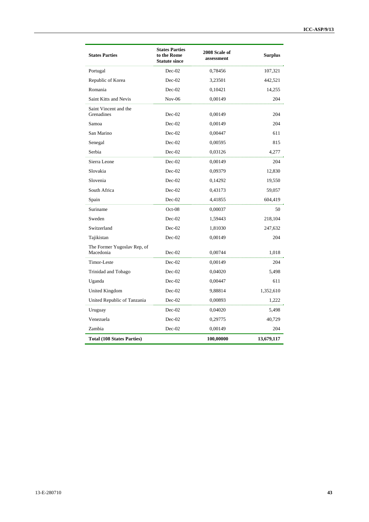| <b>States Parties</b>                    | <b>States Parties</b><br>to the Rome<br><b>Statute since</b> | 2008 Scale of<br>assessment | <b>Surplus</b> |
|------------------------------------------|--------------------------------------------------------------|-----------------------------|----------------|
| Portugal                                 | $Dec-02$                                                     | 0,78456                     | 107,321        |
| Republic of Korea                        | $Dec-02$                                                     | 3,23501                     | 442,521        |
| Romania                                  | Dec-02                                                       | 0,10421                     | 14,255         |
| Saint Kitts and Nevis                    | $Nov-06$                                                     | 0,00149                     | 204            |
| Saint Vincent and the<br>Grenadines      | $Dec-02$                                                     | 0,00149                     | 204            |
| Samoa                                    | $Dec-02$                                                     | 0,00149                     | 204            |
| San Marino                               | $Dec-02$                                                     | 0,00447                     | 611            |
| Senegal                                  | $Dec-02$                                                     | 0,00595                     | 815            |
| Serbia                                   | $Dec-02$                                                     | 0,03126                     | 4,277          |
| Sierra Leone                             | $Dec-02$                                                     | 0,00149                     | 204            |
| Slovakia                                 | $Dec-02$                                                     | 0,09379                     | 12,830         |
| Slovenia                                 | $Dec-02$                                                     | 0,14292                     | 19,550         |
| South Africa                             | $Dec-02$                                                     | 0,43173                     | 59,057         |
| Spain                                    | $Dec-02$                                                     | 4,41855                     | 604,419        |
| Suriname                                 | $Oct-08$                                                     | 0,00037                     | 50             |
| Sweden                                   | $Dec-02$                                                     | 1,59443                     | 218,104        |
| Switzerland                              | $Dec-02$                                                     | 1,81030                     | 247,632        |
| Tajikistan                               | $Dec-02$                                                     | 0,00149                     | 204            |
| The Former Yugoslav Rep, of<br>Macedonia | $Dec-02$                                                     | 0,00744                     | 1,018          |
| Timor-Leste                              | $Dec-02$                                                     | 0,00149                     | 204            |
| Trinidad and Tobago                      | $Dec-02$                                                     | 0,04020                     | 5,498          |
| Uganda                                   | $Dec-02$                                                     | 0,00447                     | 611            |
| United Kingdom                           | $Dec-02$                                                     | 9,88814                     | 1,352,610      |
| United Republic of Tanzania              | $Dec-02$                                                     | 0,00893                     | 1,222          |
| Uruguay                                  | $Dec-02$                                                     | 0,04020                     | 5,498          |
| Venezuela                                | Dec-02                                                       | 0,29775                     | 40,729         |
| Zambia                                   | Dec-02                                                       | 0,00149                     | 204            |
| <b>Total (108 States Parties)</b>        |                                                              | 100,00000                   | 13,679,117     |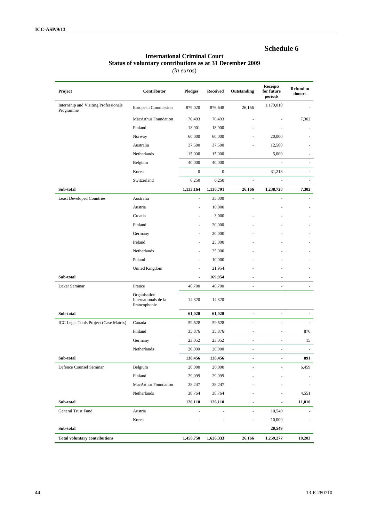#### **International Criminal Court Status of voluntary contributions as at 31 December 2009**

| Project                                            | Contributor                                          | <b>Pledges</b>   | <b>Received</b>  | Outstanding                  | <b>Receipts</b><br>for future<br>periods | <b>Refund to</b><br>donors |
|----------------------------------------------------|------------------------------------------------------|------------------|------------------|------------------------------|------------------------------------------|----------------------------|
| Internship and Visiting Professionals<br>Programme | European Commission                                  | 879,020          | 876,648          | 26,166                       | 1,170,010                                |                            |
|                                                    | MacArthur Foundation                                 | 76,493           | 76,493           |                              |                                          | 7,302                      |
|                                                    | Finland                                              | 18,901           | 18,900           |                              |                                          |                            |
|                                                    | Norway                                               | 60,000           | 60,000           |                              | 20,000                                   |                            |
|                                                    | Australia                                            | 37,500           | 37,500           |                              | 12,500                                   |                            |
|                                                    | Netherlands                                          | 15,000           | 15,000           |                              | 5,000                                    |                            |
|                                                    | Belgium                                              | 40,000           | 40,000           |                              |                                          |                            |
|                                                    | Korea                                                | $\boldsymbol{0}$ | $\boldsymbol{0}$ |                              | 31,218                                   |                            |
|                                                    | Switzerland                                          | 6,250            | 6,250            |                              | ÷,                                       |                            |
| Sub-total                                          |                                                      | 1,133,164        | 1,130,791        | 26,166                       | 1,238,728                                | 7,302                      |
| <b>Least Developed Countries</b>                   | Australia                                            | $\blacksquare$   | 35,000           |                              |                                          |                            |
|                                                    | Austria                                              | ÷,               | 10,000           |                              |                                          |                            |
|                                                    | Croatia                                              |                  | 3,000            |                              |                                          |                            |
|                                                    | Finland                                              | $\sim$           | 20,000           |                              |                                          |                            |
|                                                    | Germany                                              |                  | 20,000           |                              |                                          |                            |
|                                                    | Ireland                                              |                  | 25,000           |                              |                                          |                            |
|                                                    | Netherlands                                          |                  | 25,000           |                              |                                          |                            |
|                                                    | Poland                                               |                  | 10,000           |                              |                                          |                            |
|                                                    | <b>United Kingdom</b>                                | ä,               | 21,954           |                              |                                          |                            |
| Sub-total                                          |                                                      | ٠                | 169,954          |                              |                                          |                            |
| Dakar Seminar                                      | France                                               | 46,700           | 46,700           |                              | ä,                                       |                            |
|                                                    | Organisation<br>Internationals de la<br>Francophonie | 14,320           | 14,320           |                              |                                          |                            |
| Sub-total                                          |                                                      | 61,020           | 61,020           | $\qquad \qquad \blacksquare$ | $\frac{1}{2}$                            |                            |
| ICC Legal Tools Project (Case Matrix)              | Canada                                               | 59,528           | 59,528           |                              |                                          |                            |
|                                                    | Finland                                              | 35,876           | 35,876           |                              | ۰                                        | 876                        |
|                                                    | Germany                                              | 23,052           | 23,052           |                              |                                          | 15                         |
|                                                    | Netherlands                                          | 20,000           | 20,000           |                              | ÷,                                       |                            |
| Sub-total                                          |                                                      | 138,456          | 138,456          |                              |                                          | 891                        |
| Defence Counsel Seminar                            | Belgium                                              | 20,000           | 20,000           |                              |                                          | 6,459                      |
|                                                    | Finland                                              | 29,099           | 29,099           |                              |                                          |                            |
|                                                    | MacArthur Foundation                                 | 38,247           | 38,247           |                              |                                          | $\bar{\phantom{a}}$        |
|                                                    | Netherlands                                          | 38,764           | 38,764           |                              |                                          | 4,551                      |
| Sub-total                                          |                                                      | 126,110          | 126,110          |                              |                                          | 11,010                     |
| General Trust Fund                                 | Austria                                              | $\blacksquare$   |                  | $\overline{\phantom{a}}$     | 10,549                                   |                            |
|                                                    | Korea                                                |                  |                  |                              | 10,000                                   |                            |
| Sub-total                                          |                                                      |                  |                  |                              | 20,549                                   |                            |
| <b>Total voluntary contributions</b>               |                                                      | 1,458,750        | 1,626,333        | 26,166                       | 1,259,277                                | 19,203                     |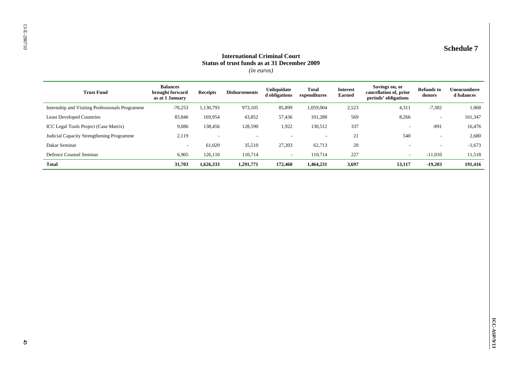| <b>Balances</b><br>Savings on, or<br>Unliquidate<br><b>Total</b><br><b>Refunds</b> to<br><b>Interest</b><br><b>Trust Fund</b><br><b>Disbursements</b><br>brought forward<br><b>Receipts</b><br>cancellation of, prior<br>d obligations<br>expenditures<br>Earned<br>donors<br>as at 1 January<br>periods' obligations<br>Internship and Visiting Professionals Programme<br>$-70,253$<br>1,130,793<br>973,105<br>85,899<br>1,059,004<br>2,523<br>4,311<br>$-7,302$<br><b>Least Developed Countries</b><br>8,266<br>83,846<br>169,954<br>43,852<br>57,436<br>101,288<br>569<br>$\overline{\phantom{a}}$<br>ICC Legal Tools Project (Case Matrix)<br>1,922<br>130,512<br>$-891$<br>9,086<br>138,456<br>128,590<br>337<br>$\sim$<br>21<br>540<br>Judicial Capacity Strengthening Programme<br>2,119<br>$\sim$<br>$\mathcal{L}_{\mathcal{A}}$<br>$\sim$<br>$\sim$<br>$\overline{\phantom{a}}$<br>Dakar Seminar<br>61,020<br>35,510<br>27,203<br>62,713<br>20<br>$\sim$<br>$\sim$<br>$\blacksquare$<br>Defence Counsel Seminar<br>126,110<br>110,714<br>$227\,$<br>$-11,010$<br>6,905<br>110,714<br>$\sim$<br>$\overline{\phantom{a}}$<br><b>Total</b><br>31,703<br>1,626,333<br>1,291,771<br>172,460<br>1,464,231<br>3,697<br>13,117<br>$-19,203$<br>191,416 | <b>Schedule 7</b><br><b>International Criminal Court</b><br>Status of trust funds as at 31 December 2009<br>$(in\ euros)$ |  |  |  |  |  |  |                           |
|----------------------------------------------------------------------------------------------------------------------------------------------------------------------------------------------------------------------------------------------------------------------------------------------------------------------------------------------------------------------------------------------------------------------------------------------------------------------------------------------------------------------------------------------------------------------------------------------------------------------------------------------------------------------------------------------------------------------------------------------------------------------------------------------------------------------------------------------------------------------------------------------------------------------------------------------------------------------------------------------------------------------------------------------------------------------------------------------------------------------------------------------------------------------------------------------------------------------------------------------------------|---------------------------------------------------------------------------------------------------------------------------|--|--|--|--|--|--|---------------------------|
|                                                                                                                                                                                                                                                                                                                                                                                                                                                                                                                                                                                                                                                                                                                                                                                                                                                                                                                                                                                                                                                                                                                                                                                                                                                          |                                                                                                                           |  |  |  |  |  |  | Unencumbere<br>d balances |
|                                                                                                                                                                                                                                                                                                                                                                                                                                                                                                                                                                                                                                                                                                                                                                                                                                                                                                                                                                                                                                                                                                                                                                                                                                                          |                                                                                                                           |  |  |  |  |  |  |                           |
|                                                                                                                                                                                                                                                                                                                                                                                                                                                                                                                                                                                                                                                                                                                                                                                                                                                                                                                                                                                                                                                                                                                                                                                                                                                          |                                                                                                                           |  |  |  |  |  |  | 161,347                   |
|                                                                                                                                                                                                                                                                                                                                                                                                                                                                                                                                                                                                                                                                                                                                                                                                                                                                                                                                                                                                                                                                                                                                                                                                                                                          |                                                                                                                           |  |  |  |  |  |  |                           |
|                                                                                                                                                                                                                                                                                                                                                                                                                                                                                                                                                                                                                                                                                                                                                                                                                                                                                                                                                                                                                                                                                                                                                                                                                                                          |                                                                                                                           |  |  |  |  |  |  |                           |
|                                                                                                                                                                                                                                                                                                                                                                                                                                                                                                                                                                                                                                                                                                                                                                                                                                                                                                                                                                                                                                                                                                                                                                                                                                                          |                                                                                                                           |  |  |  |  |  |  |                           |
|                                                                                                                                                                                                                                                                                                                                                                                                                                                                                                                                                                                                                                                                                                                                                                                                                                                                                                                                                                                                                                                                                                                                                                                                                                                          |                                                                                                                           |  |  |  |  |  |  |                           |
|                                                                                                                                                                                                                                                                                                                                                                                                                                                                                                                                                                                                                                                                                                                                                                                                                                                                                                                                                                                                                                                                                                                                                                                                                                                          |                                                                                                                           |  |  |  |  |  |  |                           |
|                                                                                                                                                                                                                                                                                                                                                                                                                                                                                                                                                                                                                                                                                                                                                                                                                                                                                                                                                                                                                                                                                                                                                                                                                                                          |                                                                                                                           |  |  |  |  |  |  |                           |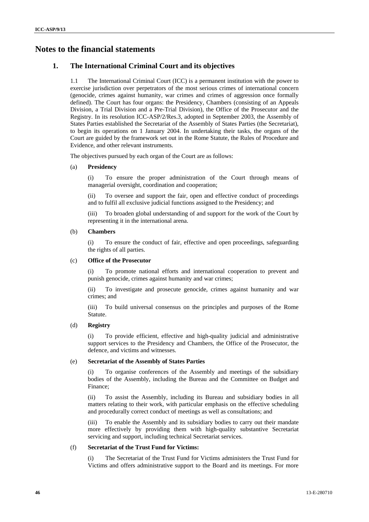# **Notes to the financial statements**

### **1. The International Criminal Court and its objectives**

1.1 The International Criminal Court (ICC) is a permanent institution with the power to exercise jurisdiction over perpetrators of the most serious crimes of international concern (genocide, crimes against humanity, war crimes and crimes of aggression once formally defined). The Court has four organs: the Presidency, Chambers (consisting of an Appeals Division, a Trial Division and a Pre-Trial Division), the Office of the Prosecutor and the Registry. In its resolution ICC-ASP/2/Res.3, adopted in September 2003, the Assembly of States Parties established the Secretariat of the Assembly of States Parties (the Secretariat), to begin its operations on 1 January 2004. In undertaking their tasks, the organs of the Court are guided by the framework set out in the Rome Statute, the Rules of Procedure and Evidence, and other relevant instruments.

The objectives pursued by each organ of the Court are as follows:

#### (a) **Presidency**

(i) To ensure the proper administration of the Court through means of managerial oversight, coordination and cooperation;

(ii) To oversee and support the fair, open and effective conduct of proceedings and to fulfil all exclusive judicial functions assigned to the Presidency; and

To broaden global understanding of and support for the work of the Court by representing it in the international arena.

#### (b) **Chambers**

(i) To ensure the conduct of fair, effective and open proceedings, safeguarding the rights of all parties.

#### (c) **Office of the Prosecutor**

To promote national efforts and international cooperation to prevent and punish genocide, crimes against humanity and war crimes;

(ii) To investigate and prosecute genocide, crimes against humanity and war crimes; and

(iii) To build universal consensus on the principles and purposes of the Rome Statute.

#### (d) **Registry**

(i) To provide efficient, effective and high-quality judicial and administrative support services to the Presidency and Chambers, the Office of the Prosecutor, the defence, and victims and witnesses.

#### (e) **Secretariat of the Assembly of States Parties**

(i) To organise conferences of the Assembly and meetings of the subsidiary bodies of the Assembly, including the Bureau and the Committee on Budget and Finance;

(ii) To assist the Assembly, including its Bureau and subsidiary bodies in all matters relating to their work, with particular emphasis on the effective scheduling and procedurally correct conduct of meetings as well as consultations; and

(iii) To enable the Assembly and its subsidiary bodies to carry out their mandate more effectively by providing them with high-quality substantive Secretariat servicing and support, including technical Secretariat services.

#### (f) **Secretariat of the Trust Fund for Victims:**

(i) The Secretariat of the Trust Fund for Victims administers the Trust Fund for Victims and offers administrative support to the Board and its meetings. For more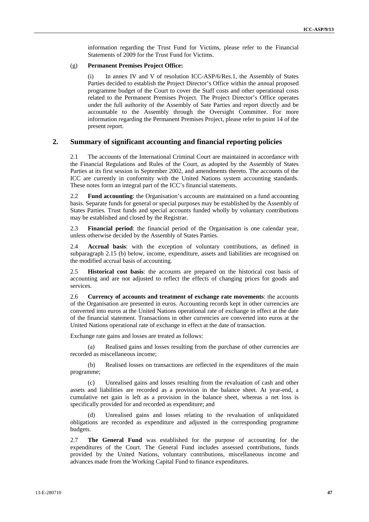information regarding the Trust Fund for Victims, please refer to the Financial Statements of 2009 for the Trust Fund for Victims.

#### (g) **Permanent Premises Project Office:**

(i) In annex IV and V of resolution ICC-ASP/6/Res.1, the Assembly of States Parties decided to establish the Project Director's Office within the annual proposed programme budget of the Court to cover the Staff costs and other operational costs related to the Permanent Premises Project. The Project Director's Office operates under the full authority of the Assembly of Sate Parties and report directly and be accountable to the Assembly through the Oversight Committee. For more information regarding the Permanent Premises Project, please refer to point 14 of the present report.

#### **2. Summary of significant accounting and financial reporting policies**

2.1 The accounts of the International Criminal Court are maintained in accordance with the Financial Regulations and Rules of the Court, as adopted by the Assembly of States Parties at its first session in September 2002, and amendments thereto. The accounts of the ICC are currently in conformity with the United Nations system accounting standards. These notes form an integral part of the ICC's financial statements.

2.2 **Fund accounting**: the Organisation's accounts are maintained on a fund accounting basis. Separate funds for general or special purposes may be established by the Assembly of States Parties. Trust funds and special accounts funded wholly by voluntary contributions may be established and closed by the Registrar.

2.3 **Financial period**: the financial period of the Organisation is one calendar year, unless otherwise decided by the Assembly of States Parties.

2.4 **Accrual basis**: with the exception of voluntary contributions, as defined in subparagraph 2.15 (b) below, income, expenditure, assets and liabilities are recognised on the modified accrual basis of accounting.

2.5 **Historical cost basis**: the accounts are prepared on the historical cost basis of accounting and are not adjusted to reflect the effects of changing prices for goods and services.

2.6 **Currency of accounts and treatment of exchange rate movements**: the accounts of the Organisation are presented in euros. Accounting records kept in other currencies are converted into euros at the United Nations operational rate of exchange in effect at the date of the financial statement. Transactions in other currencies are converted into euros at the United Nations operational rate of exchange in effect at the date of transaction.

Exchange rate gains and losses are treated as follows:

(a) Realised gains and losses resulting from the purchase of other currencies are recorded as miscellaneous income;

(b) Realised losses on transactions are reflected in the expenditures of the main programme;

(c) Unrealised gains and losses resulting from the revaluation of cash and other assets and liabilities are recorded as a provision in the balance sheet. At year-end, a cumulative net gain is left as a provision in the balance sheet, whereas a net loss is specifically provided for and recorded as expenditure; and

Unrealised gains and losses relating to the revaluation of unliquidated obligations are recorded as expenditure and adjusted in the corresponding programme budgets.

2.7 **The General Fund** was established for the purpose of accounting for the expenditures of the Court. The General Fund includes assessed contributions, funds provided by the United Nations, voluntary contributions, miscellaneous income and advances made from the Working Capital Fund to finance expenditures.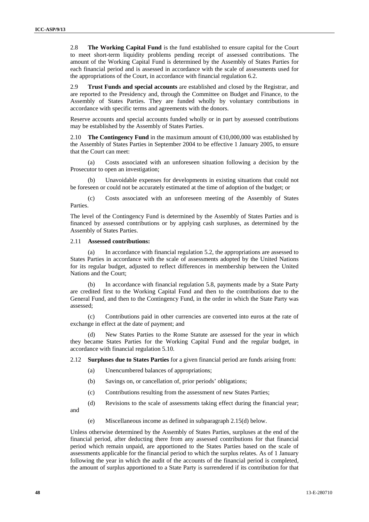2.8 **The Working Capital Fund** is the fund established to ensure capital for the Court to meet short-term liquidity problems pending receipt of assessed contributions. The amount of the Working Capital Fund is determined by the Assembly of States Parties for each financial period and is assessed in accordance with the scale of assessments used for the appropriations of the Court, in accordance with financial regulation 6.2.

2.9 **Trust Funds and special accounts** are established and closed by the Registrar, and are reported to the Presidency and, through the Committee on Budget and Finance, to the Assembly of States Parties. They are funded wholly by voluntary contributions in accordance with specific terms and agreements with the donors.

Reserve accounts and special accounts funded wholly or in part by assessed contributions may be established by the Assembly of States Parties.

2.10 **The Contingency Fund** in the maximum amount of €10,000,000 was established by the Assembly of States Parties in September 2004 to be effective 1 January 2005, to ensure that the Court can meet:

(a) Costs associated with an unforeseen situation following a decision by the Prosecutor to open an investigation;

(b) Unavoidable expenses for developments in existing situations that could not be foreseen or could not be accurately estimated at the time of adoption of the budget; or

(c) Costs associated with an unforeseen meeting of the Assembly of States Parties.

The level of the Contingency Fund is determined by the Assembly of States Parties and is financed by assessed contributions or by applying cash surpluses, as determined by the Assembly of States Parties.

#### 2.11 **Assessed contributions:**

(a) In accordance with financial regulation 5.2, the appropriations are assessed to States Parties in accordance with the scale of assessments adopted by the United Nations for its regular budget, adjusted to reflect differences in membership between the United Nations and the Court;

(b) In accordance with financial regulation 5.8, payments made by a State Party are credited first to the Working Capital Fund and then to the contributions due to the General Fund, and then to the Contingency Fund, in the order in which the State Party was assessed;

(c) Contributions paid in other currencies are converted into euros at the rate of exchange in effect at the date of payment; and

(d) New States Parties to the Rome Statute are assessed for the year in which they became States Parties for the Working Capital Fund and the regular budget, in accordance with financial regulation 5.10.

2.12 **Surpluses due to States Parties** for a given financial period are funds arising from:

- (a) Unencumbered balances of appropriations;
- (b) Savings on, or cancellation of, prior periods' obligations;
- (c) Contributions resulting from the assessment of new States Parties;

(d) Revisions to the scale of assessments taking effect during the financial year;

and

(e) Miscellaneous income as defined in subparagraph 2.15(d) below.

Unless otherwise determined by the Assembly of States Parties, surpluses at the end of the financial period, after deducting there from any assessed contributions for that financial period which remain unpaid, are apportioned to the States Parties based on the scale of assessments applicable for the financial period to which the surplus relates. As of 1 January following the year in which the audit of the accounts of the financial period is completed, the amount of surplus apportioned to a State Party is surrendered if its contribution for that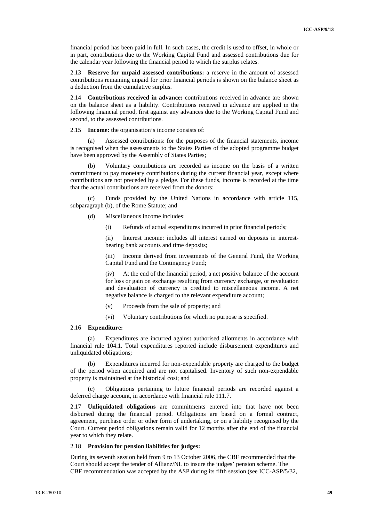financial period has been paid in full. In such cases, the credit is used to offset, in whole or in part, contributions due to the Working Capital Fund and assessed contributions due for the calendar year following the financial period to which the surplus relates.

2.13 **Reserve for unpaid assessed contributions:** a reserve in the amount of assessed contributions remaining unpaid for prior financial periods is shown on the balance sheet as a deduction from the cumulative surplus.

2.14 **Contributions received in advance:** contributions received in advance are shown on the balance sheet as a liability. Contributions received in advance are applied in the following financial period, first against any advances due to the Working Capital Fund and second, to the assessed contributions.

2.15 **Income:** the organisation's income consists of:

(a) Assessed contributions: for the purposes of the financial statements, income is recognised when the assessments to the States Parties of the adopted programme budget have been approved by the Assembly of States Parties;

Voluntary contributions are recorded as income on the basis of a written commitment to pay monetary contributions during the current financial year, except where contributions are not preceded by a pledge. For these funds, income is recorded at the time that the actual contributions are received from the donors;

(c) Funds provided by the United Nations in accordance with article 115, subparagraph (b), of the Rome Statute; and

- (d) Miscellaneous income includes:
	- (i) Refunds of actual expenditures incurred in prior financial periods;

(ii) Interest income: includes all interest earned on deposits in interestbearing bank accounts and time deposits;

(iii) Income derived from investments of the General Fund, the Working Capital Fund and the Contingency Fund;

(iv) At the end of the financial period, a net positive balance of the account for loss or gain on exchange resulting from currency exchange, or revaluation and devaluation of currency is credited to miscellaneous income. A net negative balance is charged to the relevant expenditure account;

- (v) Proceeds from the sale of property; and
- (vi) Voluntary contributions for which no purpose is specified.

#### 2.16 **Expenditure:**

(a) Expenditures are incurred against authorised allotments in accordance with financial rule 104.1. Total expenditures reported include disbursement expenditures and unliquidated obligations;

(b) Expenditures incurred for non-expendable property are charged to the budget of the period when acquired and are not capitalised. Inventory of such non-expendable property is maintained at the historical cost; and

(c) Obligations pertaining to future financial periods are recorded against a deferred charge account, in accordance with financial rule 111.7.

2.17 **Unliquidated obligations** are commitments entered into that have not been disbursed during the financial period. Obligations are based on a formal contract, agreement, purchase order or other form of undertaking, or on a liability recognised by the Court. Current period obligations remain valid for 12 months after the end of the financial year to which they relate.

#### 2.18 **Provision for pension liabilities for judges:**

During its seventh session held from 9 to 13 October 2006, the CBF recommended that the Court should accept the tender of Allianz/NL to insure the judges' pension scheme. The CBF recommendation was accepted by the ASP during its fifth session (see ICC-ASP/5/32,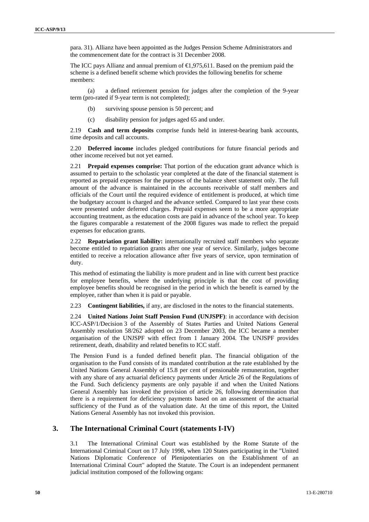para. 31). Allianz have been appointed as the Judges Pension Scheme Administrators and the commencement date for the contract is 31 December 2008.

The ICC pays Allianz and annual premium of  $\bigoplus$ , 975,611. Based on the premium paid the scheme is a defined benefit scheme which provides the following benefits for scheme members:

(a) a defined retirement pension for judges after the completion of the 9-year term (pro-rated if 9-year term is not completed);

- (b) surviving spouse pension is 50 percent; and
- (c) disability pension for judges aged 65 and under.

2.19 **Cash and term deposits** comprise funds held in interest-bearing bank accounts, time deposits and call accounts.

2.20 **Deferred income** includes pledged contributions for future financial periods and other income received but not yet earned.

2.21 **Prepaid expenses comprise:** That portion of the education grant advance which is assumed to pertain to the scholastic year completed at the date of the financial statement is reported as prepaid expenses for the purposes of the balance sheet statement only. The full amount of the advance is maintained in the accounts receivable of staff members and officials of the Court until the required evidence of entitlement is produced, at which time the budgetary account is charged and the advance settled. Compared to last year these costs were presented under deferred charges. Prepaid expenses seem to be a more appropriate accounting treatment, as the education costs are paid in advance of the school year. To keep the figures comparable a restatement of the 2008 figures was made to reflect the prepaid expenses for education grants.

2.22 **Repatriation grant liability:** internationally recruited staff members who separate become entitled to repatriation grants after one year of service. Similarly, judges become entitled to receive a relocation allowance after five years of service, upon termination of duty.

This method of estimating the liability is more prudent and in line with current best practice for employee benefits, where the underlying principle is that the cost of providing employee benefits should be recognised in the period in which the benefit is earned by the employee, rather than when it is paid or payable.

2.23 **Contingent liabilities,** if any, are disclosed in the notes to the financial statements.

2.24 **United Nations Joint Staff Pension Fund (UNJSPF)**: in accordance with decision ICC-ASP/1/Decision 3 of the Assembly of States Parties and United Nations General Assembly resolution 58/262 adopted on 23 December 2003, the ICC became a member organisation of the UNJSPF with effect from 1 January 2004. The UNJSPF provides retirement, death, disability and related benefits to ICC staff.

The Pension Fund is a funded defined benefit plan. The financial obligation of the organisation to the Fund consists of its mandated contribution at the rate established by the United Nations General Assembly of 15.8 per cent of pensionable remuneration, together with any share of any actuarial deficiency payments under Article 26 of the Regulations of the Fund. Such deficiency payments are only payable if and when the United Nations General Assembly has invoked the provision of article 26, following determination that there is a requirement for deficiency payments based on an assessment of the actuarial sufficiency of the Fund as of the valuation date. At the time of this report, the United Nations General Assembly has not invoked this provision.

#### **3. The International Criminal Court (statements I-IV)**

3.1 The International Criminal Court was established by the Rome Statute of the International Criminal Court on 17 July 1998, when 120 States participating in the "United Nations Diplomatic Conference of Plenipotentiaries on the Establishment of an International Criminal Court" adopted the Statute. The Court is an independent permanent judicial institution composed of the following organs: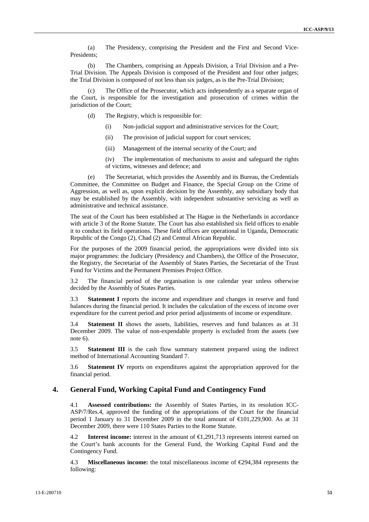(a) The Presidency, comprising the President and the First and Second Vice-Presidents;

(b) The Chambers, comprising an Appeals Division, a Trial Division and a Pre-Trial Division. The Appeals Division is composed of the President and four other judges; the Trial Division is composed of not less than six judges, as is the Pre-Trial Division;

The Office of the Prosecutor, which acts independently as a separate organ of the Court, is responsible for the investigation and prosecution of crimes within the jurisdiction of the Court;

- (d) The Registry, which is responsible for:
	- (i) Non-judicial support and administrative services for the Court;
	- (ii) The provision of judicial support for court services;
	- (iii) Management of the internal security of the Court; and

(iv) The implementation of mechanisms to assist and safeguard the rights of victims, witnesses and defence; and

(e) The Secretariat, which provides the Assembly and its Bureau, the Credentials Committee, the Committee on Budget and Finance, the Special Group on the Crime of Aggression, as well as, upon explicit decision by the Assembly, any subsidiary body that may be established by the Assembly, with independent substantive servicing as well as administrative and technical assistance.

The seat of the Court has been established at The Hague in the Netherlands in accordance with article 3 of the Rome Statute. The Court has also established six field offices to enable it to conduct its field operations. These field offices are operational in Uganda, Democratic Republic of the Congo (2), Chad (2) and Central African Republic.

For the purposes of the 2009 financial period, the appropriations were divided into six major programmes: the Judiciary (Presidency and Chambers), the Office of the Prosecutor, the Registry, the Secretariat of the Assembly of States Parties, the Secretariat of the Trust Fund for Victims and the Permanent Premises Project Office.

3.2 The financial period of the organisation is one calendar year unless otherwise decided by the Assembly of States Parties.

3.3 **Statement I** reports the income and expenditure and changes in reserve and fund balances during the financial period. It includes the calculation of the excess of income over expenditure for the current period and prior period adjustments of income or expenditure.

3.4 **Statement II** shows the assets, liabilities, reserves and fund balances as at 31 December 2009. The value of non-expendable property is excluded from the assets (see note 6).

3.5 **Statement III** is the cash flow summary statement prepared using the indirect method of International Accounting Standard 7.

3.6 **Statement IV** reports on expenditures against the appropriation approved for the financial period.

#### **4. General Fund, Working Capital Fund and Contingency Fund**

4.1 **Assessed contributions:** the Assembly of States Parties, in its resolution ICC-ASP/7/Res.4, approved the funding of the appropriations of the Court for the financial period 1 January to 31 December 2009 in the total amount of  $\bigoplus$  01,229,900. As at 31 December 2009, there were 110 States Parties to the Rome Statute.

4.2 **Interest income:** interest in the amount of €1,291,713 represents interest earned on the Court's bank accounts for the General Fund, the Working Capital Fund and the Contingency Fund.

4.3 **Miscellaneous income:** the total miscellaneous income of €294,384 represents the following: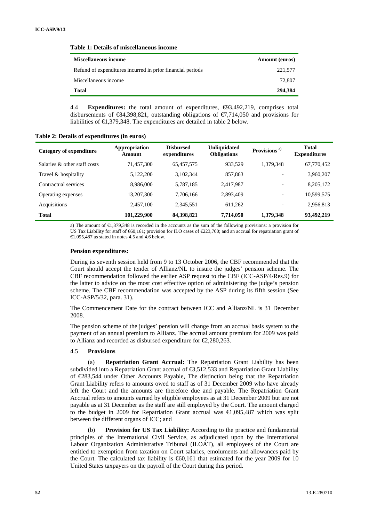#### **Table 1: Details of miscellaneous income**

| <b>Miscellaneous income</b>                                | <b>Amount</b> (euros) |
|------------------------------------------------------------|-----------------------|
| Refund of expenditures incurred in prior financial periods | 221,577               |
| Miscellaneous income                                       | 72,807                |
| <b>Total</b>                                               | 294,384               |

4.4 **Expenditures:** the total amount of expenditures, €93,492,219, comprises total disbursements of  $\mathfrak{S}4,398,821$ , outstanding obligations of  $\mathfrak{F}714,050$  and provisions for liabilities of  $\in$ 1,379,348. The expenditures are detailed in table 2 below.

| <b>Category of expenditure</b> | Appropriation<br>Amount | <b>Disbursed</b><br>expenditures | <b>Unliquidated</b><br><b>Obligations</b> | Provisions <sup>a)</sup> | <b>Total</b><br><b>Expenditures</b> |
|--------------------------------|-------------------------|----------------------------------|-------------------------------------------|--------------------------|-------------------------------------|
| Salaries & other staff costs   | 71,457,300              | 65,457,575                       | 933,529                                   | 1,379,348                | 67,770,452                          |
| Travel & hospitality           | 5,122,200               | 3,102,344                        | 857,863                                   | $\overline{\phantom{a}}$ | 3,960,207                           |
| Contractual services           | 8,986,000               | 5,787,185                        | 2,417,987                                 | $\overline{\phantom{a}}$ | 8,205,172                           |
| Operating expenses             | 13,207,300              | 7,706,166                        | 2,893,409                                 | $\overline{\phantom{a}}$ | 10,599,575                          |
| Acquisitions                   | 2,457,100               | 2,345,551                        | 611,262                                   | $\overline{\phantom{a}}$ | 2,956,813                           |
| <b>Total</b>                   | 101,229,900             | 84,398,821                       | 7,714,050                                 | 1,379,348                | 93,492,219                          |

**Table 2: Details of expenditures (in euros)** 

a) The amount of €1,379,348 is recorded in the accounts as the sum of the following provisions: a provision for US Tax Liability for staff of €60,161; provision for ILO cases of €223,700; and an accrual for repatriation grant of  $\text{\textsterling}1.095.487$  as stated in notes 4.5 and 4.6 below.

#### **Pension expenditures:**

During its seventh session held from 9 to 13 October 2006, the CBF recommended that the Court should accept the tender of Allianz/NL to insure the judges' pension scheme. The CBF recommendation followed the earlier ASP request to the CBF (ICC-ASP/4/Res.9) for the latter to advice on the most cost effective option of administering the judge's pension scheme. The CBF recommendation was accepted by the ASP during its fifth session (See ICC-ASP/5/32, para. 31).

The Commencement Date for the contract between ICC and Allianz/NL is 31 December 2008.

The pension scheme of the judges' pension will change from an accrual basis system to the payment of an annual premium to Allianz. The accrual amount premium for 2009 was paid to Allianz and recorded as disbursed expenditure for €2,280,263.

#### 4.5 **Provisions**

(a) **Repatriation Grant Accrual:** The Repatriation Grant Liability has been subdivided into a Repatriation Grant accrual of €3,512,533 and Repatriation Grant Liability of €283,544 under Other Accounts Payable, The distinction being that the Repatriation Grant Liability refers to amounts owed to staff as of 31 December 2009 who have already left the Court and the amounts are therefore due and payable. The Repatriation Grant Accrual refers to amounts earned by eligible employees as at 31 December 2009 but are not payable as at 31 December as the staff are still employed by the Court. The amount charged to the budget in 2009 for Repatriation Grant accrual was €1,095,487 which was split between the different organs of ICC; and

(b) **Provision for US Tax Liability:** According to the practice and fundamental principles of the International Civil Service, as adjudicated upon by the International Labour Organization Administrative Tribunal (ILOAT), all employees of the Court are entitled to exemption from taxation on Court salaries, emoluments and allowances paid by the Court. The calculated tax liability is  $60,161$  that estimated for the year 2009 for 10 United States taxpayers on the payroll of the Court during this period.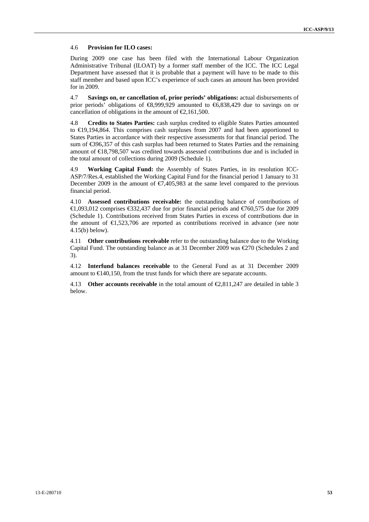#### 4.6 **Provision for ILO cases:**

During 2009 one case has been filed with the International Labour Organization Administrative Tribunal (ILOAT) by a former staff member of the ICC. The ICC Legal Department have assessed that it is probable that a payment will have to be made to this staff member and based upon ICC's experience of such cases an amount has been provided for in 2009.

4.7 **Savings on, or cancellation of, prior periods' obligations:** actual disbursements of prior periods' obligations of €8,999,929 amounted to €6,838,429 due to savings on or cancellation of obligations in the amount of  $\epsilon$ , 161, 500.

4.8 **Credits to States Parties:** cash surplus credited to eligible States Parties amounted to €19,194,864. This comprises cash surpluses from 2007 and had been apportioned to States Parties in accordance with their respective assessments for that financial period. The sum of €396,357 of this cash surplus had been returned to States Parties and the remaining amount of €18,798,507 was credited towards assessed contributions due and is included in the total amount of collections during 2009 (Schedule 1).

4.9 **Working Capital Fund:** the Assembly of States Parties, in its resolution ICC-ASP/7/Res.4, established the Working Capital Fund for the financial period 1 January to 31 December 2009 in the amount of  $\epsilon$ ,405,983 at the same level compared to the previous financial period.

4.10 **Assessed contributions receivable:** the outstanding balance of contributions of €1,093,012 comprises €332,437 due for prior financial periods and €760,575 due for 2009 (Schedule 1). Contributions received from States Parties in excess of contributions due in the amount of  $\epsilon$ ,523,706 are reported as contributions received in advance (see note 4.15(b) below).

4.11 **Other contributions receivable** refer to the outstanding balance due to the Working Capital Fund. The outstanding balance as at 31 December 2009 was  $\epsilon$ 270 (Schedules 2 and 3).

4.12 **Interfund balances receivable** to the General Fund as at 31 December 2009 amount to  $\in$  140,150, from the trust funds for which there are separate accounts.

4.13 **Other accounts receivable** in the total amount of  $\bigoplus$ , 811, 247 are detailed in table 3 below.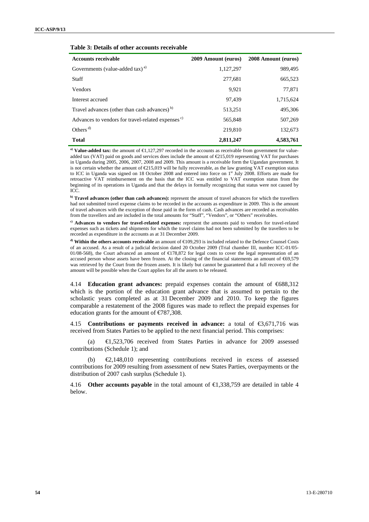#### **Table 3: Details of other accounts receivable**

| <b>Accounts receivable</b>                                    | 2009 Amount (euros) | 2008 Amount (euros) |
|---------------------------------------------------------------|---------------------|---------------------|
| Governments (value-added tax) <sup>a)</sup>                   | 1,127,297           | 989,495             |
| <b>Staff</b>                                                  | 277,681             | 665,523             |
| <b>Vendors</b>                                                | 9.921               | 77,871              |
| Interest accrued                                              | 97.439              | 1,715,624           |
| Travel advances (other than cash advances) <sup>b)</sup>      | 513,251             | 495,306             |
| Advances to vendors for travel-related expenses <sup>c)</sup> | 565.848             | 507,269             |
| Others <sup><math>d)</math></sup>                             | 219,810             | 132,673             |
| <b>Total</b>                                                  | 2,811,247           | 4,583,761           |

a) Value-added tax: the amount of €1,127,297 recorded in the accounts as receivable from government for valueadded tax (VAT) paid on goods and services does include the amount of €215,019 representing VAT for purchases in Uganda during 2005, 2006, 2007, 2008 and 2009. This amount is a receivable form the Ugandan government. It is not certain whether the amount of  $E$ 15,019 will be fully recoverable, as the law granting VAT exemption status to ICC in Uganda was signed on 18 October 2008 and entered into force on 1<sup>st</sup> July 2008. Efforts are made for retroactive VAT reimbursement on the basis that the ICC was entitled to VAT exemption status from the beginning of its operations in Uganda and that the delays in formally recognizing that status were not caused by ICC.

**b)** Travel advances (other than cash advances): represent the amount of travel advances for which the travellers had not submitted travel expense claims to be recorded in the accounts as expenditure in 2009. This is the amount of travel advances with the exception of those paid in the form of cash. Cash advances are recorded as receivables from the travellers and are included in the total amounts for "Staff", "Vendors", or "Others" receivables.

**c) Advances to vendors for travel-related expenses:** represent the amounts paid to vendors for travel-related expenses such as tickets and shipments for which the travel claims had not been submitted by the travellers to be recorded as expenditure in the accounts as at 31 December 2009.

**d) Within the others accounts receivable** an amount of €109,293 is included related to the Defence Counsel Costs of an accused. As a result of a judicial decision dated 20 October 2009 (Trial chamber III, number ICC-01/05- 01/08-568), the Court advanced an amount of €178,872 for legal costs to cover the legal representation of an accused person whose assets have been frozen. At the closing of the financial statements an amount of €69,579 was retrieved by the Court from the frozen assets. It is likely but cannot be guaranteed that a full recovery of the amount will be possible when the Court applies for all the assets to be released.

4.14 **Education grant advances:** prepaid expenses contain the amount of €688,312 which is the portion of the education grant advance that is assumed to pertain to the scholastic years completed as at 31 December 2009 and 2010. To keep the figures comparable a restatement of the 2008 figures was made to reflect the prepaid expenses for education grants for the amount of  $\epsilon$ 787,308.

4.15 **Contributions or payments received in advance:** a total of €3,671,716 was received from States Parties to be applied to the next financial period. This comprises:

(a) €1,523,706 received from States Parties in advance for 2009 assessed contributions (Schedule 1); and

(b) €2,148,010 representing contributions received in excess of assessed contributions for 2009 resulting from assessment of new States Parties, overpayments or the distribution of 2007 cash surplus (Schedule 1).

4.16 **Other accounts payable** in the total amount of €1,338,759 are detailed in table 4 below.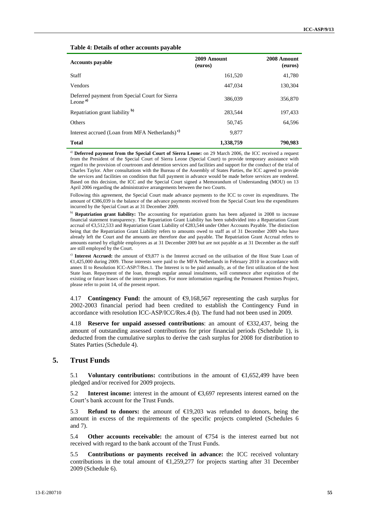#### **Table 4: Details of other accounts payable**

| <b>Accounts payable</b>                                               | 2009 Amount<br>(euros) | 2008 Amount<br>(euros) |
|-----------------------------------------------------------------------|------------------------|------------------------|
| <b>Staff</b>                                                          | 161,520                | 41,780                 |
| <b>Vendors</b>                                                        | 447.034                | 130,304                |
| Deferred payment from Special Court for Sierra<br>Leone <sup>a)</sup> | 386,039                | 356,870                |
| Repatriation grant liability <sup>b)</sup>                            | 283.544                | 197,433                |
| <b>Others</b>                                                         | 50.745                 | 64.596                 |
| Interest accrued (Loan from MFA Netherlands) <sup>c)</sup>            | 9.877                  |                        |
| <b>Total</b>                                                          | 1,338,759              | 790.983                |

a) **Deferred payment from the Special Court of Sierra Leone:** on 29 March 2006, the ICC received a request from the President of the Special Court of Sierra Leone (Special Court) to provide temporary assistance with regard to the provision of courtroom and detention services and facilities and support for the conduct of the trial of Charles Taylor. After consultations with the Bureau of the Assembly of States Parties, the ICC agreed to provide the services and facilities on condition that full payment in advance would be made before services are rendered. Based on this decision, the ICC and the Special Court signed a Memorandum of Understanding (MOU) on 13 April 2006 regarding the administrative arrangements between the two Courts.

Following this agreement, the Special Court made advance payments to the ICC to cover its expenditures. The amount of €386,039 is the balance of the advance payments received from the Special Court less the expenditures incurred by the Special Court as at 31 December 2009.

b) **Repatriation grant liability:** The accounting for repatriation grants has been adjusted in 2008 to increase financial statement transparency. The Repatriation Grant Liability has been subdivided into a Repatriation Grant accrual of €3,512,533 and Repatriation Grant Liability of €283,544 under Other Accounts Payable. The distinction being that the Repatriation Grant Liability refers to amounts owed to staff as of 31 December 2009 who have already left the Court and the amounts are therefore due and payable. The Repatriation Grant Accrual refers to amounts earned by eligible employees as at 31 December 2009 but are not payable as at 31 December as the staff are still employed by the Court.

<sup>c)</sup> Interest Accrued: the amount of ⊕,877 is the Interest accrued on the utilisation of the Host State Loan of €1,425,000 during 2009. Those interests were paid to the MFA Netherlands in February 2010 in accordance with annex II to Resolution ICC-ASP/7/Res.1. The Interest is to be paid annually, as of the first utilization of the host State loan. Repayment of the loan, through regular annual instalments, will commence after expiration of the existing or future leases of the interim premises. For more information regarding the Permanent Premises Project, please refer to point 14, of the present report.

4.17 **Contingency Fund:** the amount of €9,168,567 representing the cash surplus for 2002-2003 financial period had been credited to establish the Contingency Fund in accordance with resolution ICC-ASP/ICC/Res.4 (b). The fund had not been used in 2009.

4.18 **Reserve for unpaid assessed contributions**: an amount of €332,437, being the amount of outstanding assessed contributions for prior financial periods (Schedule 1), is deducted from the cumulative surplus to derive the cash surplus for 2008 for distribution to States Parties (Schedule 4).

#### **5. Trust Funds**

5.1 **Voluntary contributions:** contributions in the amount of €1,652,499 have been pledged and/or received for 2009 projects.

5.2 **Interest income:** interest in the amount of €3,697 represents interest earned on the Court's bank account for the Trust Funds.

5.3 **Refund to donors:** the amount of €19,203 was refunded to donors, being the amount in excess of the requirements of the specific projects completed (Schedules 6 and 7).

5.4 **Other accounts receivable:** the amount of €754 is the interest earned but not received with regard to the bank account of the Trust Funds.

5.5 **Contributions or payments received in advance:** the ICC received voluntary contributions in the total amount of  $\bigoplus$ , 259,277 for projects starting after 31 December 2009 (Schedule 6).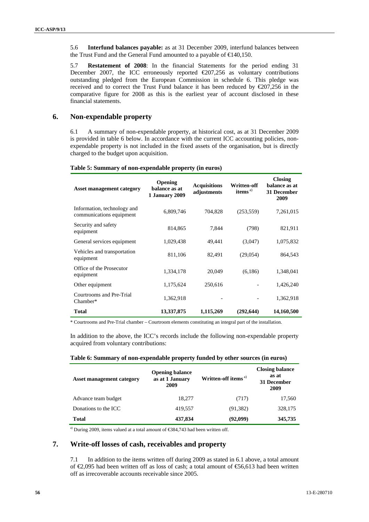5.6 **Interfund balances payable:** as at 31 December 2009, interfund balances between the Trust Fund and the General Fund amounted to a payable of  $\in$  40,150.

5.7 **Restatement of 2008**: In the financial Statements for the period ending 31 December 2007, the ICC erroneously reported  $\epsilon$ 207,256 as voluntary contributions outstanding pledged from the European Commission in schedule 6. This pledge was received and to correct the Trust Fund balance it has been reduced by  $\epsilon$ 207,256 in the comparative figure for 2008 as this is the earliest year of account disclosed in these financial statements.

#### **6. Non-expendable property**

6.1 A summary of non-expendable property, at historical cost, as at 31 December 2009 is provided in table 6 below. In accordance with the current ICC accounting policies, nonexpendable property is not included in the fixed assets of the organisation, but is directly charged to the budget upon acquisition.

| <b>Asset management category</b>                        | <b>Opening</b><br>balance as at<br>1 January 2009 | <b>Acquisitions</b><br>adjustments | Written-off<br>items $a^{(i)}$ | <b>Closing</b><br>balance as at<br>31 December<br>2009 |
|---------------------------------------------------------|---------------------------------------------------|------------------------------------|--------------------------------|--------------------------------------------------------|
| Information, technology and<br>communications equipment | 6,809,746                                         | 704,828                            | (253, 559)                     | 7,261,015                                              |
| Security and safety<br>equipment                        | 814,865                                           | 7,844                              | (798)                          | 821,911                                                |
| General services equipment                              | 1,029,438                                         | 49.441                             | (3,047)                        | 1,075,832                                              |
| Vehicles and transportation<br>equipment                | 811,106                                           | 82,491                             | (29,054)                       | 864,543                                                |
| Office of the Prosecutor<br>equipment                   | 1,334,178                                         | 20,049                             | (6,186)                        | 1,348,041                                              |
| Other equipment                                         | 1,175,624                                         | 250,616                            |                                | 1,426,240                                              |
| Courtrooms and Pre-Trial<br>Chamber*                    | 1,362,918                                         |                                    |                                | 1,362,918                                              |
| <b>Total</b>                                            | 13,337,875                                        | 1,115,269                          | (292, 644)                     | 14,160,500                                             |

#### **Table 5: Summary of non-expendable property (in euros)**

\* Courtrooms and Pre-Trial chamber – Courtroom elements constituting an integral part of the installation.

In addition to the above, the ICC's records include the following non-expendable property acquired from voluntary contributions:

| Table 6: Summary of non-expendable property funded by other sources (in euros) |  |  |  |
|--------------------------------------------------------------------------------|--|--|--|
|                                                                                |  |  |  |

| <b>Asset management category</b> | <b>Opening balance</b><br>as at 1 January<br>2009 | Written-off items <sup>a)</sup> | <b>Closing balance</b><br>as at<br>31 December<br>2009 |
|----------------------------------|---------------------------------------------------|---------------------------------|--------------------------------------------------------|
| Advance team budget              | 18.277                                            | (717)                           | 17,560                                                 |
| Donations to the ICC             | 419.557                                           | (91, 382)                       | 328,175                                                |
| <b>Total</b>                     | 437,834                                           | (92,099)                        | 345,735                                                |

a) During 2009, items valued at a total amount of €384,743 had been written off.

#### **7. Write-off losses of cash, receivables and property**

7.1 In addition to the items written off during 2009 as stated in 6.1 above, a total amount of €2,095 had been written off as loss of cash; a total amount of €56,613 had been written off as irrecoverable accounts receivable since 2005.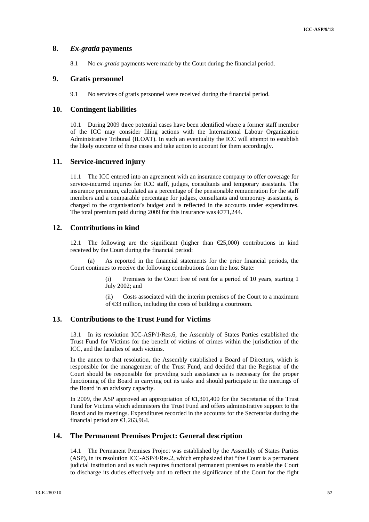#### **8.** *Ex-gratia* **payments**

8.1 No *ex-gratia* payments were made by the Court during the financial period.

#### **9. Gratis personnel**

9.1 No services of gratis personnel were received during the financial period.

#### **10. Contingent liabilities**

10.1 During 2009 three potential cases have been identified where a former staff member of the ICC may consider filing actions with the International Labour Organization Administrative Tribunal (ILOAT). In such an eventuality the ICC will attempt to establish the likely outcome of these cases and take action to account for them accordingly.

#### **11. Service-incurred injury**

11.1 The ICC entered into an agreement with an insurance company to offer coverage for service-incurred injuries for ICC staff, judges, consultants and temporary assistants. The insurance premium, calculated as a percentage of the pensionable remuneration for the staff members and a comparable percentage for judges, consultants and temporary assistants, is charged to the organisation's budget and is reflected in the accounts under expenditures. The total premium paid during 2009 for this insurance was  $\epsilon$ 71,244.

#### **12. Contributions in kind**

12.1 The following are the significant (higher than  $\epsilon$ 25,000) contributions in kind received by the Court during the financial period:

As reported in the financial statements for the prior financial periods, the Court continues to receive the following contributions from the host State:

> (i) Premises to the Court free of rent for a period of 10 years, starting 1 July 2002; and

> (ii) Costs associated with the interim premises of the Court to a maximum of €33 million, including the costs of building a courtroom.

#### **13. Contributions to the Trust Fund for Victims**

13.1 In its resolution ICC-ASP/1/Res.6, the Assembly of States Parties established the Trust Fund for Victims for the benefit of victims of crimes within the jurisdiction of the ICC, and the families of such victims.

In the annex to that resolution, the Assembly established a Board of Directors, which is responsible for the management of the Trust Fund, and decided that the Registrar of the Court should be responsible for providing such assistance as is necessary for the proper functioning of the Board in carrying out its tasks and should participate in the meetings of the Board in an advisory capacity.

In 2009, the ASP approved an appropriation of  $\bigoplus$ , 301,400 for the Secretariat of the Trust Fund for Victims which administers the Trust Fund and offers administrative support to the Board and its meetings. Expenditures recorded in the accounts for the Secretariat during the financial period are €1,263,964.

#### **14. The Permanent Premises Project: General description**

14.1 The Permanent Premises Project was established by the Assembly of States Parties (ASP), in its resolution ICC-ASP/4/Res.2, which emphasized that "the Court is a permanent judicial institution and as such requires functional permanent premises to enable the Court to discharge its duties effectively and to reflect the significance of the Court for the fight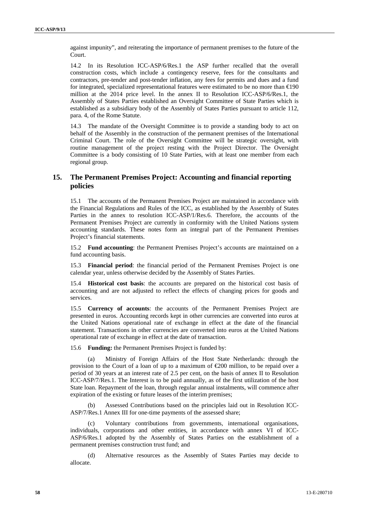against impunity", and reiterating the importance of permanent premises to the future of the Court.

14.2 In its Resolution ICC-ASP/6/Res.1 the ASP further recalled that the overall construction costs, which include a contingency reserve, fees for the consultants and contractors, pre-tender and post-tender inflation, any fees for permits and dues and a fund for integrated, specialized representational features were estimated to be no more than  $\epsilon \neq 90$ million at the 2014 price level. In the annex II to Resolution ICC-ASP/6/Res.1, the Assembly of States Parties established an Oversight Committee of State Parties which is established as a subsidiary body of the Assembly of States Parties pursuant to article 112, para. 4, of the Rome Statute.

14.3 The mandate of the Oversight Committee is to provide a standing body to act on behalf of the Assembly in the construction of the permanent premises of the International Criminal Court. The role of the Oversight Committee will be strategic oversight, with routine management of the project resting with the Project Director. The Oversight Committee is a body consisting of 10 State Parties, with at least one member from each regional group.

#### **15. The Permanent Premises Project: Accounting and financial reporting policies**

15.1 The accounts of the Permanent Premises Project are maintained in accordance with the Financial Regulations and Rules of the ICC, as established by the Assembly of States Parties in the annex to resolution ICC-ASP/1/Res.6. Therefore, the accounts of the Permanent Premises Project are currently in conformity with the United Nations system accounting standards. These notes form an integral part of the Permanent Premises Project's financial statements.

15.2 **Fund accounting**: the Permanent Premises Project's accounts are maintained on a fund accounting basis.

15.3 **Financial period**: the financial period of the Permanent Premises Project is one calendar year, unless otherwise decided by the Assembly of States Parties.

15.4 **Historical cost basis**: the accounts are prepared on the historical cost basis of accounting and are not adjusted to reflect the effects of changing prices for goods and services.

15.5 **Currency of accounts**: the accounts of the Permanent Premises Project are presented in euros. Accounting records kept in other currencies are converted into euros at the United Nations operational rate of exchange in effect at the date of the financial statement. Transactions in other currencies are converted into euros at the United Nations operational rate of exchange in effect at the date of transaction.

15.6 **Funding:** the Permanent Premises Project is funded by:

(a) Ministry of Foreign Affairs of the Host State Netherlands: through the provision to the Court of a loan of up to a maximum of  $\epsilon$ 200 million, to be repaid over a period of 30 years at an interest rate of 2.5 per cent, on the basis of annex II to Resolution ICC-ASP/7/Res.1. The Interest is to be paid annually, as of the first utilization of the host State loan. Repayment of the loan, through regular annual instalments, will commence after expiration of the existing or future leases of the interim premises;

(b) Assessed Contributions based on the principles laid out in Resolution ICC-ASP/7/Res.1 Annex III for one-time payments of the assessed share;

(c) Voluntary contributions from governments, international organisations, individuals, corporations and other entities, in accordance with annex VI of ICC-ASP/6/Res.1 adopted by the Assembly of States Parties on the establishment of a permanent premises construction trust fund; and

(d) Alternative resources as the Assembly of States Parties may decide to allocate.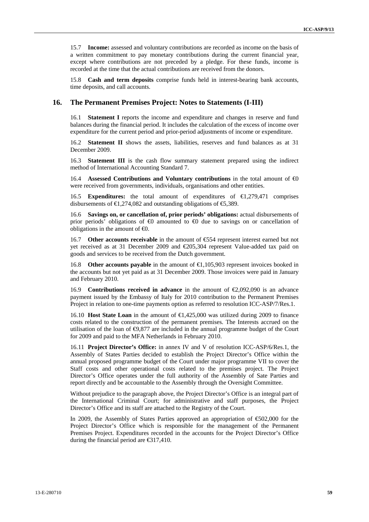15.7 **Income:** assessed and voluntary contributions are recorded as income on the basis of a written commitment to pay monetary contributions during the current financial year, except where contributions are not preceded by a pledge. For these funds, income is recorded at the time that the actual contributions are received from the donors.

15.8 **Cash and term deposits** comprise funds held in interest-bearing bank accounts, time deposits, and call accounts.

#### **16. The Permanent Premises Project: Notes to Statements (I-III)**

16.1 **Statement I** reports the income and expenditure and changes in reserve and fund balances during the financial period. It includes the calculation of the excess of income over expenditure for the current period and prior-period adjustments of income or expenditure.

16.2 **Statement II** shows the assets, liabilities, reserves and fund balances as at 31 December 2009.

16.3 **Statement III** is the cash flow summary statement prepared using the indirect method of International Accounting Standard 7.

16.4 **Assessed Contributions and Voluntary contributions** in the total amount of €0 were received from governments, individuals, organisations and other entities.

16.5 **Expenditures:** the total amount of expenditures of €1,279,471 comprises disbursements of  $\in$ 1,274,082 and outstanding obligations of  $\in$ 5,389.

16.6 **Savings on, or cancellation of, prior periods' obligations:** actual disbursements of prior periods' obligations of  $\Theta$  amounted to  $\Theta$  due to savings on or cancellation of obligations in the amount of  $\Theta$ .

16.7 **Other accounts receivable** in the amount of €554 represent interest earned but not yet received as at 31 December 2009 and €205,304 represent Value-added tax paid on goods and services to be received from the Dutch government.

16.8 **Other accounts payable** in the amount of €1,105,903 represent invoices booked in the accounts but not yet paid as at 31 December 2009. Those invoices were paid in January and February 2010.

16.9 **Contributions received in advance** in the amount of €2,092,090 is an advance payment issued by the Embassy of Italy for 2010 contribution to the Permanent Premises Project in relation to one-time payments option as referred to resolution ICC-ASP/7/Res.1.

16.10 **Host State Loan** in the amount of €1,425,000 was utilized during 2009 to finance costs related to the construction of the permanent premises. The Interests accrued on the utilisation of the loan of  $\Theta$ ,877 are included in the annual programme budget of the Court for 2009 and paid to the MFA Netherlands in February 2010.

16.11 **Project Director's Office:** in annex IV and V of resolution ICC-ASP/6/Res.1, the Assembly of States Parties decided to establish the Project Director's Office within the annual proposed programme budget of the Court under major programme VII to cover the Staff costs and other operational costs related to the premises project. The Project Director's Office operates under the full authority of the Assembly of Sate Parties and report directly and be accountable to the Assembly through the Oversight Committee.

Without prejudice to the paragraph above, the Project Director's Office is an integral part of the International Criminal Court; for administrative and staff purposes, the Project Director's Office and its staff are attached to the Registry of the Court.

In 2009, the Assembly of States Parties approved an appropriation of €502,000 for the Project Director's Office which is responsible for the management of the Permanent Premises Project. Expenditures recorded in the accounts for the Project Director's Office during the financial period are  $\epsilon$  517,410.